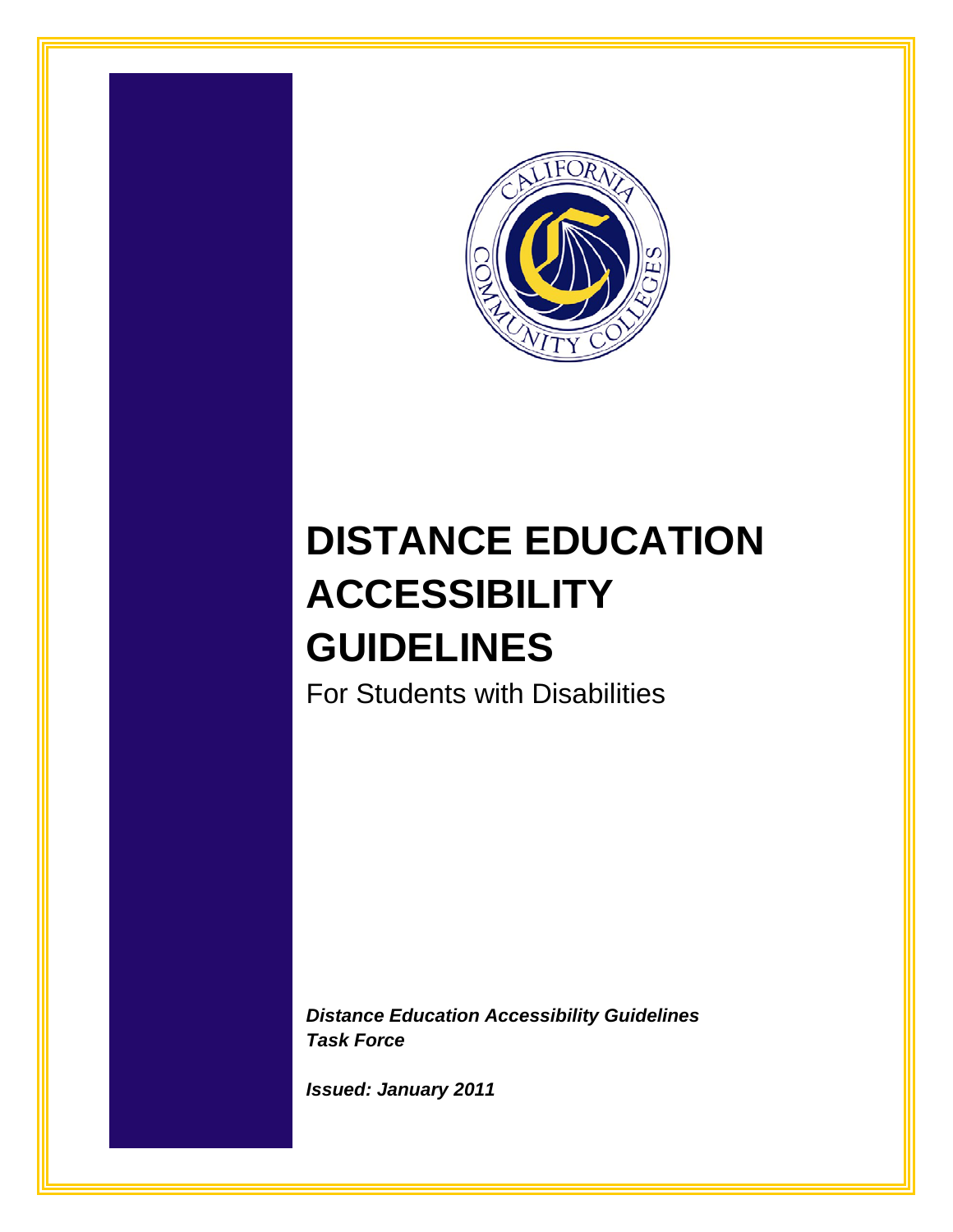

# **DISTANCE EDUCATION ACCESSIBILITY GUIDELINES**

For Students with Disabilities

*Distance Education Accessibility Guidelines Task Force*

*Issued: January 2011*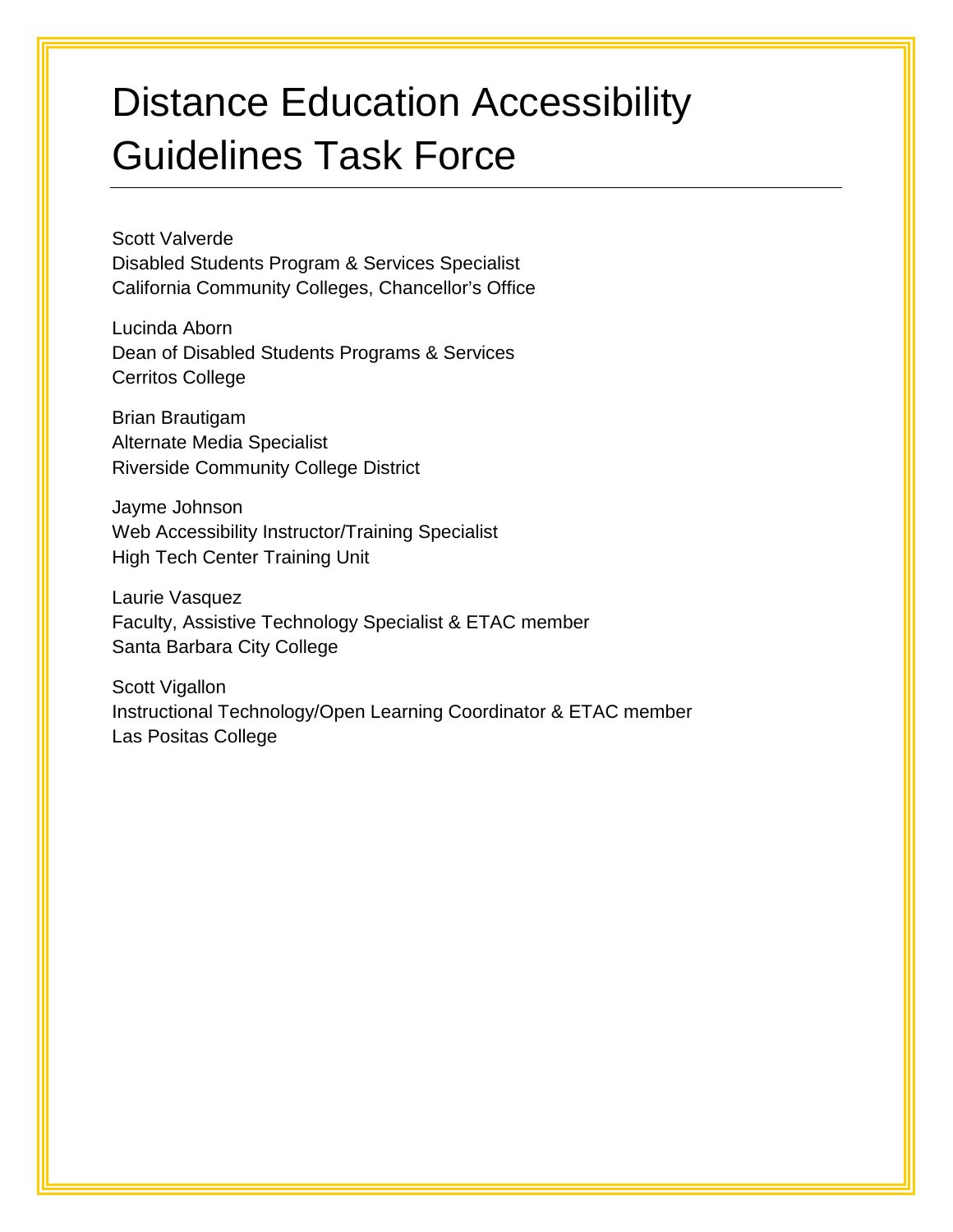# Distance Education Accessibility Guidelines Task Force

Scott Valverde Disabled Students Program & Services Specialist California Community Colleges, Chancellor's Office

Lucinda Aborn Dean of Disabled Students Programs & Services Cerritos College

Brian Brautigam Alternate Media Specialist Riverside Community College District

Jayme Johnson Web Accessibility Instructor/Training Specialist High Tech Center Training Unit

Laurie Vasquez Faculty, Assistive Technology Specialist & ETAC member Santa Barbara City College

Scott Vigallon Instructional Technology/Open Learning Coordinator & ETAC member Las Positas College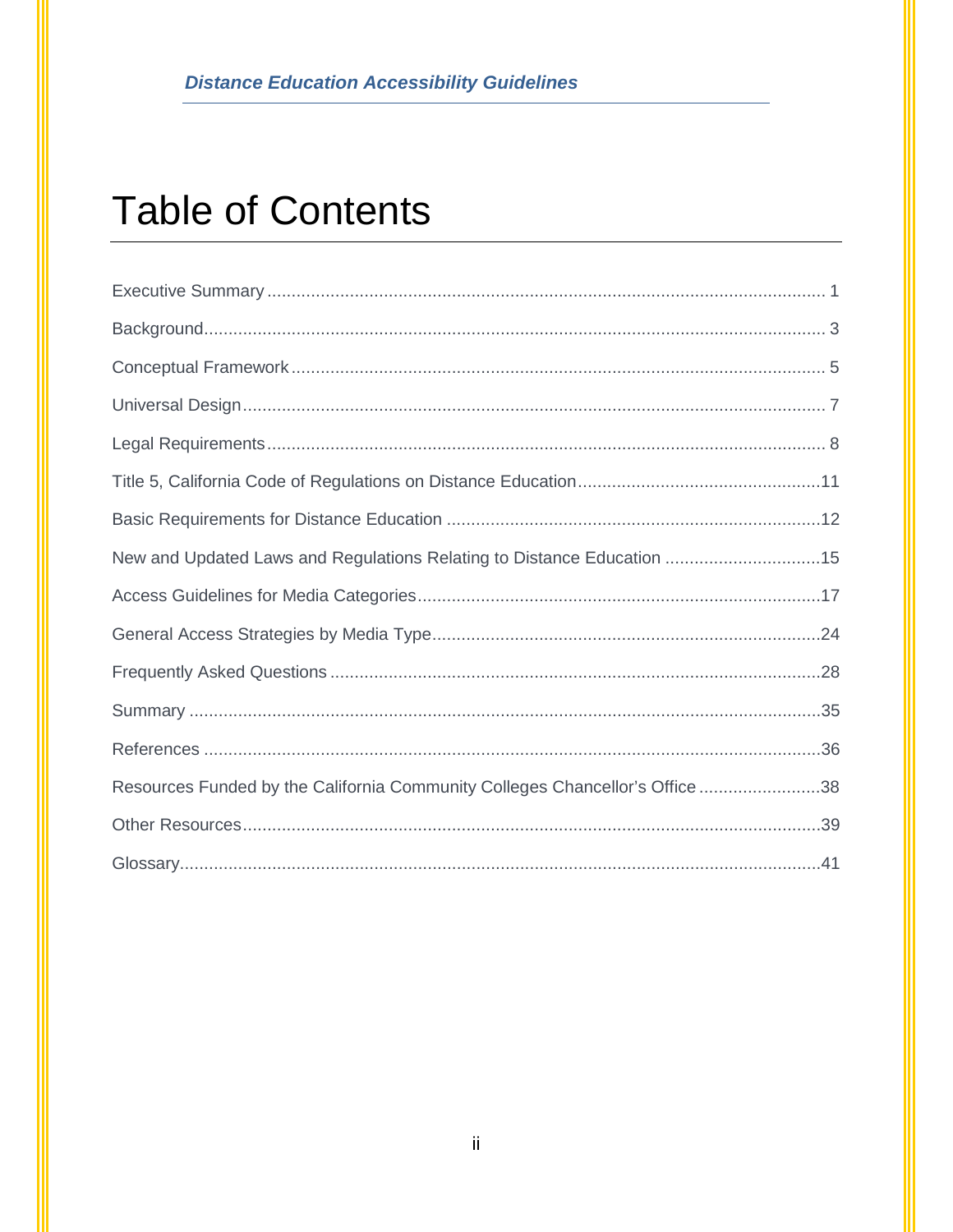# **Table of Contents**

| New and Updated Laws and Regulations Relating to Distance Education 15       |  |
|------------------------------------------------------------------------------|--|
|                                                                              |  |
|                                                                              |  |
|                                                                              |  |
|                                                                              |  |
|                                                                              |  |
| Resources Funded by the California Community Colleges Chancellor's Office 38 |  |
|                                                                              |  |
|                                                                              |  |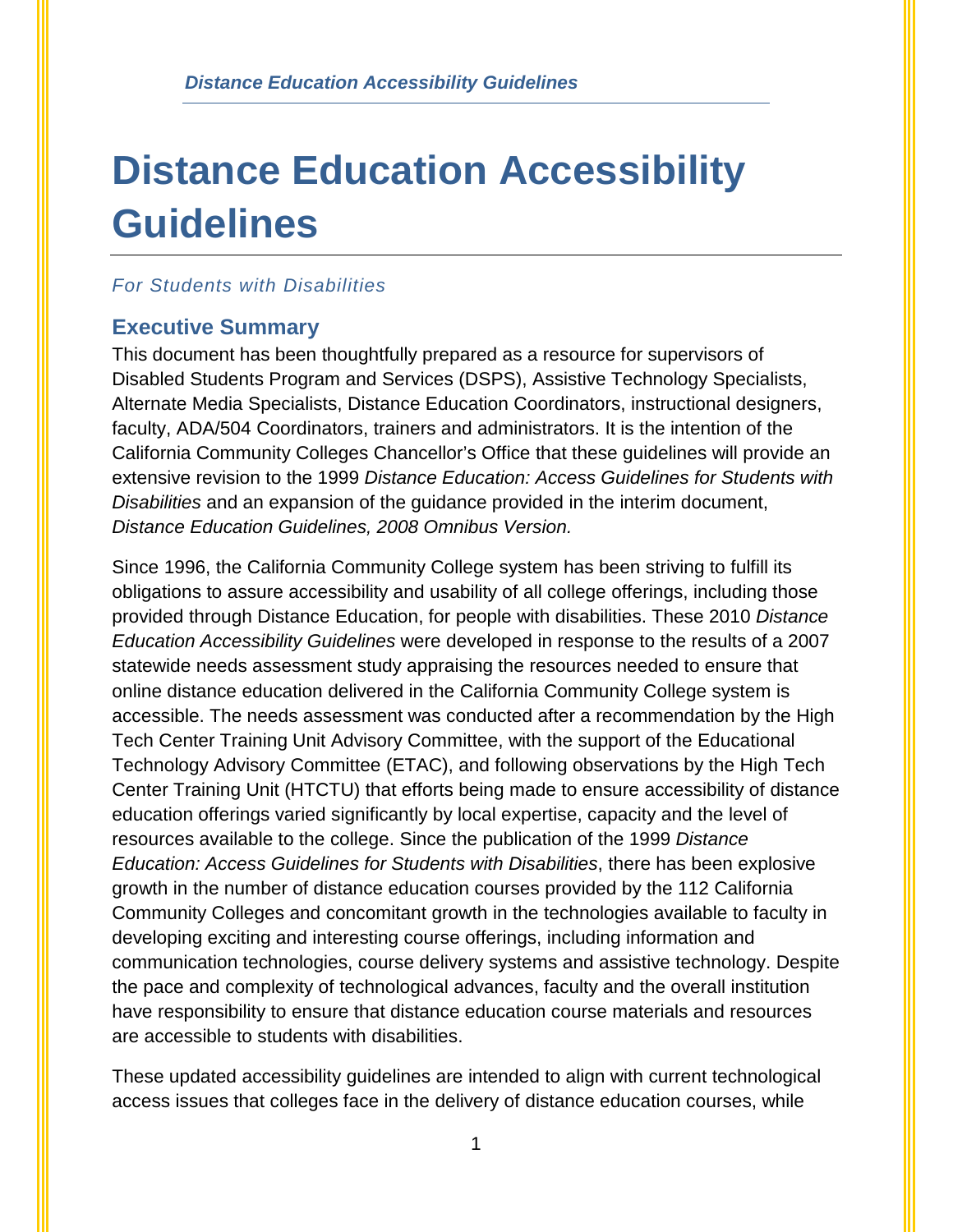# **Distance Education Accessibility Guidelines**

#### *For Students with Disabilities*

## <span id="page-3-0"></span>**Executive Summary**

This document has been thoughtfully prepared as a resource for supervisors of Disabled Students Program and Services (DSPS), Assistive Technology Specialists, Alternate Media Specialists, Distance Education Coordinators, instructional designers, faculty, ADA/504 Coordinators, trainers and administrators. It is the intention of the California Community Colleges Chancellor's Office that these guidelines will provide an extensive revision to the 1999 *Distance Education: Access Guidelines for Students with Disabilities* and an expansion of the guidance provided in the interim document, *Distance Education Guidelines, 2008 Omnibus Version.* 

Since 1996, the California Community College system has been striving to fulfill its obligations to assure accessibility and usability of all college offerings, including those provided through Distance Education, for people with disabilities. These 2010 *Distance Education Accessibility Guidelines* were developed in response to the results of a 2007 statewide needs assessment study appraising the resources needed to ensure that online distance education delivered in the California Community College system is accessible. The needs assessment was conducted after a recommendation by the High Tech Center Training Unit Advisory Committee, with the support of the Educational Technology Advisory Committee (ETAC), and following observations by the High Tech Center Training Unit (HTCTU) that efforts being made to ensure accessibility of distance education offerings varied significantly by local expertise, capacity and the level of resources available to the college. Since the publication of the 1999 *Distance Education: Access Guidelines for Students with Disabilities*, there has been explosive growth in the number of distance education courses provided by the 112 California Community Colleges and concomitant growth in the technologies available to faculty in developing exciting and interesting course offerings, including information and communication technologies, course delivery systems and assistive technology. Despite the pace and complexity of technological advances, faculty and the overall institution have responsibility to ensure that distance education course materials and resources are accessible to students with disabilities.

These updated accessibility guidelines are intended to align with current technological access issues that colleges face in the delivery of distance education courses, while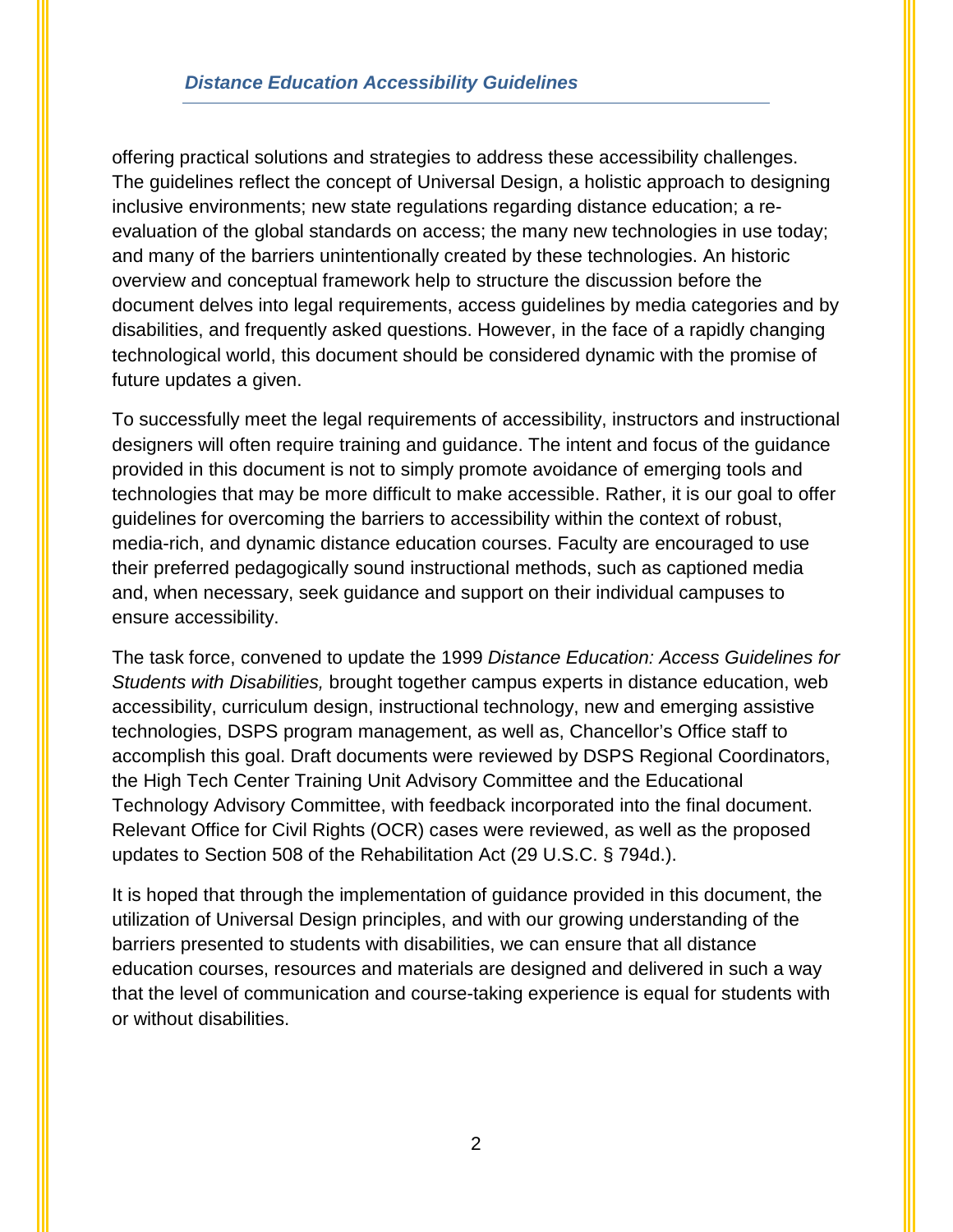offering practical solutions and strategies to address these accessibility challenges. The guidelines reflect the concept of Universal Design, a holistic approach to designing inclusive environments; new state regulations regarding distance education; a reevaluation of the global standards on access; the many new technologies in use today; and many of the barriers unintentionally created by these technologies. An historic overview and conceptual framework help to structure the discussion before the document delves into legal requirements, access guidelines by media categories and by disabilities, and frequently asked questions. However, in the face of a rapidly changing technological world, this document should be considered dynamic with the promise of future updates a given.

To successfully meet the legal requirements of accessibility, instructors and instructional designers will often require training and guidance. The intent and focus of the guidance provided in this document is not to simply promote avoidance of emerging tools and technologies that may be more difficult to make accessible. Rather, it is our goal to offer guidelines for overcoming the barriers to accessibility within the context of robust, media-rich, and dynamic distance education courses. Faculty are encouraged to use their preferred pedagogically sound instructional methods, such as captioned media and, when necessary, seek guidance and support on their individual campuses to ensure accessibility.

The task force, convened to update the 1999 *Distance Education: Access Guidelines for Students with Disabilities,* brought together campus experts in distance education, web accessibility, curriculum design, instructional technology, new and emerging assistive technologies, DSPS program management, as well as, Chancellor's Office staff to accomplish this goal. Draft documents were reviewed by DSPS Regional Coordinators, the High Tech Center Training Unit Advisory Committee and the Educational Technology Advisory Committee, with feedback incorporated into the final document. Relevant Office for Civil Rights (OCR) cases were reviewed, as well as the proposed updates to Section 508 of the Rehabilitation Act (29 U.S.C. § 794d.).

It is hoped that through the implementation of guidance provided in this document, the utilization of Universal Design principles, and with our growing understanding of the barriers presented to students with disabilities, we can ensure that all distance education courses, resources and materials are designed and delivered in such a way that the level of communication and course-taking experience is equal for students with or without disabilities.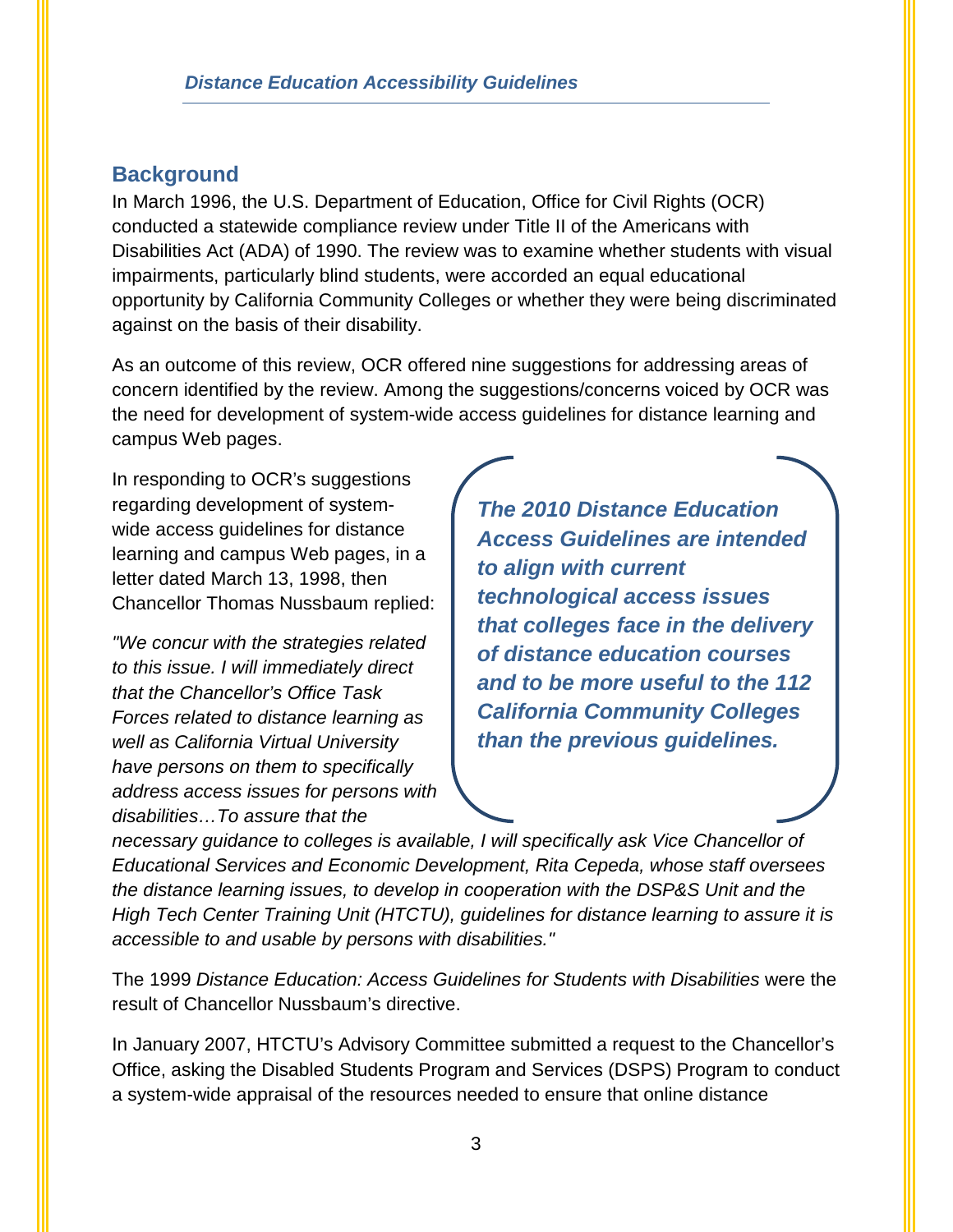## <span id="page-5-0"></span>**Background**

In March 1996, the U.S. Department of Education, Office for Civil Rights (OCR) conducted a statewide compliance review under Title II of the Americans with Disabilities Act (ADA) of 1990. The review was to examine whether students with visual impairments, particularly blind students, were accorded an equal educational opportunity by California Community Colleges or whether they were being discriminated against on the basis of their disability.

As an outcome of this review, OCR offered nine suggestions for addressing areas of concern identified by the review. Among the suggestions/concerns voiced by OCR was the need for development of system-wide access guidelines for distance learning and campus Web pages.

In responding to OCR's suggestions regarding development of systemwide access guidelines for distance learning and campus Web pages, in a letter dated March 13, 1998, then Chancellor Thomas Nussbaum replied:

*"We concur with the strategies related to this issue. I will immediately direct that the Chancellor's Office Task Forces related to distance learning as well as California Virtual University have persons on them to specifically address access issues for persons with disabilities…To assure that the* 

*The 2010 Distance Education Access Guidelines are intended to align with current technological access issues that colleges face in the delivery of distance education courses and to be more useful to the 112 California Community Colleges than the previous guidelines.* 

*necessary guidance to colleges is available, I will specifically ask Vice Chancellor of Educational Services and Economic Development, Rita Cepeda, whose staff oversees the distance learning issues, to develop in cooperation with the DSP&S Unit and the High Tech Center Training Unit (HTCTU), guidelines for distance learning to assure it is accessible to and usable by persons with disabilities."*

The 1999 *Distance Education: Access Guidelines for Students with Disabilities* were the result of Chancellor Nussbaum's directive.

In January 2007, HTCTU's Advisory Committee submitted a request to the Chancellor's Office, asking the Disabled Students Program and Services (DSPS) Program to conduct a system-wide appraisal of the resources needed to ensure that online distance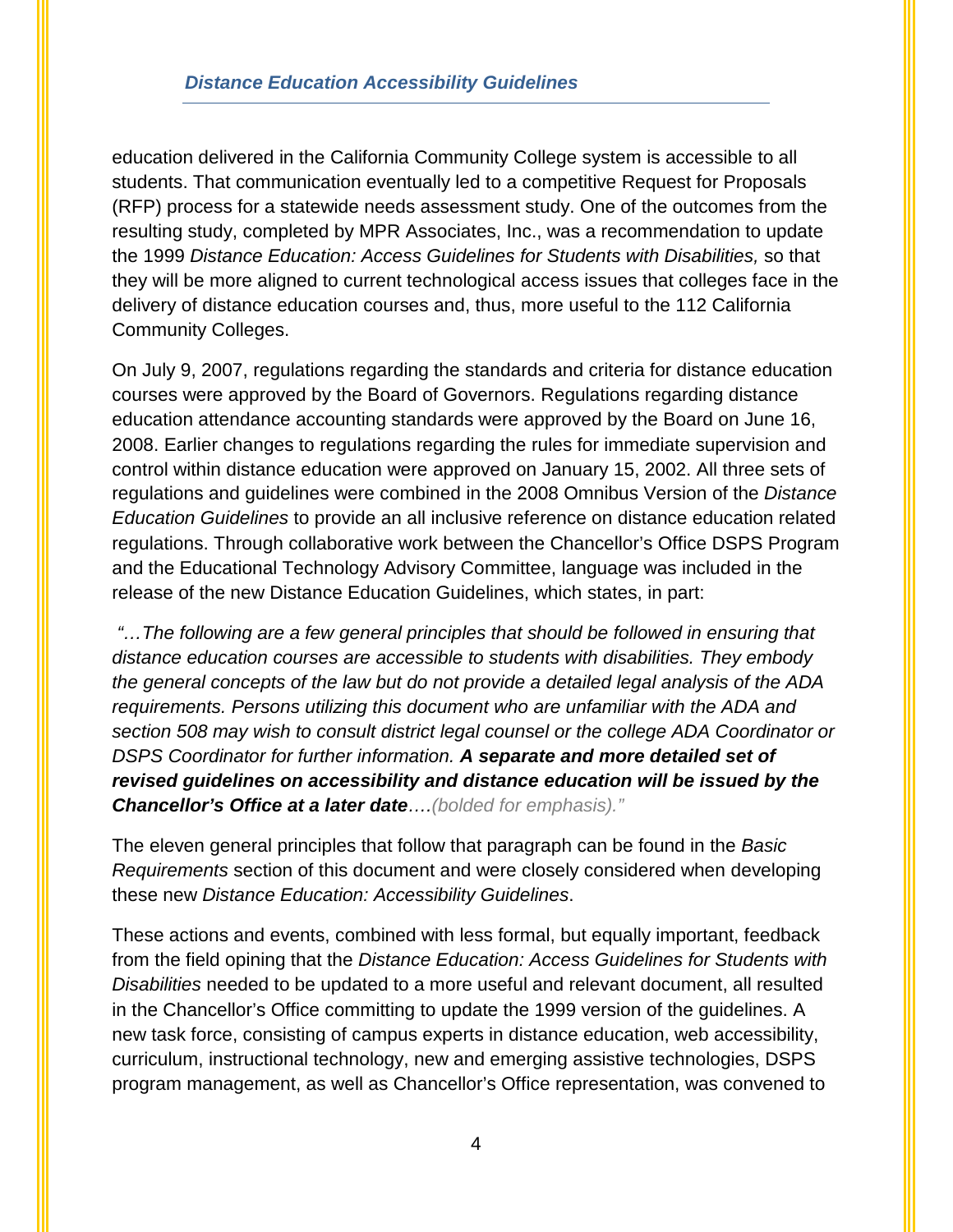education delivered in the California Community College system is accessible to all students. That communication eventually led to a competitive Request for Proposals (RFP) process for a statewide needs assessment study. One of the outcomes from the resulting study, completed by MPR Associates, Inc., was a recommendation to update the 1999 *Distance Education: Access Guidelines for Students with Disabilities,* so that they will be more aligned to current technological access issues that colleges face in the delivery of distance education courses and, thus, more useful to the 112 California Community Colleges.

On July 9, 2007, regulations regarding the standards and criteria for distance education courses were approved by the Board of Governors. Regulations regarding distance education attendance accounting standards were approved by the Board on June 16, 2008. Earlier changes to regulations regarding the rules for immediate supervision and control within distance education were approved on January 15, 2002. All three sets of regulations and guidelines were combined in the 2008 Omnibus Version of the *Distance Education Guidelines* to provide an all inclusive reference on distance education related regulations. Through collaborative work between the Chancellor's Office DSPS Program and the Educational Technology Advisory Committee, language was included in the release of the new Distance Education Guidelines, which states, in part:

*"…The following are a few general principles that should be followed in ensuring that distance education courses are accessible to students with disabilities. They embody the general concepts of the law but do not provide a detailed legal analysis of the ADA requirements. Persons utilizing this document who are unfamiliar with the ADA and section 508 may wish to consult district legal counsel or the college ADA Coordinator or DSPS Coordinator for further information. A separate and more detailed set of revised guidelines on accessibility and distance education will be issued by the Chancellor's Office at a later date….(bolded for emphasis)."*

The eleven general principles that follow that paragraph can be found in the *Basic Requirements* section of this document and were closely considered when developing these new *Distance Education: Accessibility Guidelines*.

These actions and events, combined with less formal, but equally important, feedback from the field opining that the *Distance Education: Access Guidelines for Students with Disabilities* needed to be updated to a more useful and relevant document, all resulted in the Chancellor's Office committing to update the 1999 version of the guidelines. A new task force, consisting of campus experts in distance education, web accessibility, curriculum, instructional technology, new and emerging assistive technologies, DSPS program management, as well as Chancellor's Office representation, was convened to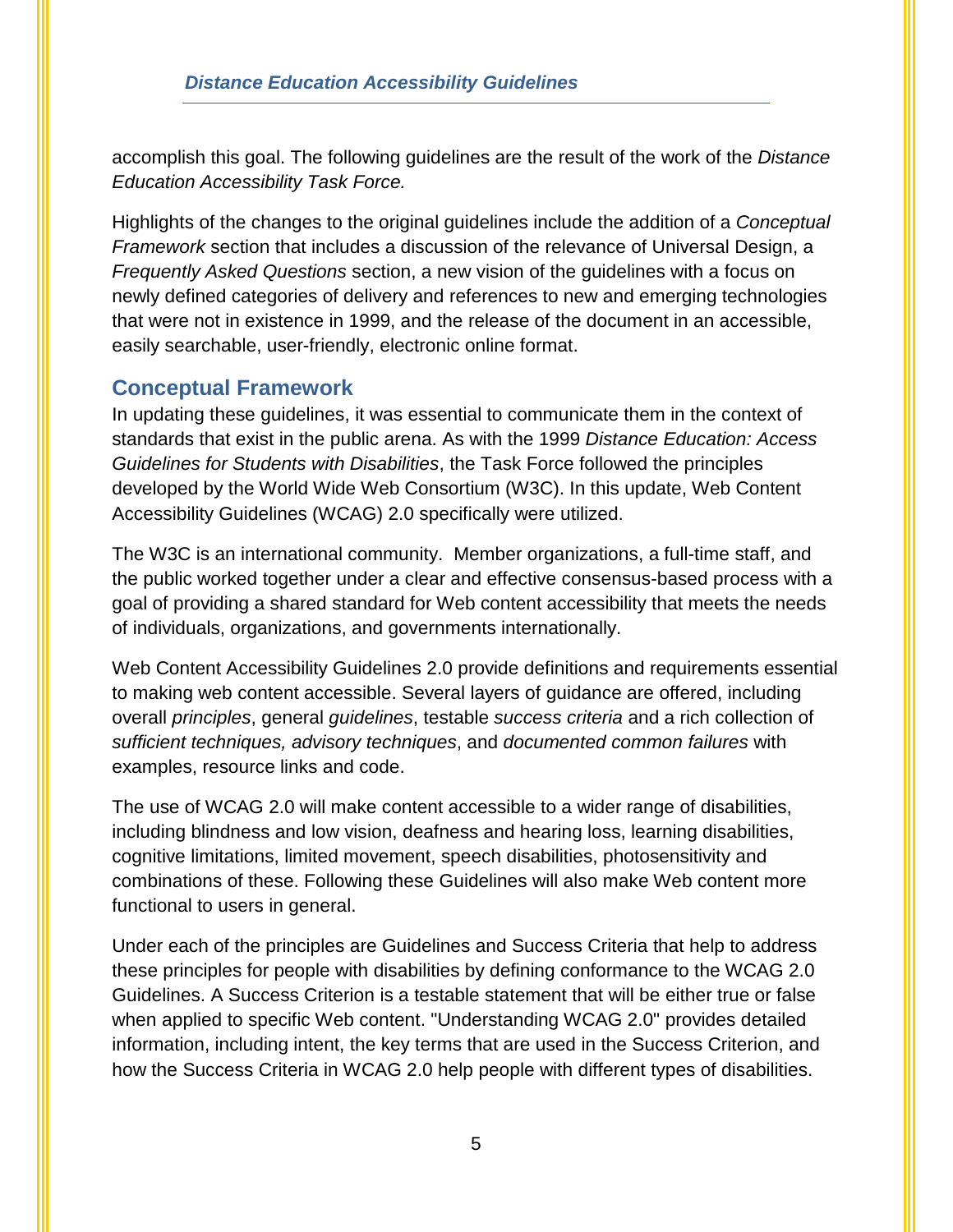accomplish this goal. The following guidelines are the result of the work of the *Distance Education Accessibility Task Force.*

Highlights of the changes to the original guidelines include the addition of a *Conceptual Framework* section that includes a discussion of the relevance of Universal Design, a *Frequently Asked Questions* section, a new vision of the guidelines with a focus on newly defined categories of delivery and references to new and emerging technologies that were not in existence in 1999, and the release of the document in an accessible, easily searchable, user-friendly, electronic online format.

## <span id="page-7-0"></span>**Conceptual Framework**

In updating these guidelines, it was essential to communicate them in the context of standards that exist in the public arena. As with the 1999 *Distance Education: Access Guidelines for Students with Disabilities*, the Task Force followed the principles developed by the World Wide Web Consortium (W3C). In this update, Web Content Accessibility Guidelines (WCAG) 2.0 specifically were utilized.

The W3C is an international community. [Member organizations,](http://www.w3.org/Consortium/Member/List) a full-time [staff,](http://www.w3.org/People/) and the public worked together under a clear and effective consensus-based process with a goal of providing a shared standard for Web content accessibility that meets the needs of individuals, organizations, and governments internationally.

Web Content Accessibility Guidelines 2.0 provide definitions and requirements essential to making web content accessible. Several layers of guidance are offered, including overall *principles*, general *guidelines*, testable *success criteria* and a rich collection of *sufficient techniques, advisory techniques*, and *documented common failures* with examples, resource links and code.

The use of WCAG 2.0 will make content accessible to a wider range of disabilities, including blindness and low vision, deafness and hearing loss, learning disabilities, cognitive limitations, limited movement, speech disabilities, photosensitivity and combinations of these. Following these Guidelines will also make Web content more functional to users in general.

Under each of the principles are Guidelines and Success Criteria that help to address these principles for people with disabilities by defining conformance to the WCAG 2.0 Guidelines. A Success Criterion is a testable statement that will be either true or false when applied to specific Web content. "Understanding WCAG 2.0" provides detailed information, including intent, the key terms that are used in the Success Criterion, and how the Success Criteria in WCAG 2.0 help people with different types of disabilities.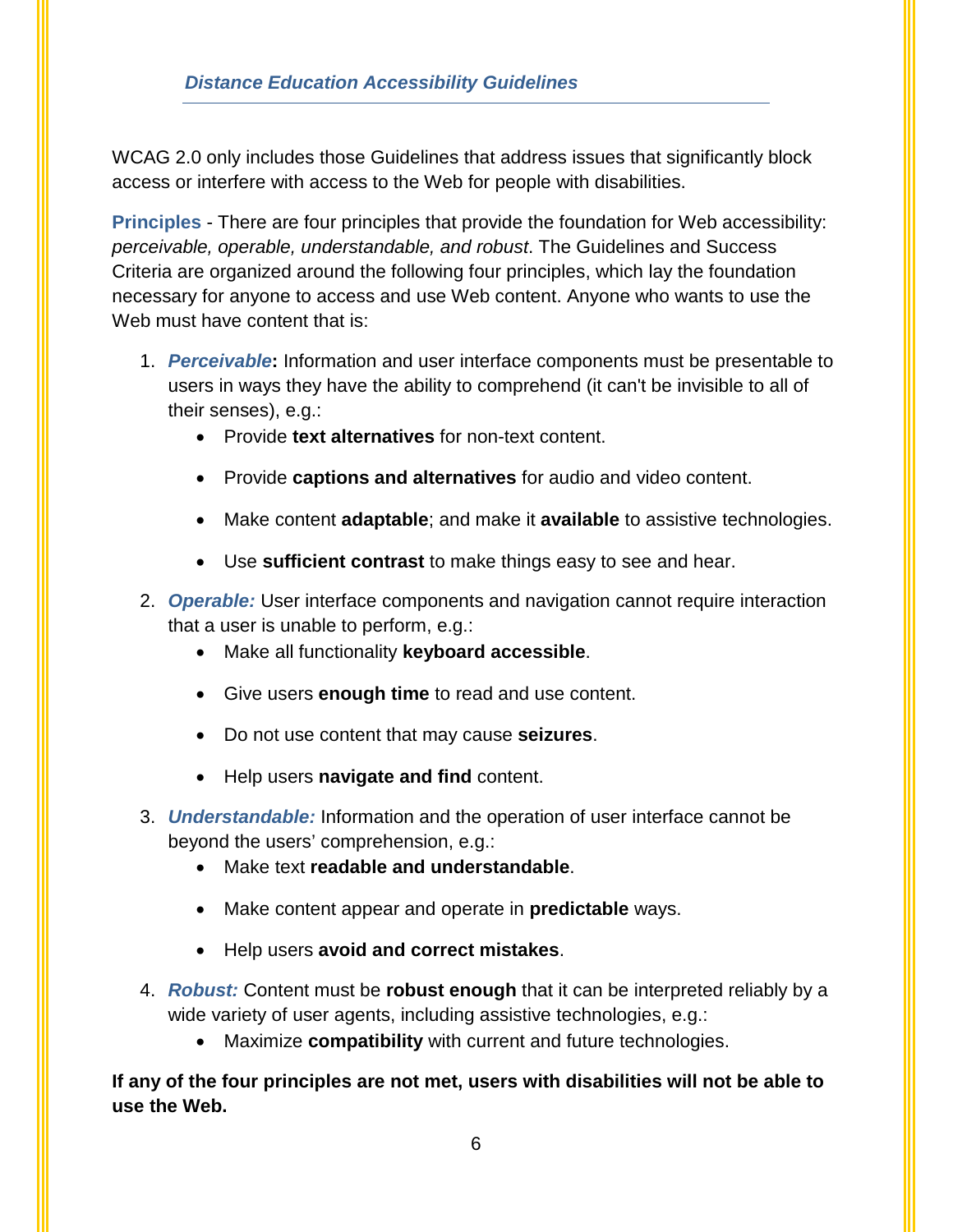WCAG 2.0 only includes those Guidelines that address issues that significantly block access or interfere with access to the Web for people with disabilities.

**Principles** - There are four principles that provide the foundation for Web accessibility: *perceivable, operable, understandable, and robust*. The Guidelines and Success Criteria are organized around the following four principles, which lay the foundation necessary for anyone to access and use Web content. Anyone who wants to use the Web must have content that is:

- 1. *Perceivable***:** Information and user interface components must be presentable to users in ways they have the ability to comprehend (it can't be invisible to all of their senses), e.g.:
	- Provide **text alternatives** for non-text content.
	- Provide **captions and alternatives** for audio and video content.
	- Make content **adaptable**; and make it **available** to assistive technologies.
	- Use **sufficient contrast** to make things easy to see and hear.
- 2. *Operable:* User interface components and navigation cannot require interaction that a user is unable to perform, e.g.:
	- Make all functionality **keyboard accessible**.
	- Give users **enough time** to read and use content.
	- Do not use content that may cause **seizures**.
	- Help users **navigate and find** content.
- 3. *Understandable:* Information and the operation of user interface cannot be beyond the users' comprehension, e.g.:
	- Make text **readable and understandable**.
	- Make content appear and operate in **predictable** ways.
	- Help users **avoid and correct mistakes**.
- 4. *Robust:* Content must be **robust enough** that it can be interpreted reliably by a wide variety of user agents, including assistive technologies, e.g.:
	- Maximize **compatibility** with current and future technologies.

**If any of the four principles are not met, users with disabilities will not be able to use the Web.**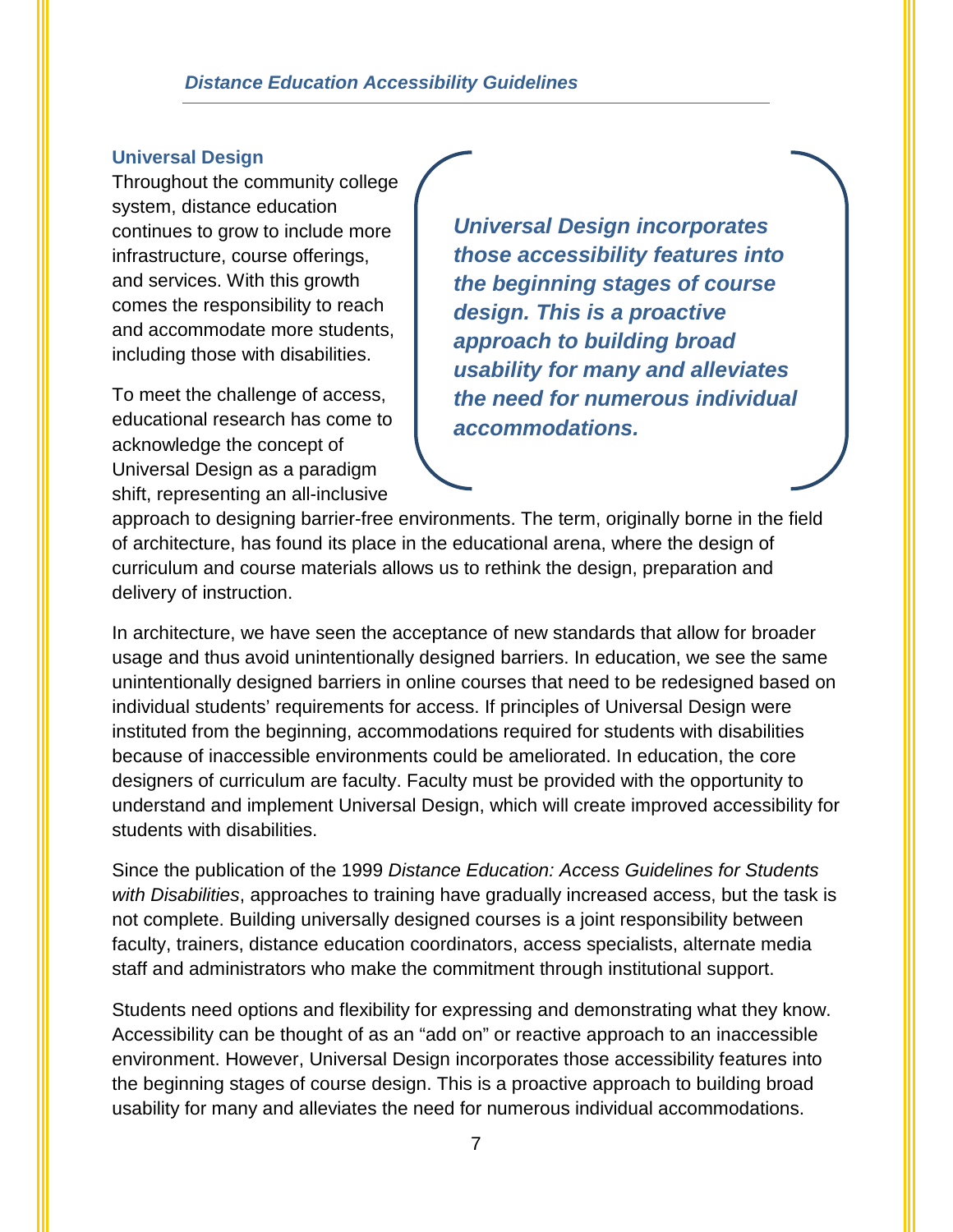#### *Distance Education Accessibility Guidelines*

#### <span id="page-9-0"></span>**Universal Design**

Throughout the community college system, distance education continues to grow to include more infrastructure, course offerings, and services. With this growth comes the responsibility to reach and accommodate more students, including those with disabilities.

To meet the challenge of access, educational research has come to acknowledge the concept of Universal Design as a paradigm shift, representing an all-inclusive

*Universal Design incorporates those accessibility features into the beginning stages of course design. This is a proactive approach to building broad usability for many and alleviates the need for numerous individual accommodations.*

approach to designing barrier-free environments. The term, originally borne in the field of architecture, has found its place in the educational arena, where the design of curriculum and course materials allows us to rethink the design, preparation and delivery of instruction.

In architecture, we have seen the acceptance of new standards that allow for broader usage and thus avoid unintentionally designed barriers. In education, we see the same unintentionally designed barriers in online courses that need to be redesigned based on individual students' requirements for access. If principles of Universal Design were instituted from the beginning, accommodations required for students with disabilities because of inaccessible environments could be ameliorated. In education, the core designers of curriculum are faculty. Faculty must be provided with the opportunity to understand and implement Universal Design, which will create improved accessibility for students with disabilities.

Since the publication of the 1999 *Distance Education: Access Guidelines for Students with Disabilities*, approaches to training have gradually increased access, but the task is not complete. Building universally designed courses is a joint responsibility between faculty, trainers, distance education coordinators, access specialists, alternate media staff and administrators who make the commitment through institutional support.

Students need options and flexibility for expressing and demonstrating what they know. Accessibility can be thought of as an "add on" or reactive approach to an inaccessible environment. However, Universal Design incorporates those accessibility features into the beginning stages of course design. This is a proactive approach to building broad usability for many and alleviates the need for numerous individual accommodations.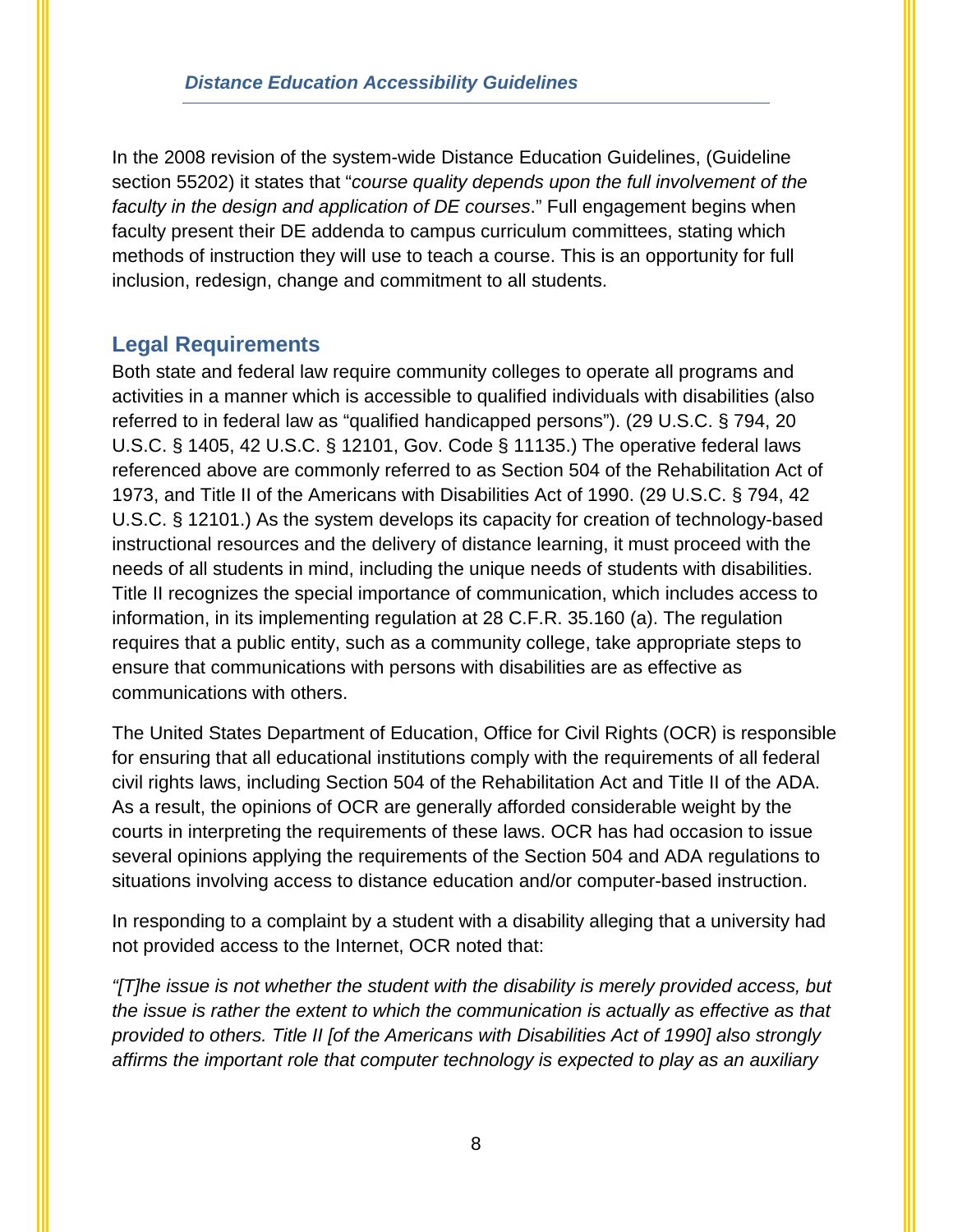In the 2008 revision of the system-wide Distance Education Guidelines, (Guideline section 55202) it states that "*course quality depends upon the full involvement of the faculty in the design and application of DE courses*." Full engagement begins when faculty present their DE addenda to campus curriculum committees, stating which methods of instruction they will use to teach a course. This is an opportunity for full inclusion, redesign, change and commitment to all students.

## <span id="page-10-0"></span>**Legal Requirements**

Both state and federal law require community colleges to operate all programs and activities in a manner which is accessible to qualified individuals with disabilities (also referred to in federal law as "qualified handicapped persons"). (29 U.S.C. § 794, 20 U.S.C. § 1405, 42 U.S.C. § 12101, Gov. Code § 11135.) The operative federal laws referenced above are commonly referred to as Section 504 of the Rehabilitation Act of 1973, and Title II of the Americans with Disabilities Act of 1990. (29 U.S.C. § 794, 42 U.S.C. § 12101.) As the system develops its capacity for creation of technology-based instructional resources and the delivery of distance learning, it must proceed with the needs of all students in mind, including the unique needs of students with disabilities. Title II recognizes the special importance of communication, which includes access to information, in its implementing regulation at 28 C.F.R. 35.160 (a). The regulation requires that a public entity, such as a community college, take appropriate steps to ensure that communications with persons with disabilities are as effective as communications with others.

The United States Department of Education, Office for Civil Rights (OCR) is responsible for ensuring that all educational institutions comply with the requirements of all federal civil rights laws, including Section 504 of the Rehabilitation Act and Title II of the ADA. As a result, the opinions of OCR are generally afforded considerable weight by the courts in interpreting the requirements of these laws. OCR has had occasion to issue several opinions applying the requirements of the Section 504 and ADA regulations to situations involving access to distance education and/or computer-based instruction.

In responding to a complaint by a student with a disability alleging that a university had not provided access to the Internet, OCR noted that:

*"[T]he issue is not whether the student with the disability is merely provided access, but the issue is rather the extent to which the communication is actually as effective as that provided to others. Title II [of the Americans with Disabilities Act of 1990] also strongly affirms the important role that computer technology is expected to play as an auxiliary*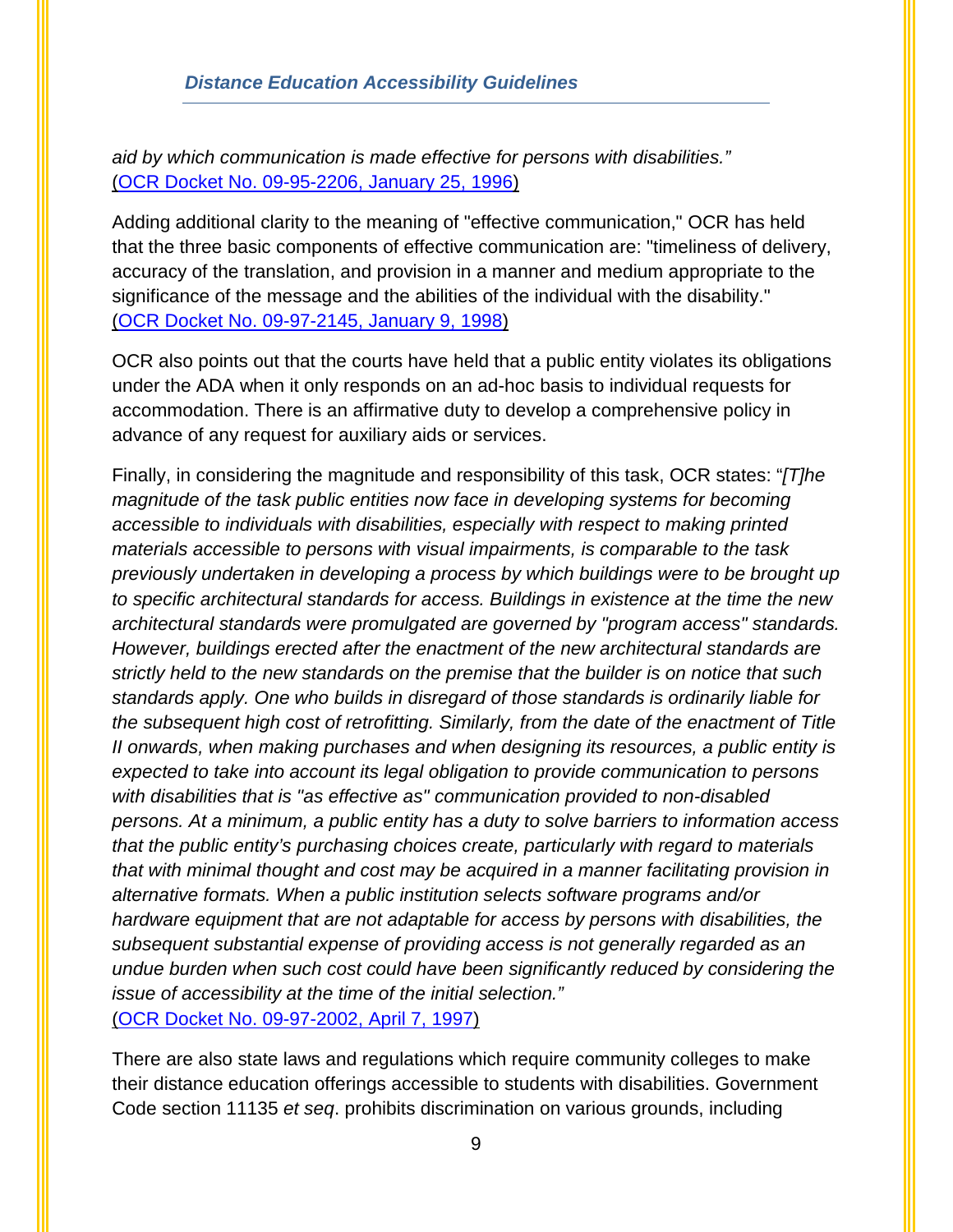*aid by which communication is made effective for persons with disabilities."*  [\(OCR Docket No. 09-95-2206, January 25, 1996\)](http://resourcedirectory.galvin-group.com/DocUpload/OCR%20Case%20Re%20San%20Jose%20State.pdf)

Adding additional clarity to the meaning of "effective communication," OCR has held that the three basic components of effective communication are: "timeliness of delivery, accuracy of the translation, and provision in a manner and medium appropriate to the significance of the message and the abilities of the individual with the disability." [\(OCR Docket No. 09-97-2145, January 9, 1998\)](http://resourcedirectory.galvin-group.com/DocUpload/OCR%20Docket%2009-97-2145%201998.docx)

OCR also points out that the courts have held that a public entity violates its obligations under the ADA when it only responds on an ad-hoc basis to individual requests for accommodation. There is an affirmative duty to develop a comprehensive policy in advance of any request for auxiliary aids or services.

Finally, in considering the magnitude and responsibility of this task, OCR states: "*[T]he magnitude of the task public entities now face in developing systems for becoming accessible to individuals with disabilities, especially with respect to making printed materials accessible to persons with visual impairments, is comparable to the task previously undertaken in developing a process by which buildings were to be brought up to specific architectural standards for access. Buildings in existence at the time the new architectural standards were promulgated are governed by "program access" standards. However, buildings erected after the enactment of the new architectural standards are strictly held to the new standards on the premise that the builder is on notice that such standards apply. One who builds in disregard of those standards is ordinarily liable for the subsequent high cost of retrofitting. Similarly, from the date of the enactment of Title II onwards, when making purchases and when designing its resources, a public entity is expected to take into account its legal obligation to provide communication to persons with disabilities that is "as effective as" communication provided to non-disabled persons. At a minimum, a public entity has a duty to solve barriers to information access that the public entity's purchasing choices create, particularly with regard to materials that with minimal thought and cost may be acquired in a manner facilitating provision in alternative formats. When a public institution selects software programs and/or hardware equipment that are not adaptable for access by persons with disabilities, the subsequent substantial expense of providing access is not generally regarded as an undue burden when such cost could have been significantly reduced by considering the issue of accessibility at the time of the initial selection."*  [\(OCR Docket No. 09-97-2002, April 7, 1997\)](http://resourcedirectory.galvin-group.com/DocUpload/OCR%20Letter%20CSU%20Los%20Angeles.doc)

There are also state laws and regulations which require community colleges to make their distance education offerings accessible to students with disabilities. Government Code section 11135 *et seq*. prohibits discrimination on various grounds, including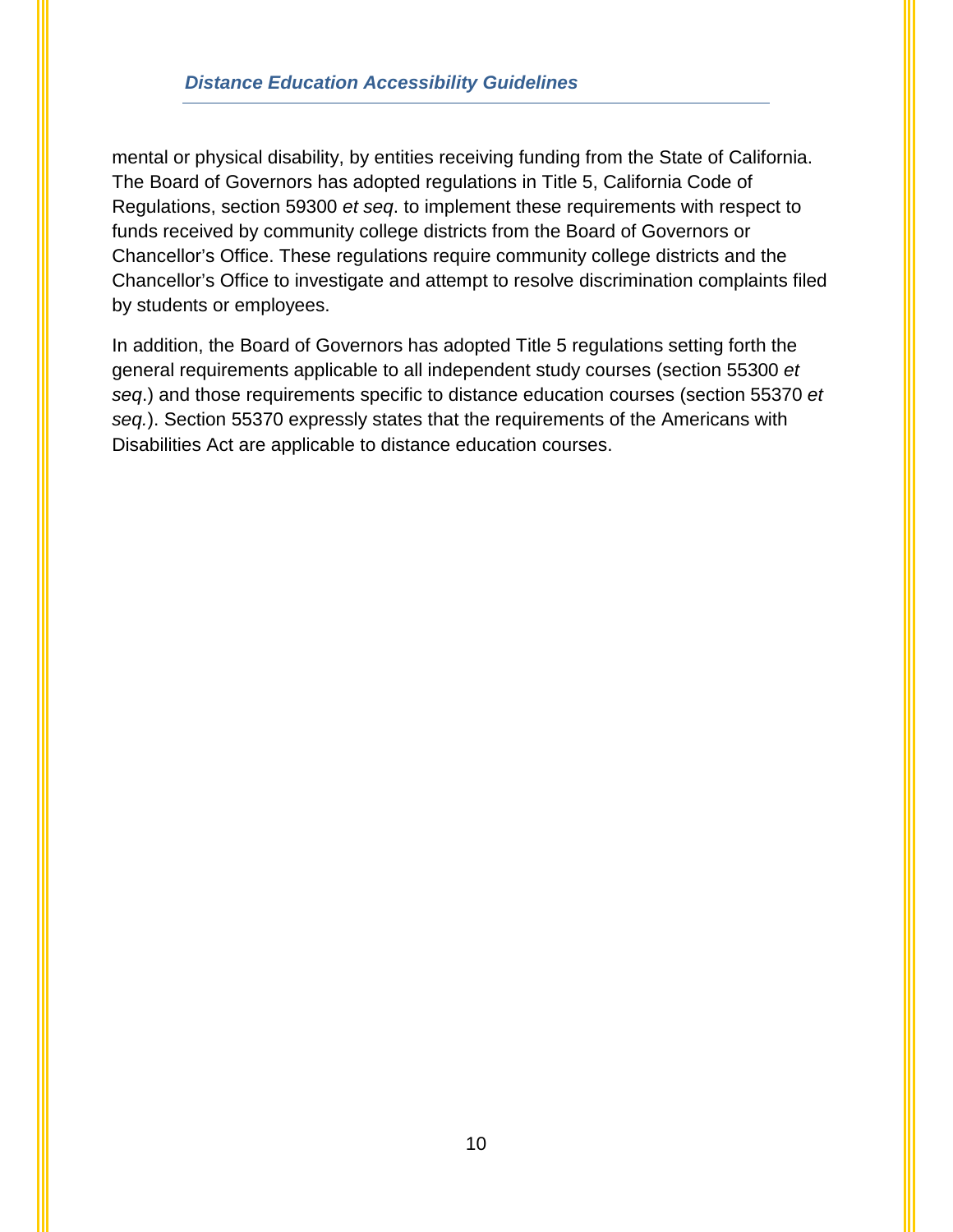#### *Distance Education Accessibility Guidelines*

mental or physical disability, by entities receiving funding from the State of California. The Board of Governors has adopted regulations in Title 5, California Code of Regulations, section 59300 *et seq*. to implement these requirements with respect to funds received by community college districts from the Board of Governors or Chancellor's Office. These regulations require community college districts and the Chancellor's Office to investigate and attempt to resolve discrimination complaints filed by students or employees.

In addition, the Board of Governors has adopted Title 5 regulations setting forth the general requirements applicable to all independent study courses (section 55300 *et seq*.) and those requirements specific to distance education courses (section 55370 *et seq.*). Section 55370 expressly states that the requirements of the Americans with Disabilities Act are applicable to distance education courses.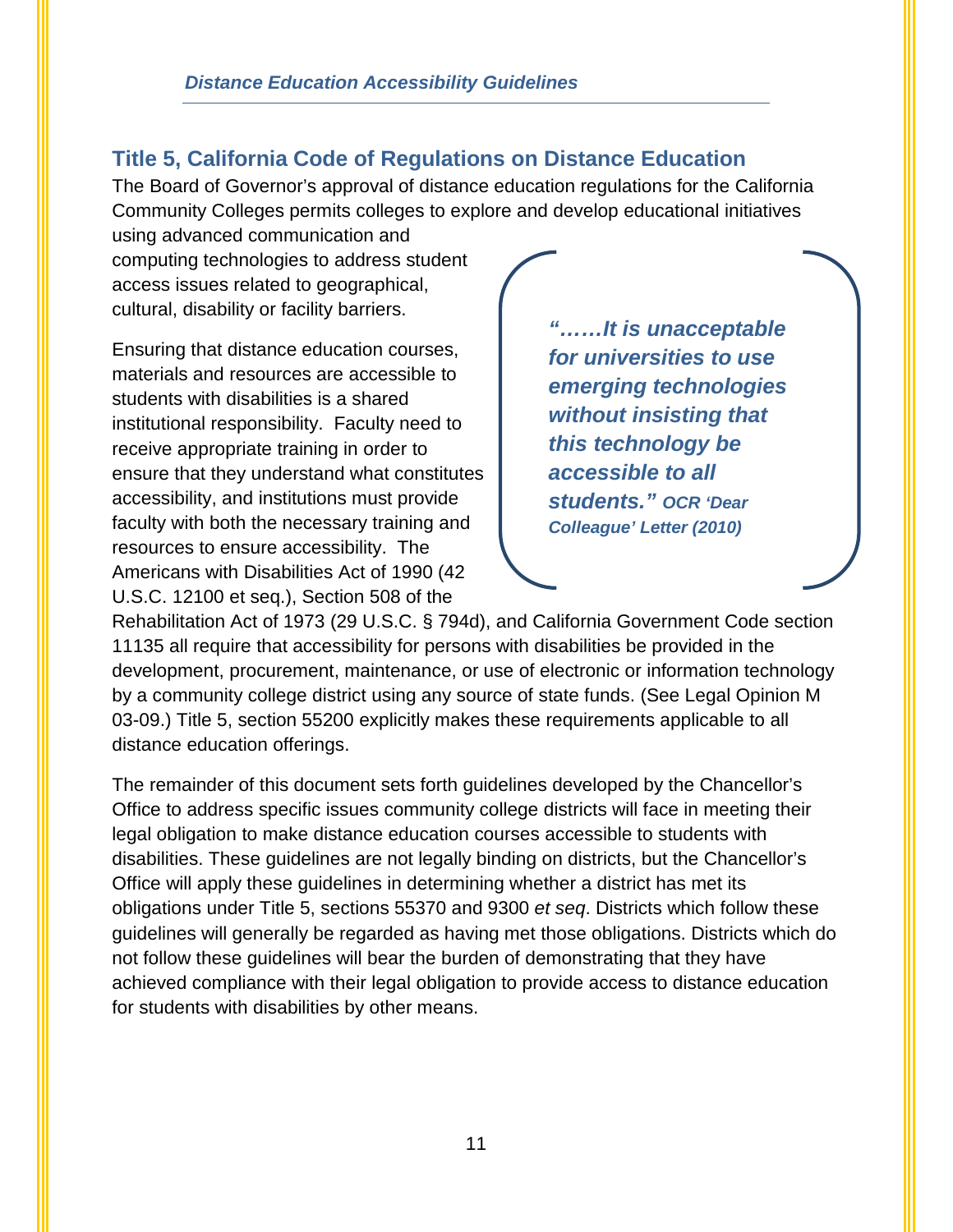## <span id="page-13-0"></span>**Title 5, California Code of Regulations on Distance Education**

The Board of Governor's approval of distance education regulations for the California Community Colleges permits colleges to explore and develop educational initiatives

using advanced communication and computing technologies to address student access issues related to geographical, cultural, disability or facility barriers.

Ensuring that distance education courses, materials and resources are accessible to students with disabilities is a shared institutional responsibility. Faculty need to receive appropriate training in order to ensure that they understand what constitutes accessibility, and institutions must provide faculty with both the necessary training and resources to ensure accessibility. The Americans with Disabilities Act of 1990 (42 U.S.C. 12100 et seq.), Section 508 of the

*"……It is unacceptable for universities to use emerging technologies without insisting that this technology be accessible to all students." OCR 'Dear Colleague' Letter (2010)*

Rehabilitation Act of 1973 (29 U.S.C. § 794d), and California Government Code section 11135 all require that accessibility for persons with disabilities be provided in the development, procurement, maintenance, or use of electronic or information technology by a community college district using any source of state funds. (See Legal Opinion M 03-09.) Title 5, section 55200 explicitly makes these requirements applicable to all distance education offerings.

The remainder of this document sets forth guidelines developed by the Chancellor's Office to address specific issues community college districts will face in meeting their legal obligation to make distance education courses accessible to students with disabilities. These guidelines are not legally binding on districts, but the Chancellor's Office will apply these guidelines in determining whether a district has met its obligations under Title 5, sections 55370 and 9300 *et seq*. Districts which follow these guidelines will generally be regarded as having met those obligations. Districts which do not follow these guidelines will bear the burden of demonstrating that they have achieved compliance with their legal obligation to provide access to distance education for students with disabilities by other means.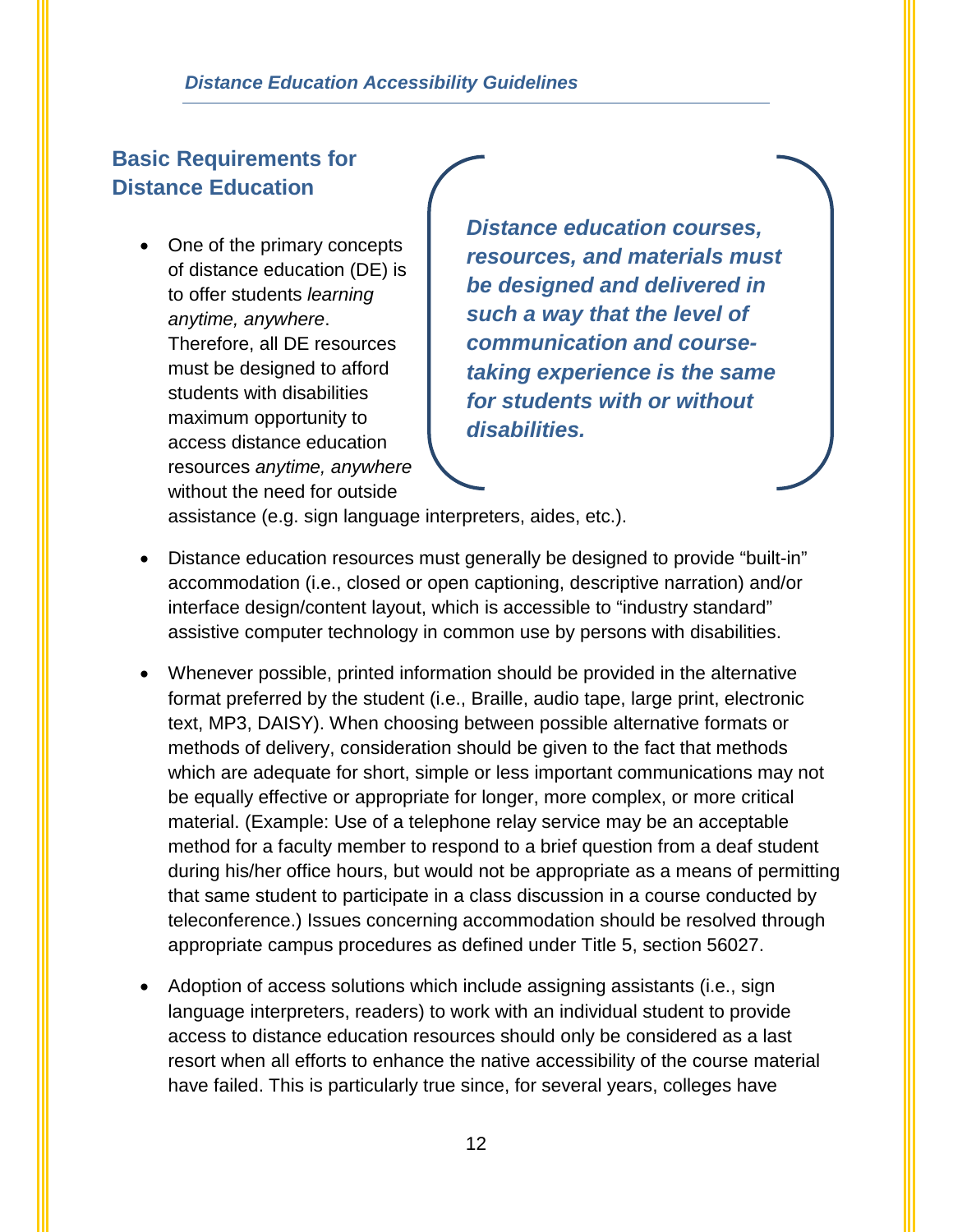## <span id="page-14-0"></span>**Basic Requirements for Distance Education**

• One of the primary concepts of distance education (DE) is to offer students *learning anytime, anywhere*. Therefore, all DE resources must be designed to afford students with disabilities maximum opportunity to access distance education resources *anytime, anywhere* without the need for outside

*Distance education courses, resources, and materials must be designed and delivered in such a way that the level of communication and coursetaking experience is the same for students with or without disabilities.*

assistance (e.g. sign language interpreters, aides, etc.).

- Distance education resources must generally be designed to provide "built-in" accommodation (i.e., closed or open captioning, descriptive narration) and/or interface design/content layout, which is accessible to "industry standard" assistive computer technology in common use by persons with disabilities.
- Whenever possible, printed information should be provided in the alternative format preferred by the student (i.e., Braille, audio tape, large print, electronic text, MP3, DAISY). When choosing between possible alternative formats or methods of delivery, consideration should be given to the fact that methods which are adequate for short, simple or less important communications may not be equally effective or appropriate for longer, more complex, or more critical material. (Example: Use of a telephone relay service may be an acceptable method for a faculty member to respond to a brief question from a deaf student during his/her office hours, but would not be appropriate as a means of permitting that same student to participate in a class discussion in a course conducted by teleconference.) Issues concerning accommodation should be resolved through appropriate campus procedures as defined under Title 5, section 56027.
- Adoption of access solutions which include assigning assistants (i.e., sign language interpreters, readers) to work with an individual student to provide access to distance education resources should only be considered as a last resort when all efforts to enhance the native accessibility of the course material have failed. This is particularly true since, for several years, colleges have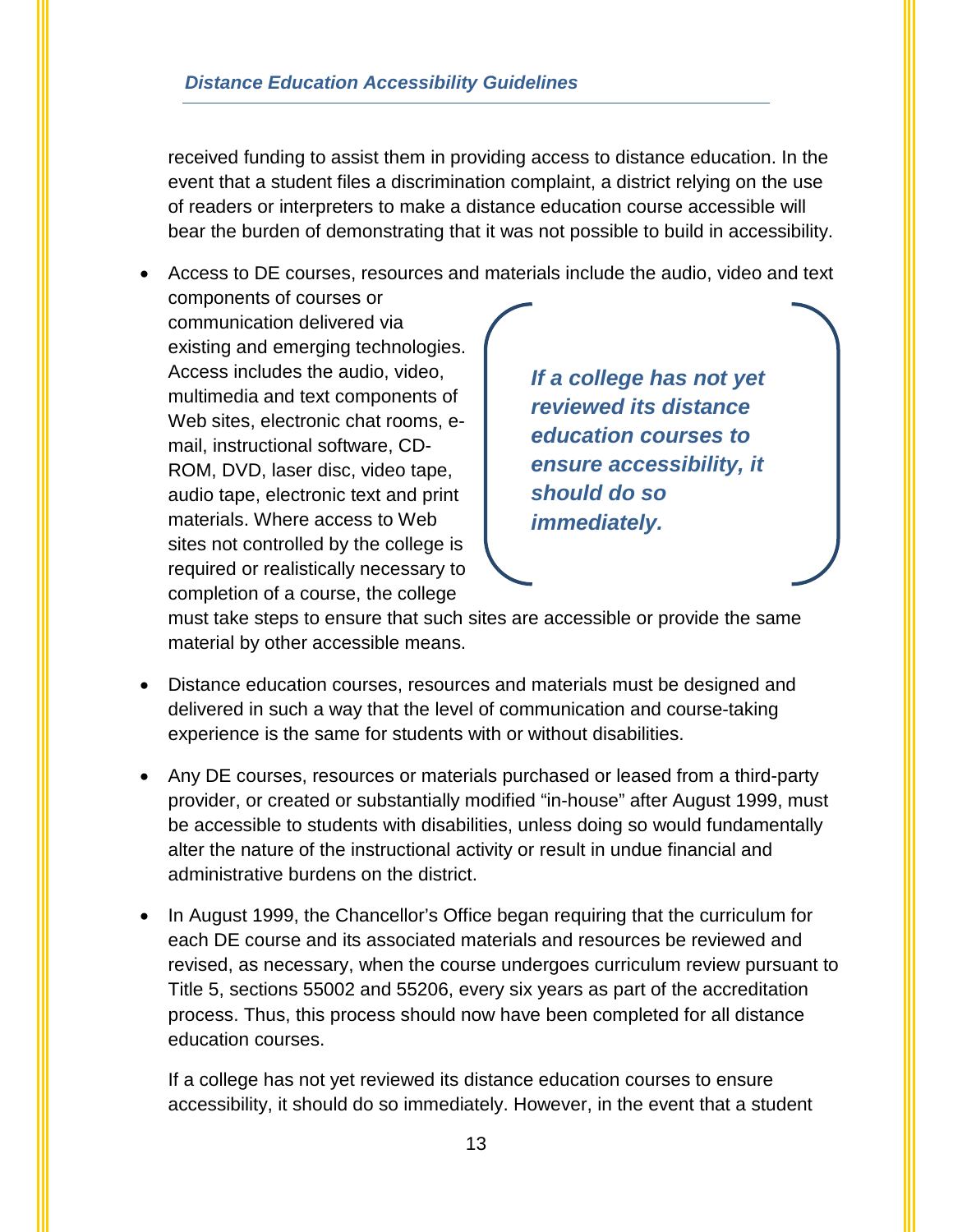completion of a course, the college

received funding to assist them in providing access to distance education. In the event that a student files a discrimination complaint, a district relying on the use of readers or interpreters to make a distance education course accessible will bear the burden of demonstrating that it was not possible to build in accessibility.

• Access to DE courses, resources and materials include the audio, video and text components of courses or communication delivered via existing and emerging technologies. Access includes the audio, video, multimedia and text components of Web sites, electronic chat rooms, email, instructional software, CD-ROM, DVD, laser disc, video tape, audio tape, electronic text and print materials. Where access to Web sites not controlled by the college is required or realistically necessary to *If a college has not yet reviewed its distance education courses to ensure accessibility, it should do so immediately.* 

must take steps to ensure that such sites are accessible or provide the same material by other accessible means.

- Distance education courses, resources and materials must be designed and delivered in such a way that the level of communication and course-taking experience is the same for students with or without disabilities.
- Any DE courses, resources or materials purchased or leased from a third-party provider, or created or substantially modified "in-house" after August 1999, must be accessible to students with disabilities, unless doing so would fundamentally alter the nature of the instructional activity or result in undue financial and administrative burdens on the district.
- In August 1999, the Chancellor's Office began requiring that the curriculum for each DE course and its associated materials and resources be reviewed and revised, as necessary, when the course undergoes curriculum review pursuant to Title 5, sections 55002 and 55206, every six years as part of the accreditation process. Thus, this process should now have been completed for all distance education courses.

If a college has not yet reviewed its distance education courses to ensure accessibility, it should do so immediately. However, in the event that a student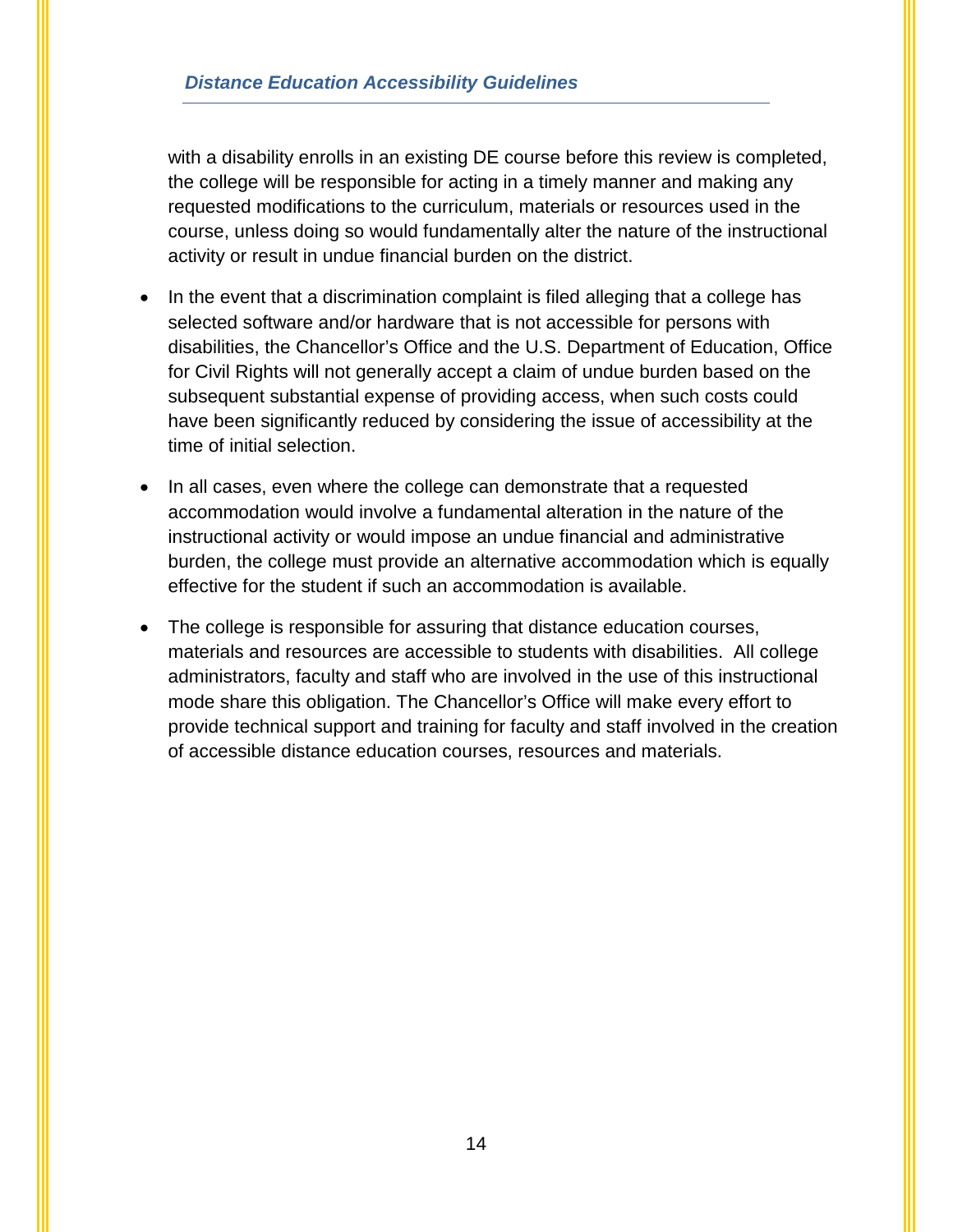with a disability enrolls in an existing DE course before this review is completed, the college will be responsible for acting in a timely manner and making any requested modifications to the curriculum, materials or resources used in the course, unless doing so would fundamentally alter the nature of the instructional activity or result in undue financial burden on the district.

- In the event that a discrimination complaint is filed alleging that a college has selected software and/or hardware that is not accessible for persons with disabilities, the Chancellor's Office and the U.S. Department of Education, Office for Civil Rights will not generally accept a claim of undue burden based on the subsequent substantial expense of providing access, when such costs could have been significantly reduced by considering the issue of accessibility at the time of initial selection.
- In all cases, even where the college can demonstrate that a requested accommodation would involve a fundamental alteration in the nature of the instructional activity or would impose an undue financial and administrative burden, the college must provide an alternative accommodation which is equally effective for the student if such an accommodation is available.
- The college is responsible for assuring that distance education courses, materials and resources are accessible to students with disabilities. All college administrators, faculty and staff who are involved in the use of this instructional mode share this obligation. The Chancellor's Office will make every effort to provide technical support and training for faculty and staff involved in the creation of accessible distance education courses, resources and materials.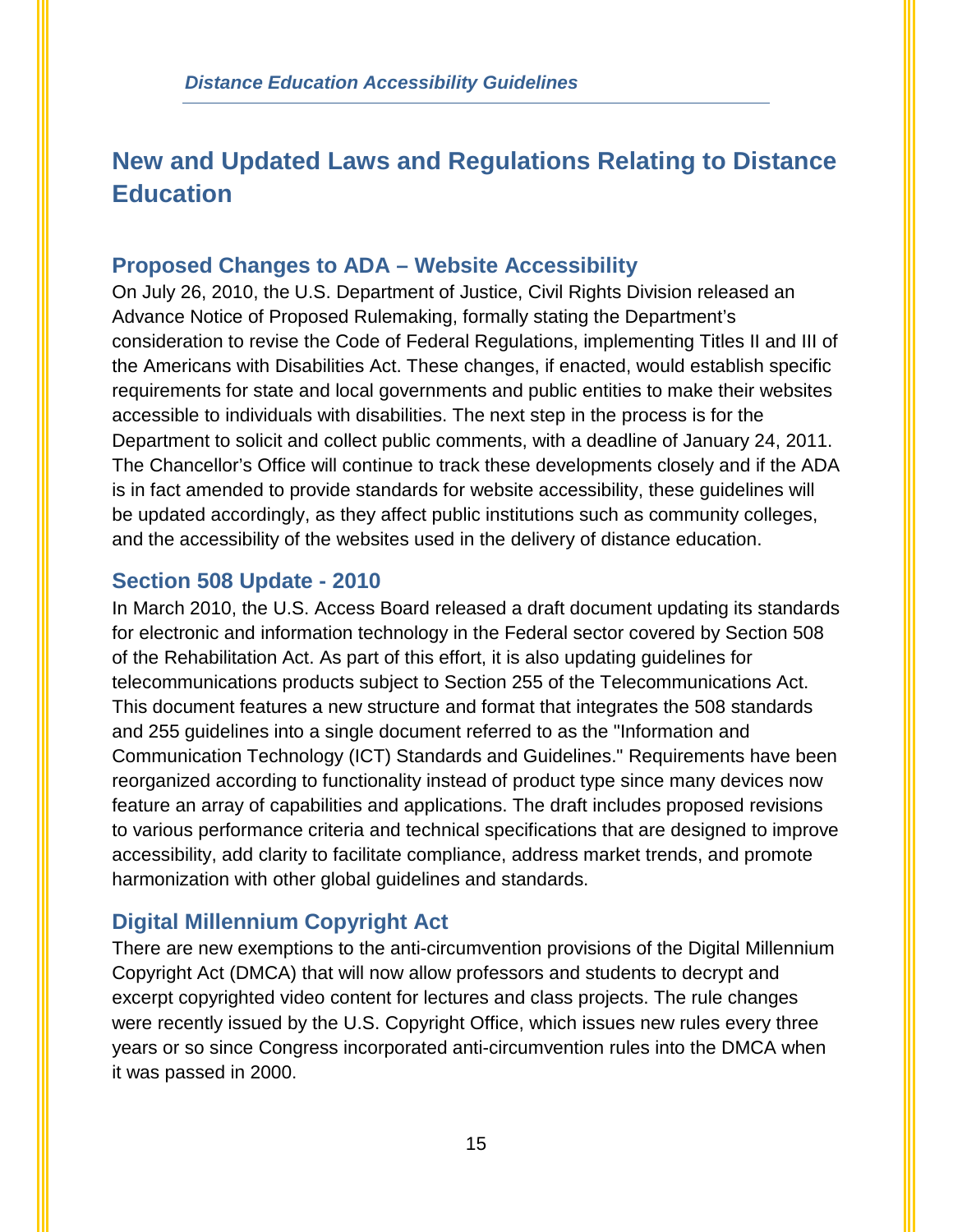# <span id="page-17-0"></span>**New and Updated Laws and Regulations Relating to Distance Education**

## **Proposed Changes to ADA – Website Accessibility**

On July 26, 2010, the U.S. Department of Justice, Civil Rights Division released an Advance Notice of Proposed Rulemaking, formally stating the Department's consideration to revise the Code of Federal Regulations, implementing Titles II and III of the Americans with Disabilities Act. These changes, if enacted, would establish specific requirements for state and local governments and public entities to make their websites accessible to individuals with disabilities. The next step in the process is for the Department to solicit and collect public comments, with a deadline of January 24, 2011. The Chancellor's Office will continue to track these developments closely and if the ADA is in fact amended to provide standards for website accessibility, these guidelines will be updated accordingly, as they affect public institutions such as community colleges, and the accessibility of the websites used in the delivery of distance education.

## **Section 508 Update - 2010**

In March 2010, the U.S. Access Board released a draft document updating its standards for electronic and information technology in the Federal sector covered by Section 508 of the Rehabilitation Act. As part of this effort, it is also updating guidelines for telecommunications products subject to Section 255 of the Telecommunications Act. This document features a new structure and format that integrates the 508 standards and 255 guidelines into a single document referred to as the "Information and Communication Technology (ICT) Standards and Guidelines." Requirements have been reorganized according to functionality instead of product type since many devices now feature an array of capabilities and applications. The draft includes proposed revisions to various performance criteria and technical specifications that are designed to improve accessibility, add clarity to facilitate compliance, address market trends, and promote harmonization with other global guidelines and standards.

## **Digital Millennium Copyright Act**

There are new exemptions to the anti-circumvention provisions of the Digital Millennium Copyright Act (DMCA) that will now allow professors and students to decrypt and excerpt copyrighted video content for lectures and class projects. The rule changes were recently issued by the U.S. Copyright Office, which issues new rules every three years or so since Congress incorporated anti-circumvention rules into the DMCA when it was passed in 2000.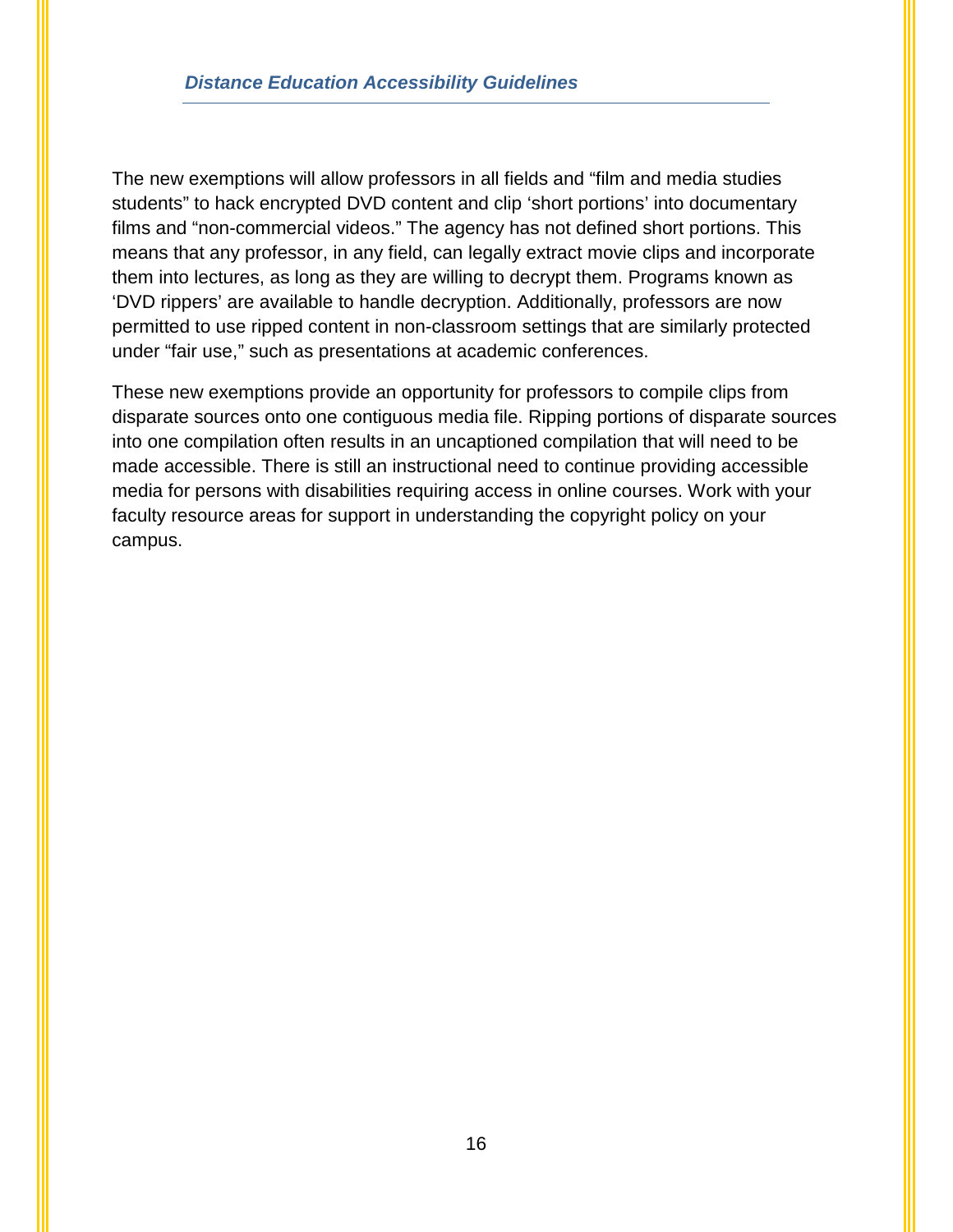The new exemptions will allow professors in all fields and "film and media studies students" to hack encrypted DVD content and clip 'short portions' into documentary films and "non-commercial videos." The agency has not defined short portions. This means that any professor, in any field, can legally extract movie clips and incorporate them into lectures, as long as they are willing to decrypt them. Programs known as 'DVD rippers' are available to handle decryption. Additionally, professors are now permitted to use ripped content in non-classroom settings that are similarly protected under "fair use," such as presentations at academic conferences.

These new exemptions provide an opportunity for professors to compile clips from disparate sources onto one contiguous media file. Ripping portions of disparate sources into one compilation often results in an uncaptioned compilation that will need to be made accessible. There is still an instructional need to continue providing accessible media for persons with disabilities requiring access in online courses. Work with your faculty resource areas for support in understanding the copyright policy on your campus.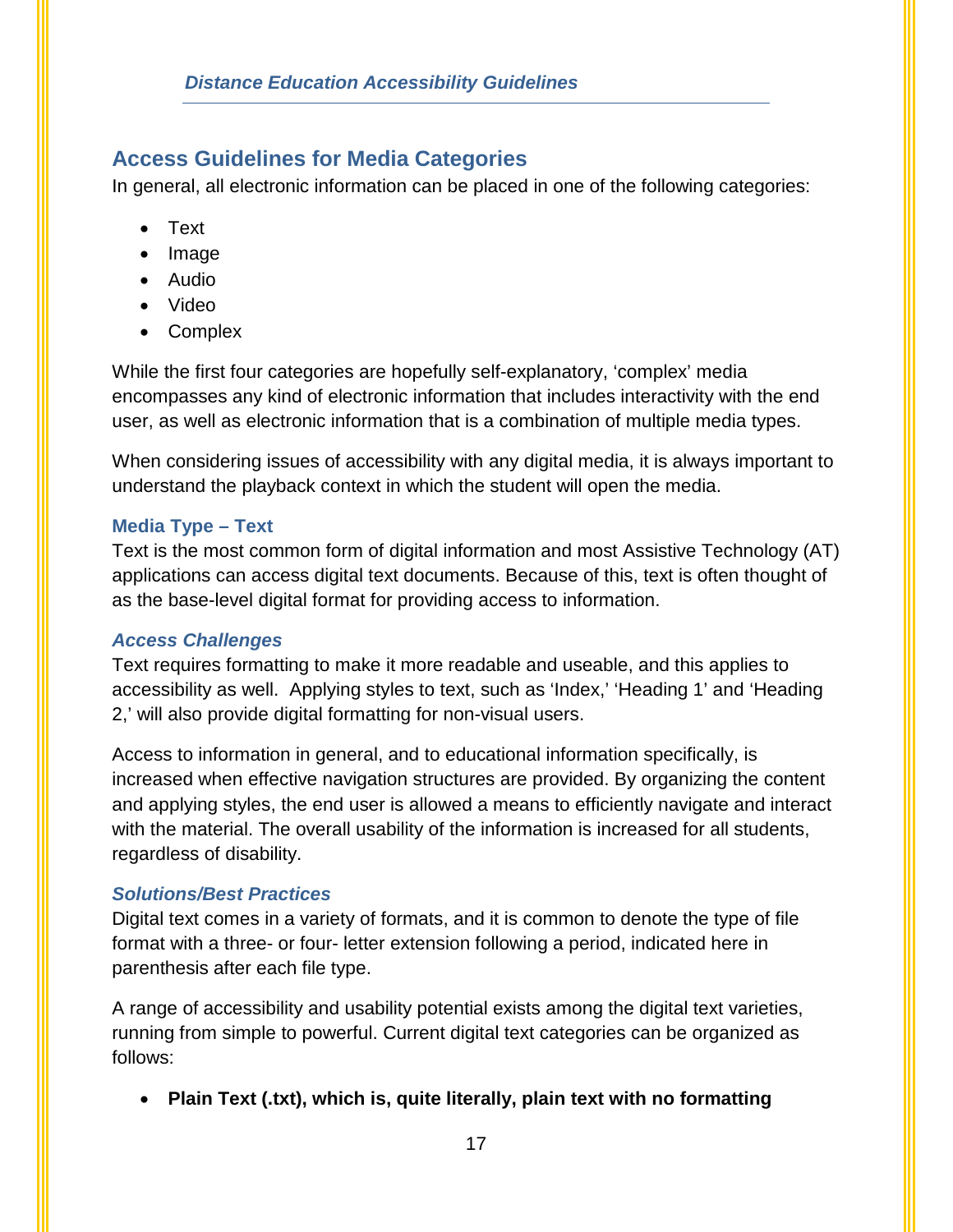## <span id="page-19-0"></span>**Access Guidelines for Media Categories**

In general, all electronic information can be placed in one of the following categories:

- Text
- Image
- Audio
- Video
- Complex

While the first four categories are hopefully self-explanatory, 'complex' media encompasses any kind of electronic information that includes interactivity with the end user, as well as electronic information that is a combination of multiple media types.

When considering issues of accessibility with any digital media, it is always important to understand the playback context in which the student will open the media.

### **Media Type – Text**

Text is the most common form of digital information and most Assistive Technology (AT) applications can access digital text documents. Because of this, text is often thought of as the base-level digital format for providing access to information.

## *Access Challenges*

Text requires formatting to make it more readable and useable, and this applies to accessibility as well. Applying styles to text, such as 'Index,' 'Heading 1' and 'Heading 2,' will also provide digital formatting for non-visual users.

Access to information in general, and to educational information specifically, is increased when effective navigation structures are provided. By organizing the content and applying styles, the end user is allowed a means to efficiently navigate and interact with the material. The overall usability of the information is increased for all students, regardless of disability.

## *Solutions/Best Practices*

Digital text comes in a variety of formats, and it is common to denote the type of file format with a three- or four- letter extension following a period, indicated here in parenthesis after each file type.

A range of accessibility and usability potential exists among the digital text varieties, running from simple to powerful. Current digital text categories can be organized as follows:

• **Plain Text (.txt), which is, quite literally, plain text with no formatting**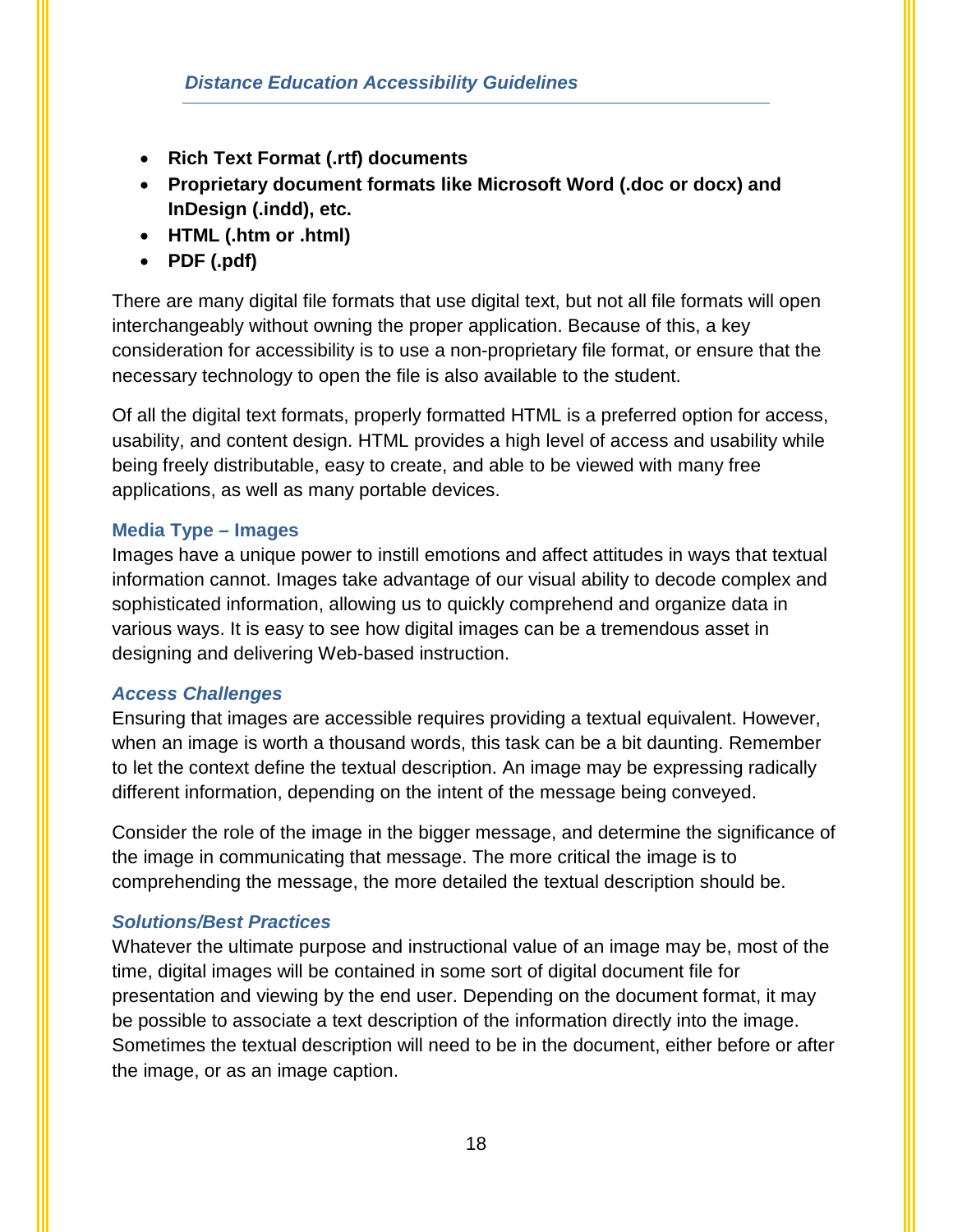- **Rich Text Format (.rtf) documents**
- **Proprietary document formats like Microsoft Word (.doc or docx) and InDesign (.indd), etc.**
- **HTML (.htm or .html)**
- **PDF (.pdf)**

There are many digital file formats that use digital text, but not all file formats will open interchangeably without owning the proper application. Because of this, a key consideration for accessibility is to use a non-proprietary file format, or ensure that the necessary technology to open the file is also available to the student.

Of all the digital text formats, properly formatted HTML is a preferred option for access, usability, and content design. HTML provides a high level of access and usability while being freely distributable, easy to create, and able to be viewed with many free applications, as well as many portable devices.

#### **Media Type – Images**

Images have a unique power to instill emotions and affect attitudes in ways that textual information cannot. Images take advantage of our visual ability to decode complex and sophisticated information, allowing us to quickly comprehend and organize data in various ways. It is easy to see how digital images can be a tremendous asset in designing and delivering Web-based instruction.

#### *Access Challenges*

Ensuring that images are accessible requires providing a textual equivalent. However, when an image is worth a thousand words, this task can be a bit daunting. Remember to let the context define the textual description. An image may be expressing radically different information, depending on the intent of the message being conveyed.

Consider the role of the image in the bigger message, and determine the significance of the image in communicating that message. The more critical the image is to comprehending the message, the more detailed the textual description should be.

#### *Solutions/Best Practices*

Whatever the ultimate purpose and instructional value of an image may be, most of the time, digital images will be contained in some sort of digital document file for presentation and viewing by the end user. Depending on the document format, it may be possible to associate a text description of the information directly into the image. Sometimes the textual description will need to be in the document, either before or after the image, or as an image caption.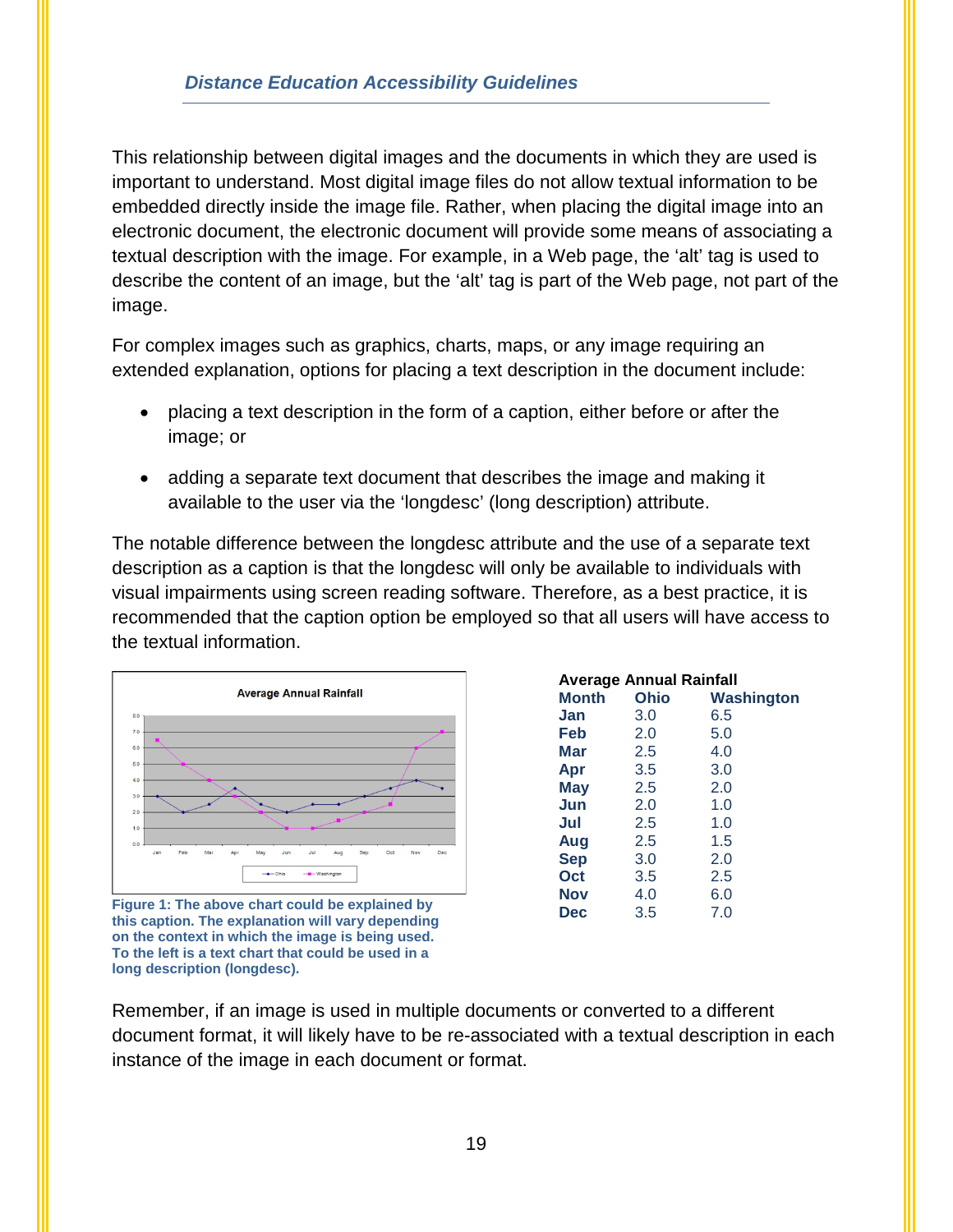This relationship between digital images and the documents in which they are used is important to understand. Most digital image files do not allow textual information to be embedded directly inside the image file. Rather, when placing the digital image into an electronic document, the electronic document will provide some means of associating a textual description with the image. For example, in a Web page, the 'alt' tag is used to describe the content of an image, but the 'alt' tag is part of the Web page, not part of the image.

For complex images such as graphics, charts, maps, or any image requiring an extended explanation, options for placing a text description in the document include:

- placing a text description in the form of a caption, either before or after the image; or
- adding a separate text document that describes the image and making it available to the user via the 'longdesc' (long description) attribute.

The notable difference between the longdesc attribute and the use of a separate text description as a caption is that the longdesc will only be available to individuals with visual impairments using screen reading software. Therefore, as a best practice, it is recommended that the caption option be employed so that all users will have access to the textual information.



**Figure 1: The above chart could be explained by this caption. The explanation will vary depending on the context in which the image is being used. To the left is a text chart that could be used in a long description (longdesc).**

| <b>Average Annual Rainfall</b> |      |            |  |  |  |  |
|--------------------------------|------|------------|--|--|--|--|
| Month                          | Ohio | Washington |  |  |  |  |
| Jan                            | 3.0  | 6.5        |  |  |  |  |
| Feb                            | 2.0  | 5.0        |  |  |  |  |
| Mar                            | 2.5  | 4.0        |  |  |  |  |
| Apr                            | 3.5  | 3.0        |  |  |  |  |
| <b>May</b>                     | 2.5  | 2.0        |  |  |  |  |
| Jun                            | 2.0  | 1.0        |  |  |  |  |
| Jul                            | 2.5  | 1.0        |  |  |  |  |
| Aug                            | 2.5  | 1.5        |  |  |  |  |
| <b>Sep</b>                     | 3.0  | 2.0        |  |  |  |  |
| Oct                            | 3.5  | 2.5        |  |  |  |  |
| Nov                            | 4.0  | 6.0        |  |  |  |  |
| <b>Dec</b>                     | 3.5  | 7.0        |  |  |  |  |

Remember, if an image is used in multiple documents or converted to a different document format, it will likely have to be re-associated with a textual description in each instance of the image in each document or format.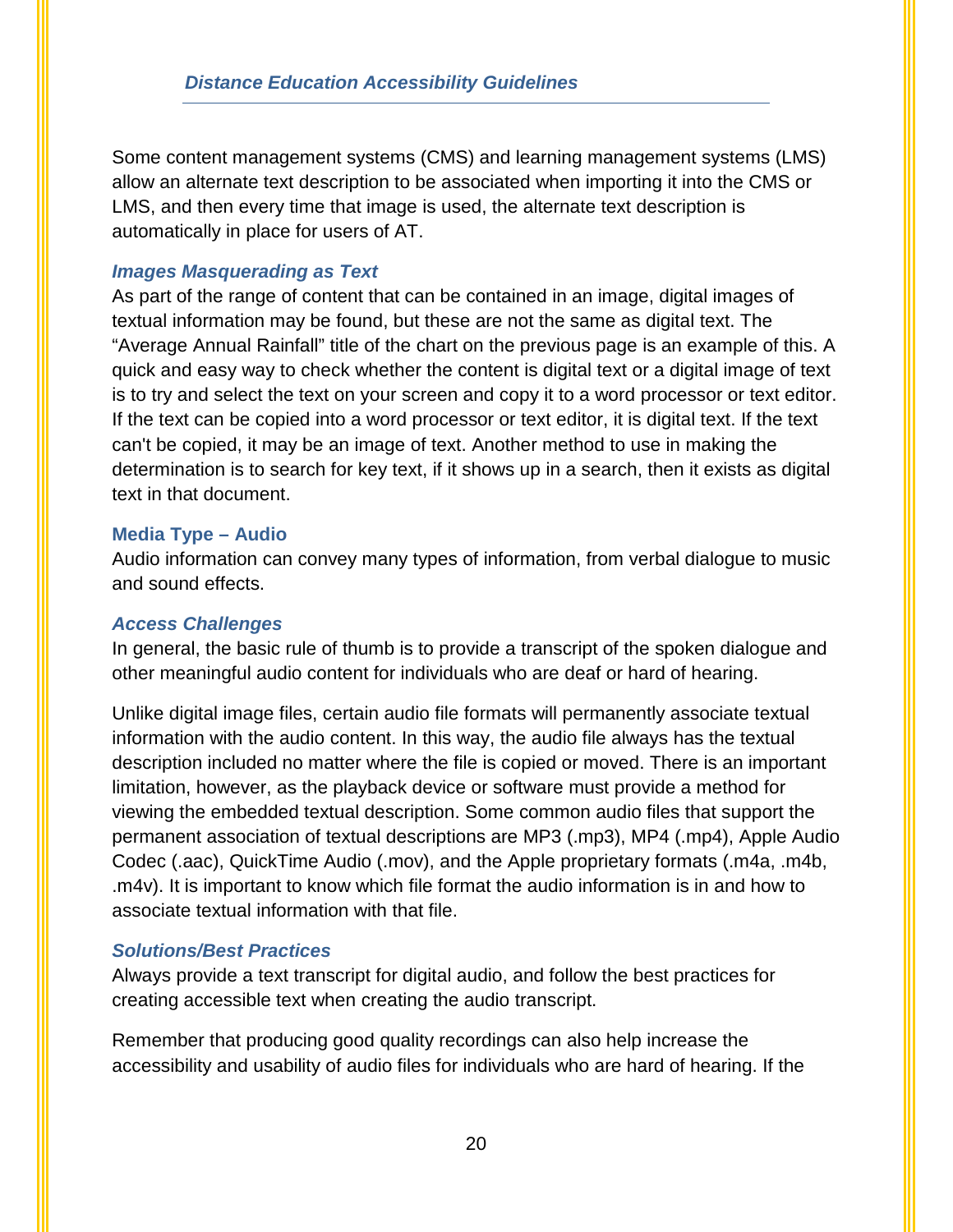Some content management systems (CMS) and learning management systems (LMS) allow an alternate text description to be associated when importing it into the CMS or LMS, and then every time that image is used, the alternate text description is automatically in place for users of AT.

#### *Images Masquerading as Text*

As part of the range of content that can be contained in an image, digital images of textual information may be found, but these are not the same as digital text. The "Average Annual Rainfall" title of the chart on the previous page is an example of this. A quick and easy way to check whether the content is digital text or a digital image of text is to try and select the text on your screen and copy it to a word processor or text editor. If the text can be copied into a word processor or text editor, it is digital text. If the text can't be copied, it may be an image of text. Another method to use in making the determination is to search for key text, if it shows up in a search, then it exists as digital text in that document.

#### **Media Type – Audio**

Audio information can convey many types of information, from verbal dialogue to music and sound effects.

#### *Access Challenges*

In general, the basic rule of thumb is to provide a transcript of the spoken dialogue and other meaningful audio content for individuals who are deaf or hard of hearing.

Unlike digital image files, certain audio file formats will permanently associate textual information with the audio content. In this way, the audio file always has the textual description included no matter where the file is copied or moved. There is an important limitation, however, as the playback device or software must provide a method for viewing the embedded textual description. Some common audio files that support the permanent association of textual descriptions are MP3 (.mp3), MP4 (.mp4), Apple Audio Codec (.aac), QuickTime Audio (.mov), and the Apple proprietary formats (.m4a, .m4b, .m4v). It is important to know which file format the audio information is in and how to associate textual information with that file.

#### *Solutions/Best Practices*

Always provide a text transcript for digital audio, and follow the best practices for creating accessible text when creating the audio transcript.

Remember that producing good quality recordings can also help increase the accessibility and usability of audio files for individuals who are hard of hearing. If the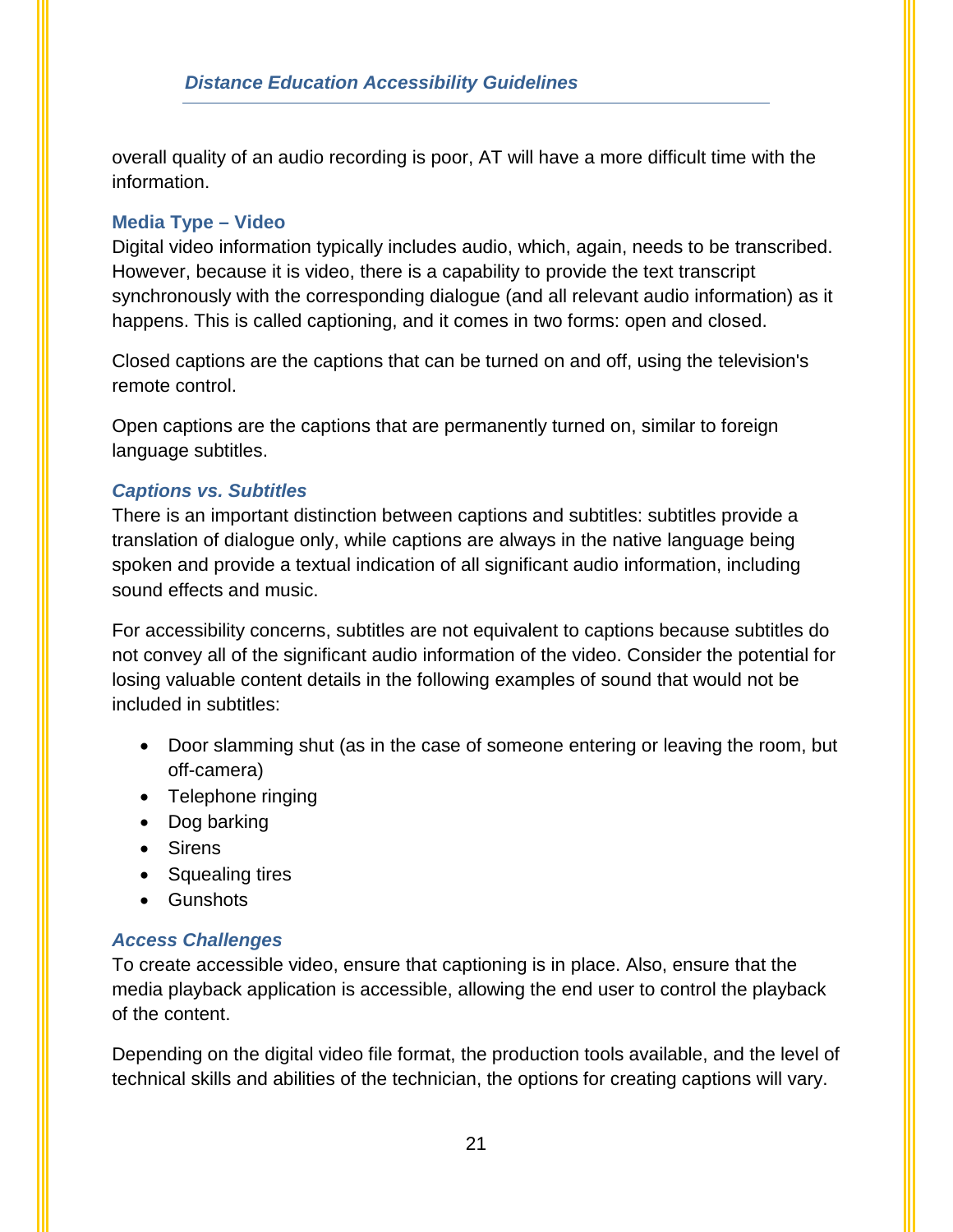overall quality of an audio recording is poor, AT will have a more difficult time with the information.

#### **Media Type – Video**

Digital video information typically includes audio, which, again, needs to be transcribed. However, because it is video, there is a capability to provide the text transcript synchronously with the corresponding dialogue (and all relevant audio information) as it happens. This is called captioning, and it comes in two forms: open and closed.

Closed captions are the captions that can be turned on and off, using the television's remote control.

Open captions are the captions that are permanently turned on, similar to foreign language subtitles.

### *Captions vs. Subtitles*

There is an important distinction between captions and subtitles: subtitles provide a translation of dialogue only, while captions are always in the native language being spoken and provide a textual indication of all significant audio information, including sound effects and music.

For accessibility concerns, subtitles are not equivalent to captions because subtitles do not convey all of the significant audio information of the video. Consider the potential for losing valuable content details in the following examples of sound that would not be included in subtitles:

- Door slamming shut (as in the case of someone entering or leaving the room, but off-camera)
- Telephone ringing
- Dog barking
- Sirens
- Squealing tires
- Gunshots

## *Access Challenges*

To create accessible video, ensure that captioning is in place. Also, ensure that the media playback application is accessible, allowing the end user to control the playback of the content.

Depending on the digital video file format, the production tools available, and the level of technical skills and abilities of the technician, the options for creating captions will vary.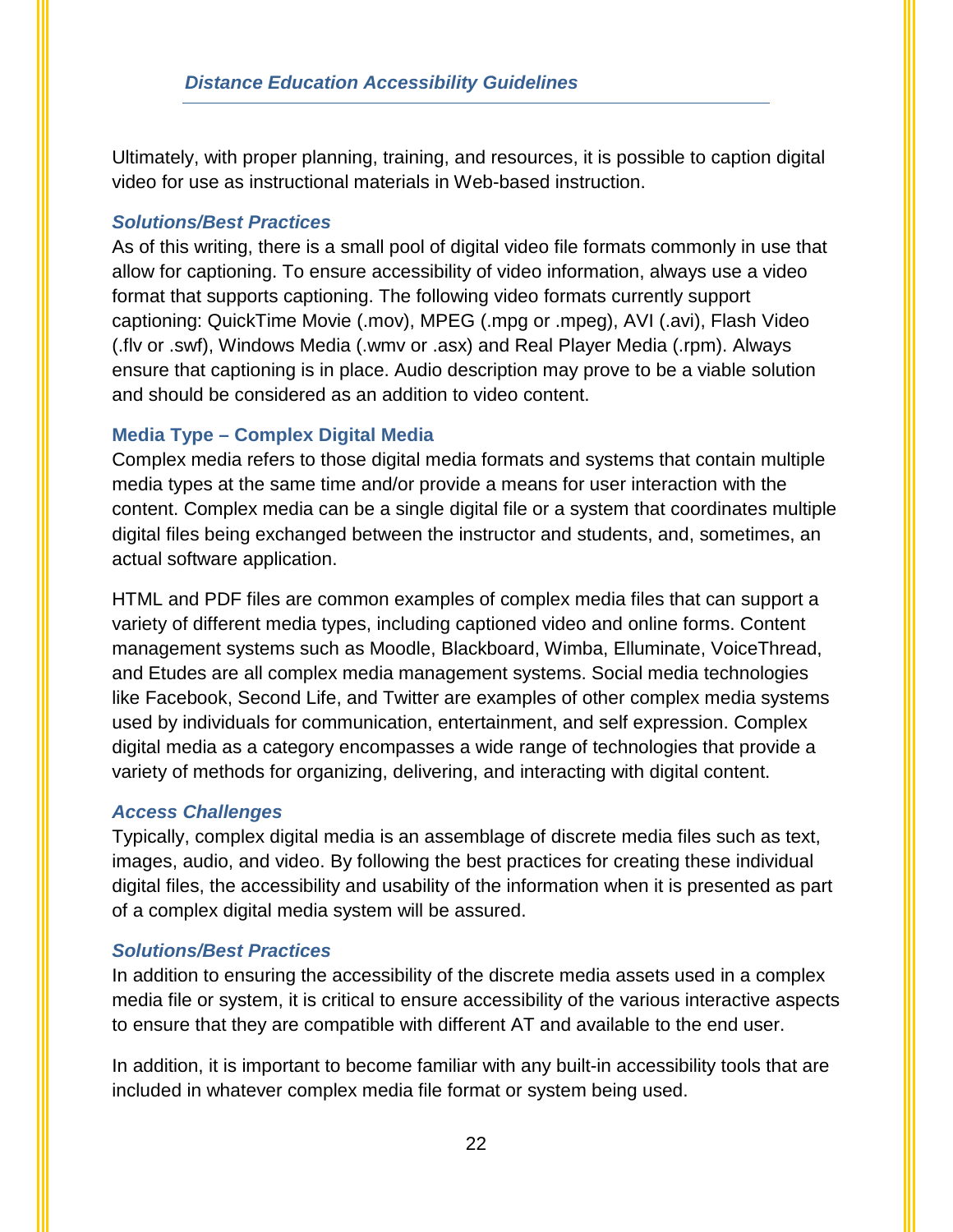Ultimately, with proper planning, training, and resources, it is possible to caption digital video for use as instructional materials in Web-based instruction.

#### *Solutions/Best Practices*

As of this writing, there is a small pool of digital video file formats commonly in use that allow for captioning. To ensure accessibility of video information, always use a video format that supports captioning. The following video formats currently support captioning: QuickTime Movie (.mov), MPEG (.mpg or .mpeg), AVI (.avi), Flash Video (.flv or .swf), Windows Media (.wmv or .asx) and Real Player Media (.rpm). Always ensure that captioning is in place. Audio description may prove to be a viable solution and should be considered as an addition to video content.

### **Media Type – Complex Digital Media**

Complex media refers to those digital media formats and systems that contain multiple media types at the same time and/or provide a means for user interaction with the content. Complex media can be a single digital file or a system that coordinates multiple digital files being exchanged between the instructor and students, and, sometimes, an actual software application.

HTML and PDF files are common examples of complex media files that can support a variety of different media types, including captioned video and online forms. Content management systems such as Moodle, Blackboard, Wimba, Elluminate, VoiceThread, and Etudes are all complex media management systems. Social media technologies like Facebook, Second Life, and Twitter are examples of other complex media systems used by individuals for communication, entertainment, and self expression. Complex digital media as a category encompasses a wide range of technologies that provide a variety of methods for organizing, delivering, and interacting with digital content.

#### *Access Challenges*

Typically, complex digital media is an assemblage of discrete media files such as text, images, audio, and video. By following the best practices for creating these individual digital files, the accessibility and usability of the information when it is presented as part of a complex digital media system will be assured.

#### *Solutions/Best Practices*

In addition to ensuring the accessibility of the discrete media assets used in a complex media file or system, it is critical to ensure accessibility of the various interactive aspects to ensure that they are compatible with different AT and available to the end user.

In addition, it is important to become familiar with any built-in accessibility tools that are included in whatever complex media file format or system being used.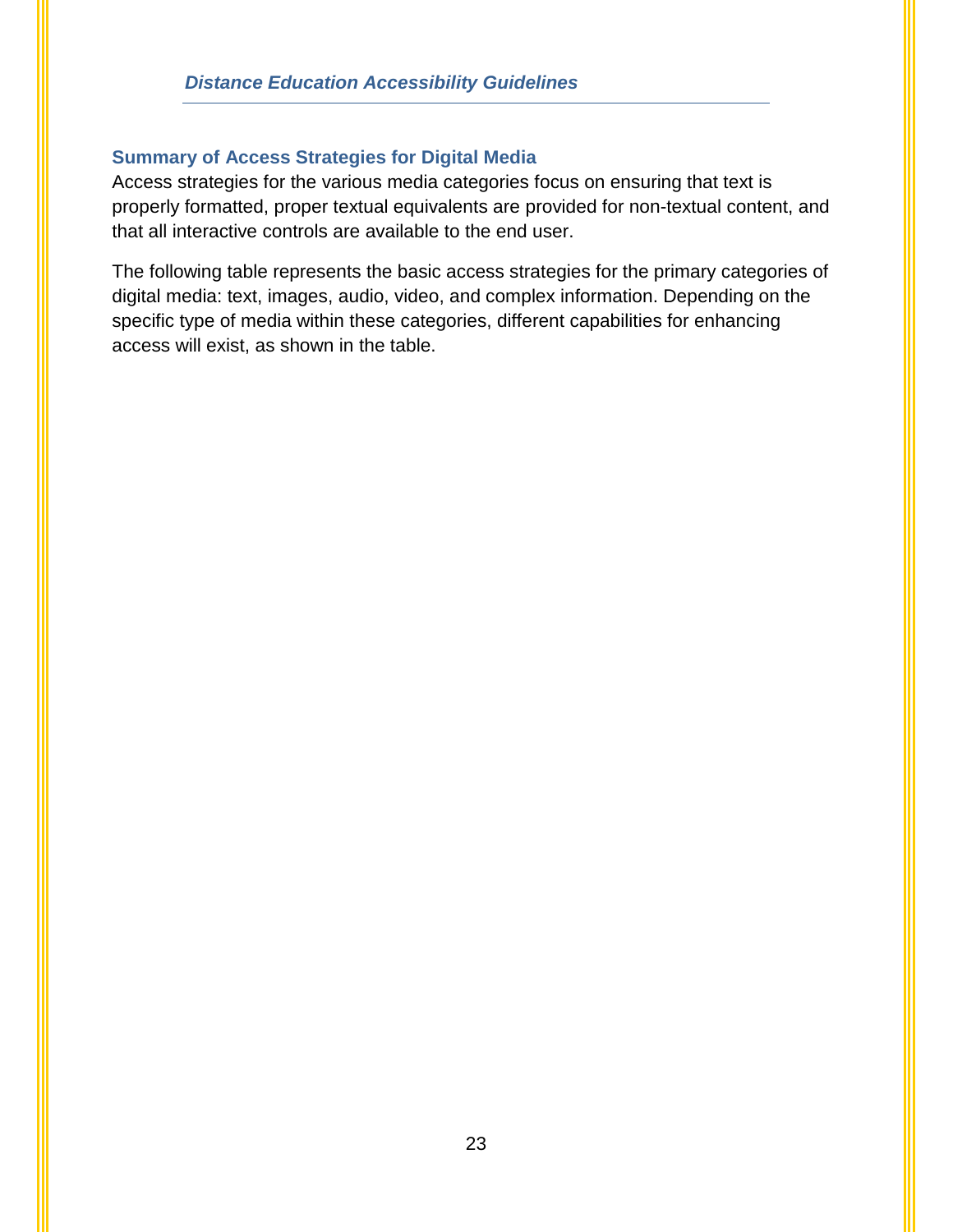#### **Summary of Access Strategies for Digital Media**

Access strategies for the various media categories focus on ensuring that text is properly formatted, proper textual equivalents are provided for non-textual content, and that all interactive controls are available to the end user.

The following table represents the basic access strategies for the primary categories of digital media: text, images, audio, video, and complex information. Depending on the specific type of media within these categories, different capabilities for enhancing access will exist, as shown in the table.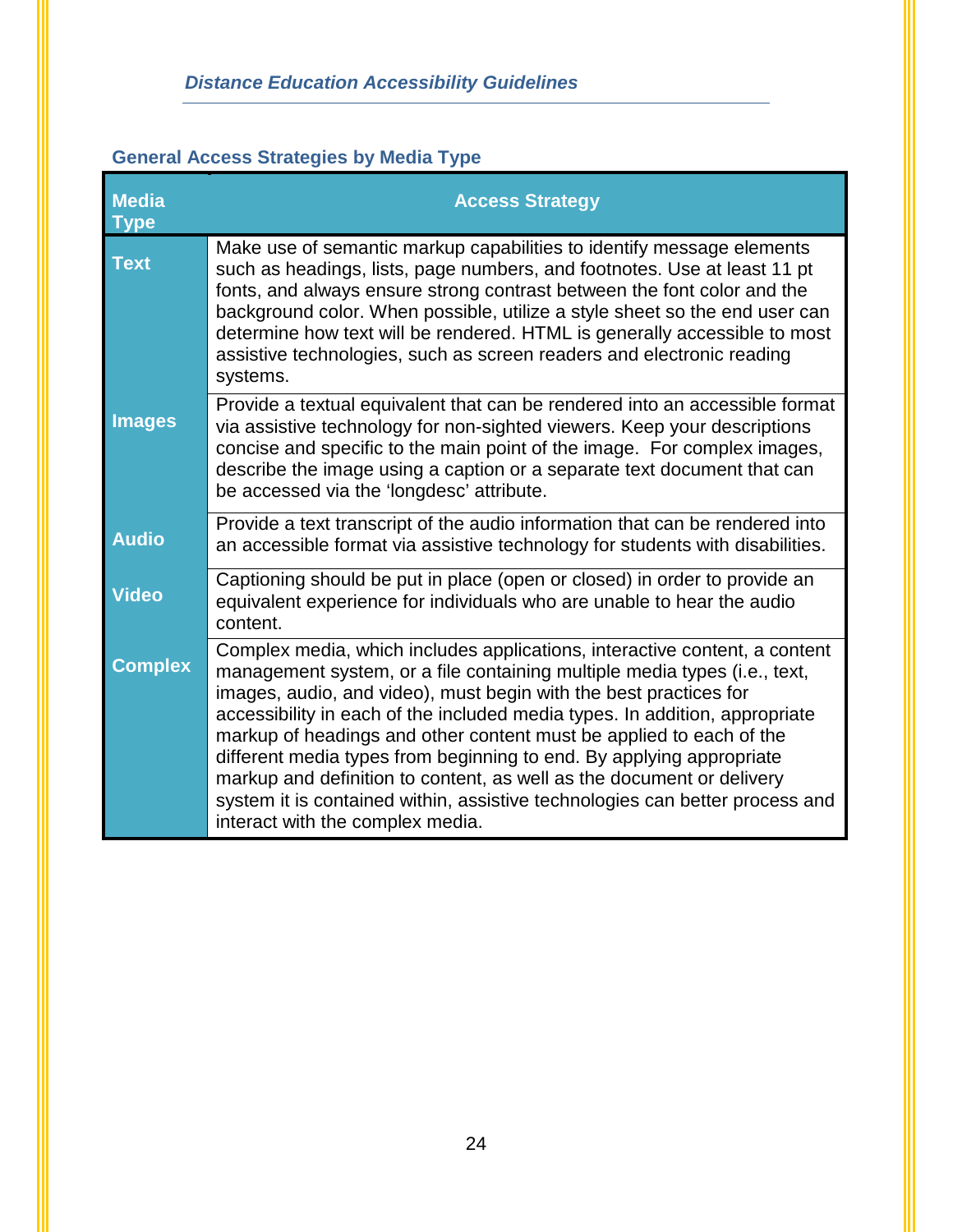## <span id="page-26-0"></span>**General Access Strategies by Media Type**

| <b>Media</b><br><b>Type</b> | <b>Access Strategy</b>                                                                                                                                                                                                                                                                                                                                                                                                                                                                                                                                                                                                                                  |
|-----------------------------|---------------------------------------------------------------------------------------------------------------------------------------------------------------------------------------------------------------------------------------------------------------------------------------------------------------------------------------------------------------------------------------------------------------------------------------------------------------------------------------------------------------------------------------------------------------------------------------------------------------------------------------------------------|
| <b>Text</b>                 | Make use of semantic markup capabilities to identify message elements<br>such as headings, lists, page numbers, and footnotes. Use at least 11 pt<br>fonts, and always ensure strong contrast between the font color and the<br>background color. When possible, utilize a style sheet so the end user can<br>determine how text will be rendered. HTML is generally accessible to most<br>assistive technologies, such as screen readers and electronic reading<br>systems.                                                                                                                                                                            |
| <b>Images</b>               | Provide a textual equivalent that can be rendered into an accessible format<br>via assistive technology for non-sighted viewers. Keep your descriptions<br>concise and specific to the main point of the image. For complex images,<br>describe the image using a caption or a separate text document that can<br>be accessed via the 'longdesc' attribute.                                                                                                                                                                                                                                                                                             |
| <b>Audio</b>                | Provide a text transcript of the audio information that can be rendered into<br>an accessible format via assistive technology for students with disabilities.                                                                                                                                                                                                                                                                                                                                                                                                                                                                                           |
| <b>Video</b>                | Captioning should be put in place (open or closed) in order to provide an<br>equivalent experience for individuals who are unable to hear the audio<br>content.                                                                                                                                                                                                                                                                                                                                                                                                                                                                                         |
| <b>Complex</b>              | Complex media, which includes applications, interactive content, a content<br>management system, or a file containing multiple media types (i.e., text,<br>images, audio, and video), must begin with the best practices for<br>accessibility in each of the included media types. In addition, appropriate<br>markup of headings and other content must be applied to each of the<br>different media types from beginning to end. By applying appropriate<br>markup and definition to content, as well as the document or delivery<br>system it is contained within, assistive technologies can better process and<br>interact with the complex media. |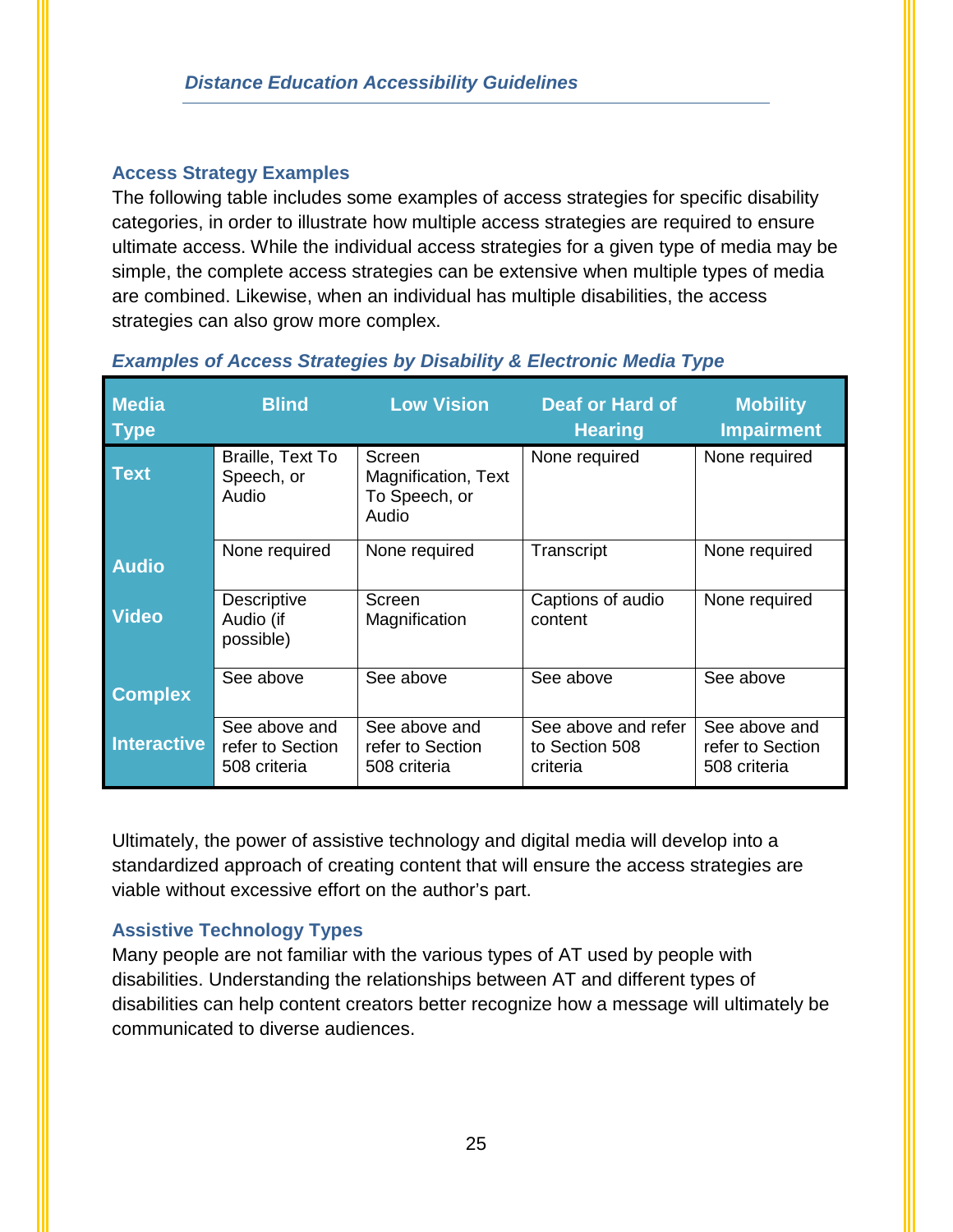## **Access Strategy Examples**

The following table includes some examples of access strategies for specific disability categories, in order to illustrate how multiple access strategies are required to ensure ultimate access. While the individual access strategies for a given type of media may be simple, the complete access strategies can be extensive when multiple types of media are combined. Likewise, when an individual has multiple disabilities, the access strategies can also grow more complex.

| <b>Media</b><br><b>Type</b> | <b>Blind</b>                                      | <b>Low Vision</b>                                       | Deaf or Hard of<br><b>Hearing</b>                 | <b>Mobility</b><br><b>Impairment</b>              |  |
|-----------------------------|---------------------------------------------------|---------------------------------------------------------|---------------------------------------------------|---------------------------------------------------|--|
| <b>Text</b>                 | Braille, Text To<br>Speech, or<br>Audio           | Screen<br>Magnification, Text<br>To Speech, or<br>Audio | None required                                     | None required                                     |  |
| <b>Audio</b>                | None required                                     | None required                                           | Transcript                                        | None required                                     |  |
| <b>Video</b>                | <b>Descriptive</b><br>Audio (if<br>possible)      | Screen<br>Magnification                                 | Captions of audio<br>content                      | None required                                     |  |
| <b>Complex</b>              | See above                                         | See above                                               | See above                                         | See above                                         |  |
| <b>Interactive</b>          | See above and<br>refer to Section<br>508 criteria | See above and<br>refer to Section<br>508 criteria       | See above and refer<br>to Section 508<br>criteria | See above and<br>refer to Section<br>508 criteria |  |

### *Examples of Access Strategies by Disability & Electronic Media Type*

Ultimately, the power of assistive technology and digital media will develop into a standardized approach of creating content that will ensure the access strategies are viable without excessive effort on the author's part.

## **Assistive Technology Types**

Many people are not familiar with the various types of AT used by people with disabilities. Understanding the relationships between AT and different types of disabilities can help content creators better recognize how a message will ultimately be communicated to diverse audiences.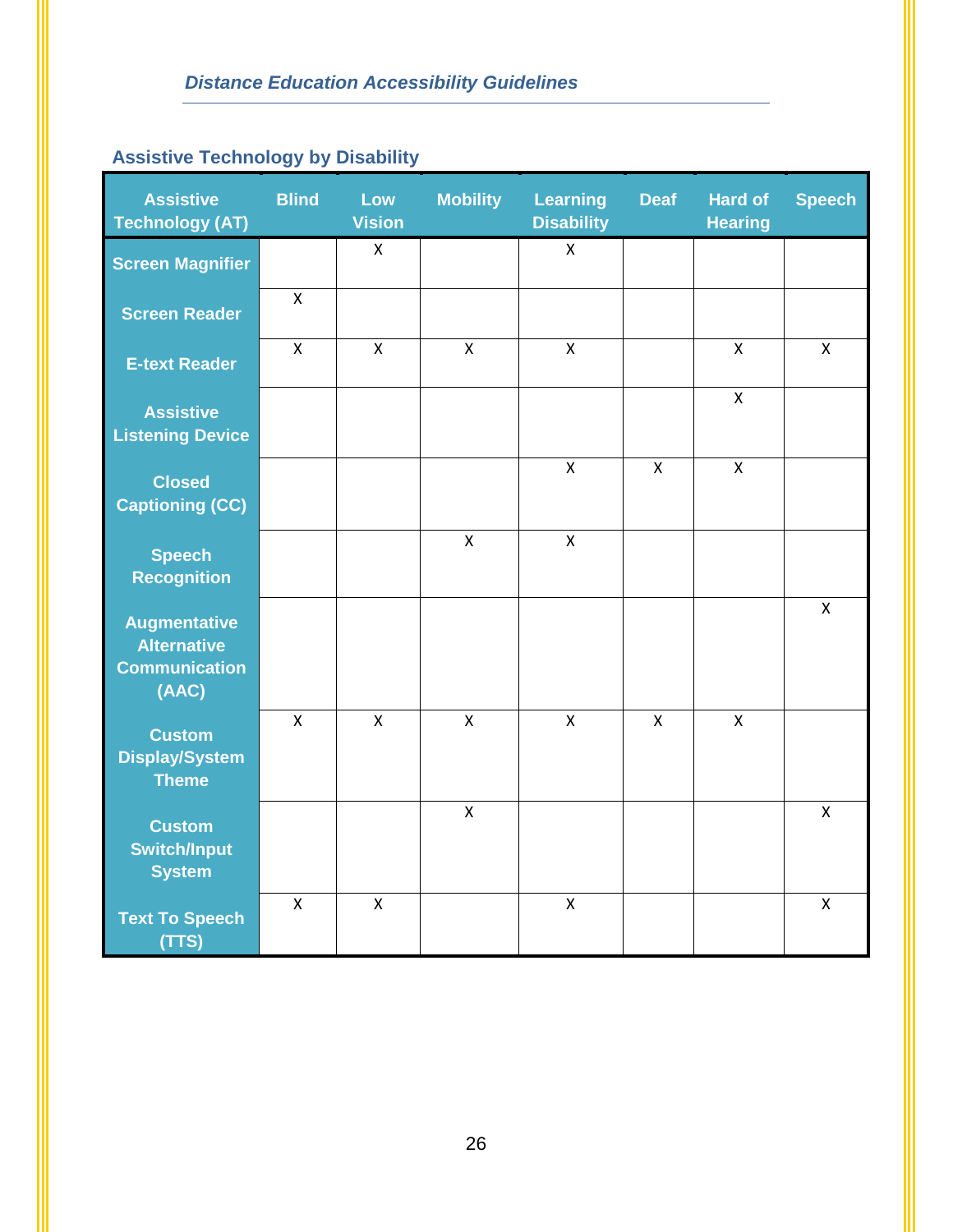## **Assistive Technology by Disability**

| <b>Assistive</b><br><b>Technology (AT)</b>                                 | <b>Blind</b> | Low<br><b>Vision</b> | <b>Mobility</b>         | <b>Learning</b><br><b>Disability</b> | <b>Deaf</b>  | <b>Hard of</b><br><b>Hearing</b> | <b>Speech</b> |
|----------------------------------------------------------------------------|--------------|----------------------|-------------------------|--------------------------------------|--------------|----------------------------------|---------------|
| <b>Screen Magnifier</b>                                                    |              | X                    |                         | X                                    |              |                                  |               |
| <b>Screen Reader</b>                                                       | $\mathsf{X}$ |                      |                         |                                      |              |                                  |               |
| <b>E-text Reader</b>                                                       | $\mathsf{X}$ | $\mathsf{x}$         | $\mathsf{X}$            | X                                    |              | X                                | X             |
| <b>Assistive</b><br><b>Listening Device</b>                                |              |                      |                         |                                      |              | $\pmb{\times}$                   |               |
| <b>Closed</b><br><b>Captioning (CC)</b>                                    |              |                      |                         | $\pmb{\mathsf{X}}$                   | $\mathsf{x}$ | $\pmb{\mathsf{X}}$               |               |
| <b>Speech</b><br><b>Recognition</b>                                        |              |                      | $\overline{\mathsf{x}}$ | $\mathsf{X}$                         |              |                                  |               |
| <b>Augmentative</b><br><b>Alternative</b><br><b>Communication</b><br>(AAC) |              |                      |                         |                                      |              |                                  | X             |
| <b>Custom</b><br><b>Display/System</b><br><b>Theme</b>                     | $\mathsf{x}$ | $\mathsf{x}$         | $\overline{\mathsf{X}}$ | X                                    | $\mathsf{x}$ | $\mathsf{x}$                     |               |
| <b>Custom</b><br><b>Switch/Input</b><br><b>System</b>                      |              |                      | $\overline{\mathsf{X}}$ |                                      |              |                                  | X             |
| <b>Text To Speech</b><br>(TTS)                                             | $\mathsf{x}$ | $\mathsf{x}$         |                         | $\overline{\mathsf{X}}$              |              |                                  | $\mathsf{X}$  |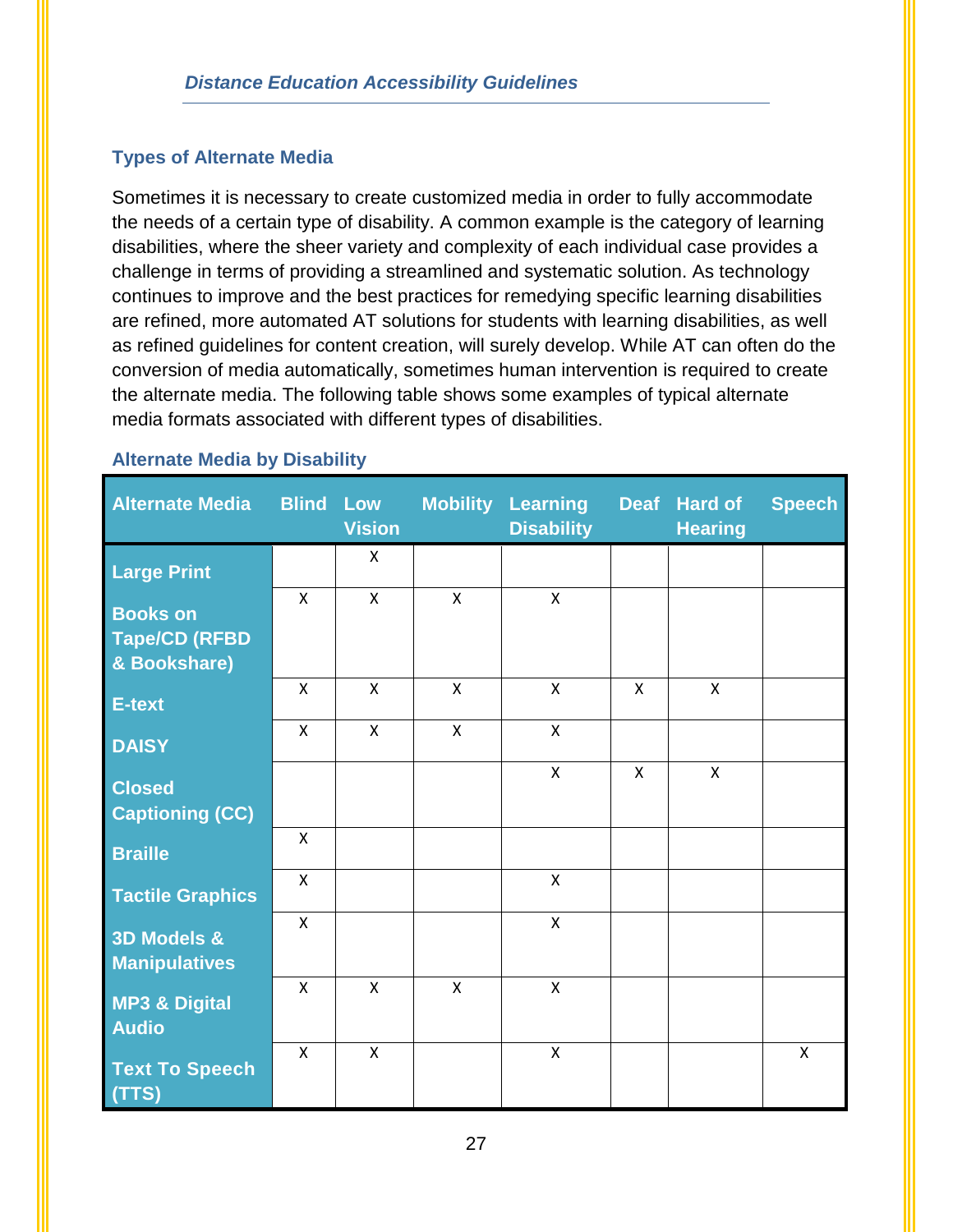## **Types of Alternate Media**

Sometimes it is necessary to create customized media in order to fully accommodate the needs of a certain type of disability. A common example is the category of learning disabilities, where the sheer variety and complexity of each individual case provides a challenge in terms of providing a streamlined and systematic solution. As technology continues to improve and the best practices for remedying specific learning disabilities are refined, more automated AT solutions for students with learning disabilities, as well as refined guidelines for content creation, will surely develop. While AT can often do the conversion of media automatically, sometimes human intervention is required to create the alternate media. The following table shows some examples of typical alternate media formats associated with different types of disabilities.

## **Alternate Media by Disability**

| <b>Alternate Media</b>                                  | <b>Blind</b>              | Low<br><b>Vision</b> | <b>Mobility</b>           | <b>Learning</b><br><b>Disability</b> |   | Deaf Hard of<br><b>Hearing</b> | <b>Speech</b> |
|---------------------------------------------------------|---------------------------|----------------------|---------------------------|--------------------------------------|---|--------------------------------|---------------|
| <b>Large Print</b>                                      |                           | $\mathsf{x}$         |                           |                                      |   |                                |               |
| <b>Books on</b><br><b>Tape/CD (RFBD</b><br>& Bookshare) | $\mathsf{x}$              | $\mathsf{x}$         | $\mathsf{x}$              | $\mathsf{x}$                         |   |                                |               |
| E-text                                                  | X                         | X                    | $\boldsymbol{\mathsf{X}}$ | X                                    | X | $\boldsymbol{\mathsf{X}}$      |               |
| <b>DAISY</b>                                            | $\boldsymbol{\mathsf{X}}$ | $\mathsf{X}$         | $\boldsymbol{\mathsf{X}}$ | X                                    |   |                                |               |
| <b>Closed</b><br><b>Captioning (CC)</b>                 |                           |                      |                           | $\mathsf{x}$                         | X | $\boldsymbol{\mathsf{X}}$      |               |
| <b>Braille</b>                                          | $\pmb{\times}$            |                      |                           |                                      |   |                                |               |
| <b>Tactile Graphics</b>                                 | $\mathsf{X}$              |                      |                           | X                                    |   |                                |               |
| 3D Models &<br><b>Manipulatives</b>                     | $\mathsf{X}$              |                      |                           | $\mathsf{x}$                         |   |                                |               |
| <b>MP3 &amp; Digital</b><br><b>Audio</b>                | $\boldsymbol{\mathsf{X}}$ | $\mathsf{x}$         | $\mathsf{x}$              | $\pmb{\mathsf{X}}$                   |   |                                |               |
| <b>Text To Speech</b><br>(TTS)                          | $\mathsf{x}$              | $\mathsf{x}$         |                           | $\pmb{\mathsf{X}}$                   |   |                                | X             |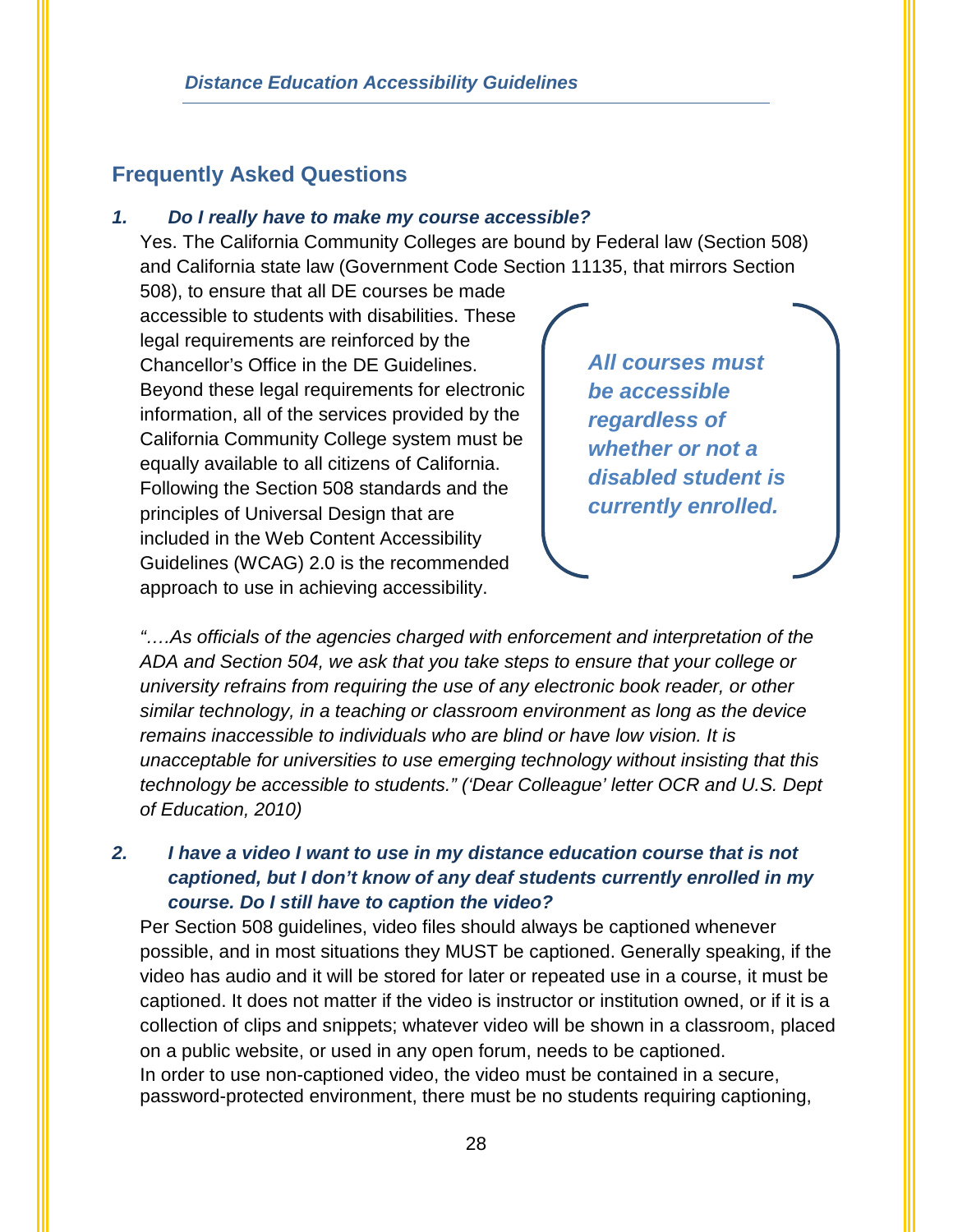## <span id="page-30-0"></span>**Frequently Asked Questions**

#### *1. Do I really have to make my course accessible?*

Yes. The California Community Colleges are bound by Federal law (Section 508) and California state law (Government Code Section 11135, that mirrors Section

508), to ensure that all DE courses be made accessible to students with disabilities. These legal requirements are reinforced by the Chancellor's Office in the DE Guidelines. Beyond these legal requirements for electronic information, all of the services provided by the California Community College system must be equally available to all citizens of California. Following the Section 508 standards and the principles of Universal Design that are included in the Web Content Accessibility Guidelines (WCAG) 2.0 is the recommended approach to use in achieving accessibility.

*All courses must be accessible regardless of whether or not a disabled student is currently enrolled.*

*"….As officials of the agencies charged with enforcement and interpretation of the ADA and Section 504, we ask that you take steps to ensure that your college or university refrains from requiring the use of any electronic book reader, or other similar technology, in a teaching or classroom environment as long as the device remains inaccessible to individuals who are blind or have low vision. It is unacceptable for universities to use emerging technology without insisting that this technology be accessible to students." ('Dear Colleague' letter OCR and U.S. Dept of Education, 2010)*

## *2. I have a video I want to use in my distance education course that is not captioned, but I don't know of any deaf students currently enrolled in my course. Do I still have to caption the video?*

Per Section 508 guidelines, video files should always be captioned whenever possible, and in most situations they MUST be captioned. Generally speaking, if the video has audio and it will be stored for later or repeated use in a course, it must be captioned. It does not matter if the video is instructor or institution owned, or if it is a collection of clips and snippets; whatever video will be shown in a classroom, placed on a public website, or used in any open forum, needs to be captioned. In order to use non-captioned video, the video must be contained in a secure, password-protected environment, there must be no students requiring captioning,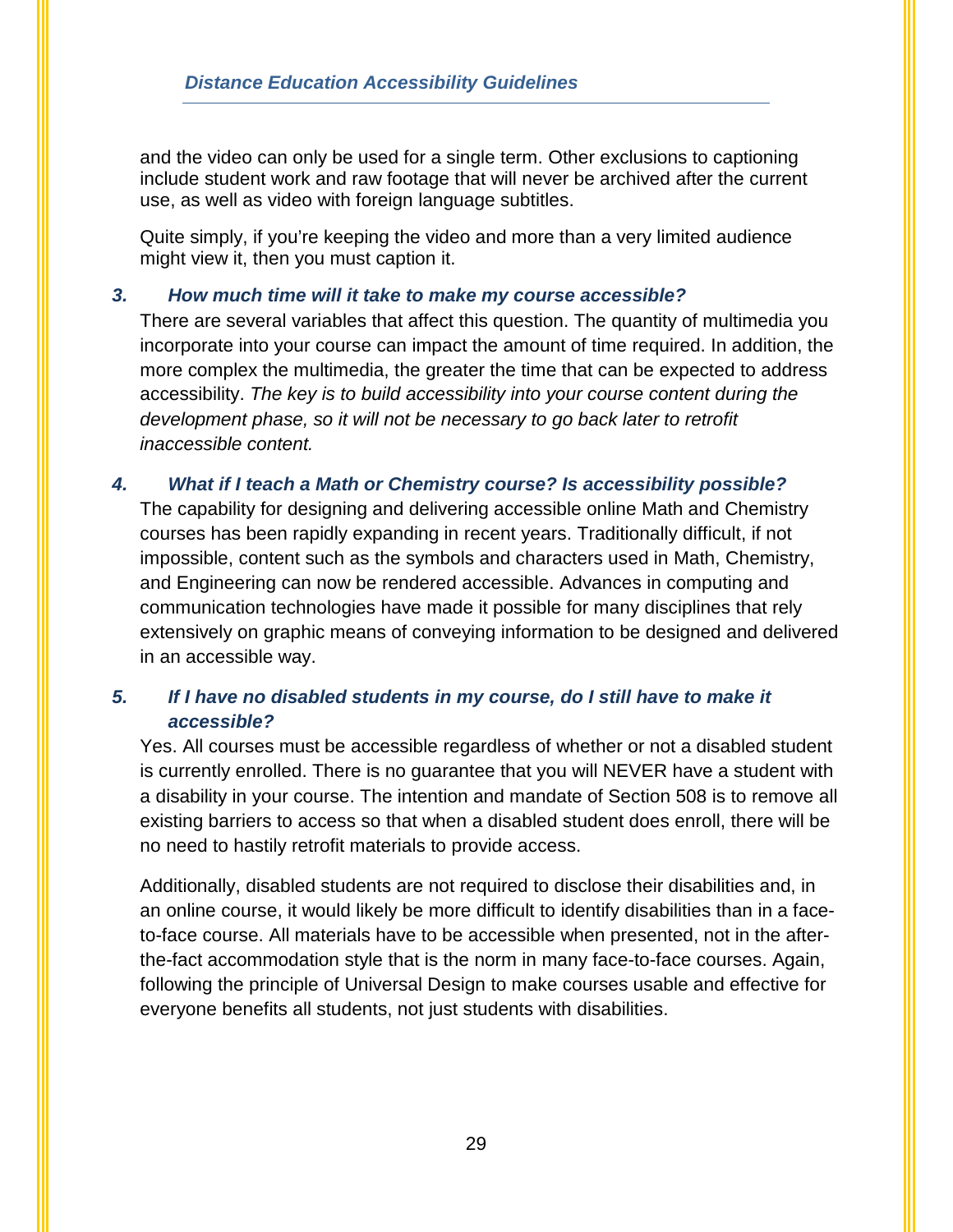and the video can only be used for a single term. Other exclusions to captioning include student work and raw footage that will never be archived after the current use, as well as video with foreign language subtitles.

Quite simply, if you're keeping the video and more than a very limited audience might view it, then you must caption it.

#### *3. How much time will it take to make my course accessible?*

There are several variables that affect this question. The quantity of multimedia you incorporate into your course can impact the amount of time required. In addition, the more complex the multimedia, the greater the time that can be expected to address accessibility. *The key is to build accessibility into your course content during the development phase, so it will not be necessary to go back later to retrofit inaccessible content.*

### *4. What if I teach a Math or Chemistry course? Is accessibility possible?*

The capability for designing and delivering accessible online Math and Chemistry courses has been rapidly expanding in recent years. Traditionally difficult, if not impossible, content such as the symbols and characters used in Math, Chemistry, and Engineering can now be rendered accessible. Advances in computing and communication technologies have made it possible for many disciplines that rely extensively on graphic means of conveying information to be designed and delivered in an accessible way.

## *5. If I have no disabled students in my course, do I still have to make it accessible?*

Yes. All courses must be accessible regardless of whether or not a disabled student is currently enrolled. There is no guarantee that you will NEVER have a student with a disability in your course. The intention and mandate of Section 508 is to remove all existing barriers to access so that when a disabled student does enroll, there will be no need to hastily retrofit materials to provide access.

Additionally, disabled students are not required to disclose their disabilities and, in an online course, it would likely be more difficult to identify disabilities than in a faceto-face course. All materials have to be accessible when presented, not in the afterthe-fact accommodation style that is the norm in many face-to-face courses. Again, following the principle of Universal Design to make courses usable and effective for everyone benefits all students, not just students with disabilities.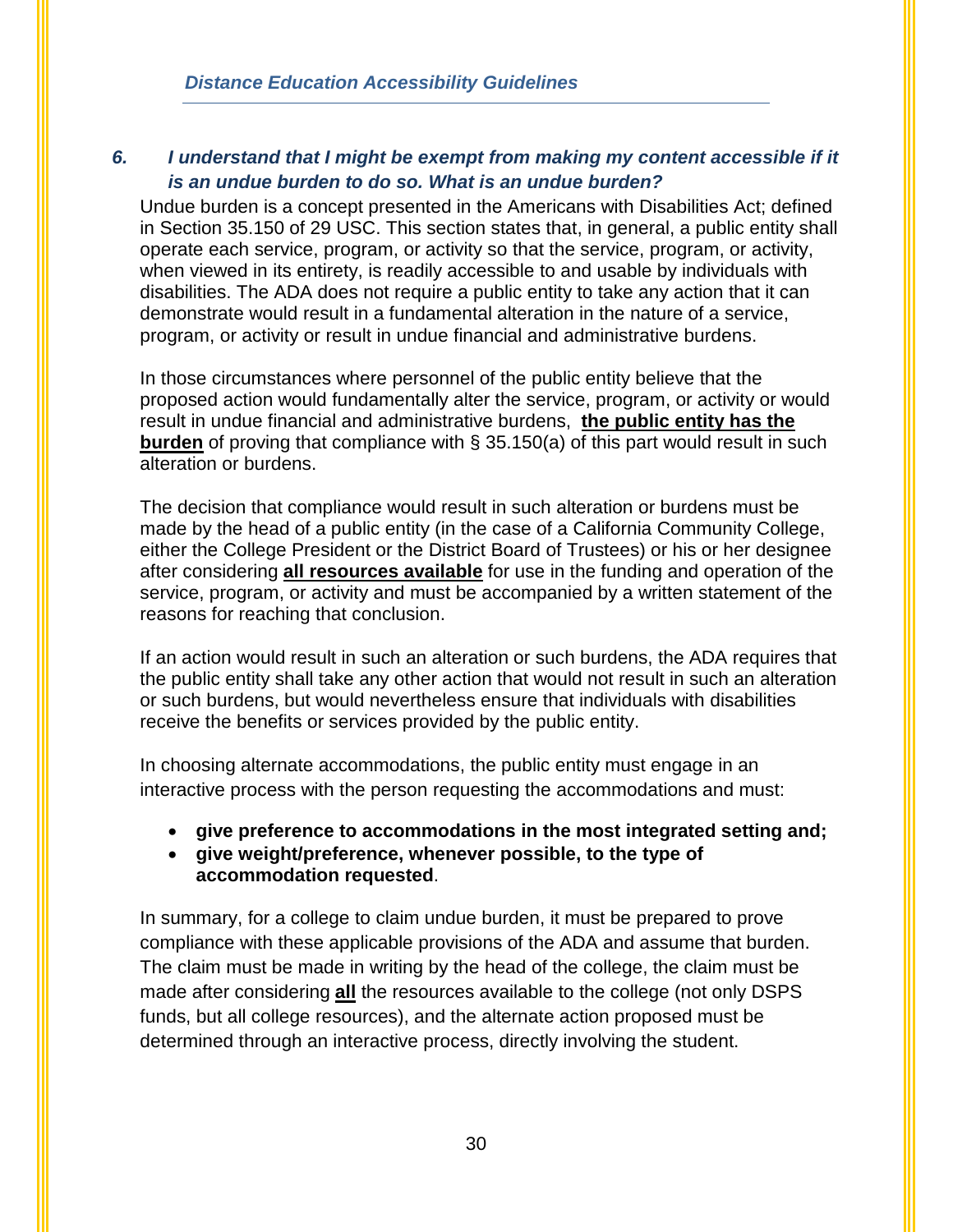## *6. I understand that I might be exempt from making my content accessible if it is an undue burden to do so. What is an undue burden?*

Undue burden is a concept presented in the Americans with Disabilities Act; defined in Section 35.150 of 29 USC. This section states that, in general, a public entity shall operate each service, program, or activity so that the service, program, or activity, when viewed in its entirety, is readily accessible to and usable by individuals with disabilities. The ADA does not require a public entity to take any action that it can demonstrate would result in a fundamental alteration in the nature of a service, program, or activity or result in undue financial and administrative burdens.

In those circumstances where personnel of the public entity believe that the proposed action would fundamentally alter the service, program, or activity or would result in undue financial and administrative burdens, **the public entity has the burden** of proving that compliance with § 35.150(a) of this part would result in such alteration or burdens.

The decision that compliance would result in such alteration or burdens must be made by the head of a public entity (in the case of a California Community College, either the College President or the District Board of Trustees) or his or her designee after considering **all resources available** for use in the funding and operation of the service, program, or activity and must be accompanied by a written statement of the reasons for reaching that conclusion.

If an action would result in such an alteration or such burdens, the ADA requires that the public entity shall take any other action that would not result in such an alteration or such burdens, but would nevertheless ensure that individuals with disabilities receive the benefits or services provided by the public entity.

In choosing alternate accommodations, the public entity must engage in an interactive process with the person requesting the accommodations and must:

- **give preference to accommodations in the most integrated setting and;**
- **give weight/preference, whenever possible, to the type of accommodation requested**.

In summary, for a college to claim undue burden, it must be prepared to prove compliance with these applicable provisions of the ADA and assume that burden. The claim must be made in writing by the head of the college, the claim must be made after considering **all** the resources available to the college (not only DSPS funds, but all college resources), and the alternate action proposed must be determined through an interactive process, directly involving the student.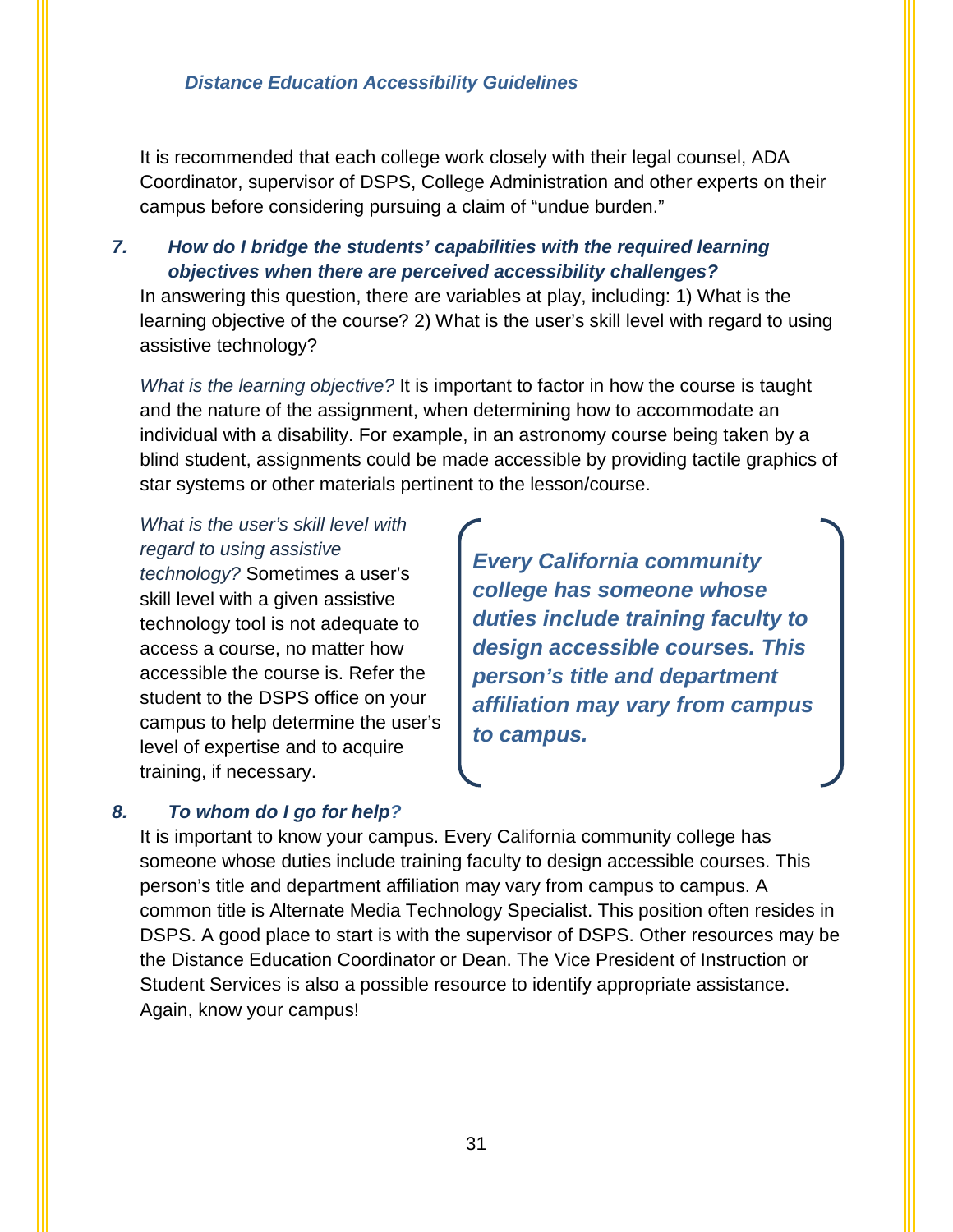It is recommended that each college work closely with their legal counsel, ADA Coordinator, supervisor of DSPS, College Administration and other experts on their campus before considering pursuing a claim of "undue burden."

## *7. How do I bridge the students' capabilities with the required learning objectives when there are perceived accessibility challenges?*

In answering this question, there are variables at play, including: 1) What is the learning objective of the course? 2) What is the user's skill level with regard to using assistive technology?

*What is the learning objective?* It is important to factor in how the course is taught and the nature of the assignment, when determining how to accommodate an individual with a disability. For example, in an astronomy course being taken by a blind student, assignments could be made accessible by providing tactile graphics of star systems or other materials pertinent to the lesson/course.

## *What is the user's skill level with regard to using assistive*

*technology?* Sometimes a user's skill level with a given assistive technology tool is not adequate to access a course, no matter how accessible the course is. Refer the student to the DSPS office on your campus to help determine the user's level of expertise and to acquire training, if necessary.

*Every California community college has someone whose duties include training faculty to design accessible courses. This person's title and department affiliation may vary from campus to campus.*

## *8. To whom do I go for help?*

It is important to know your campus. Every California community college has someone whose duties include training faculty to design accessible courses. This person's title and department affiliation may vary from campus to campus. A common title is Alternate Media Technology Specialist. This position often resides in DSPS. A good place to start is with the supervisor of DSPS. Other resources may be the Distance Education Coordinator or Dean. The Vice President of Instruction or Student Services is also a possible resource to identify appropriate assistance. Again, know your campus!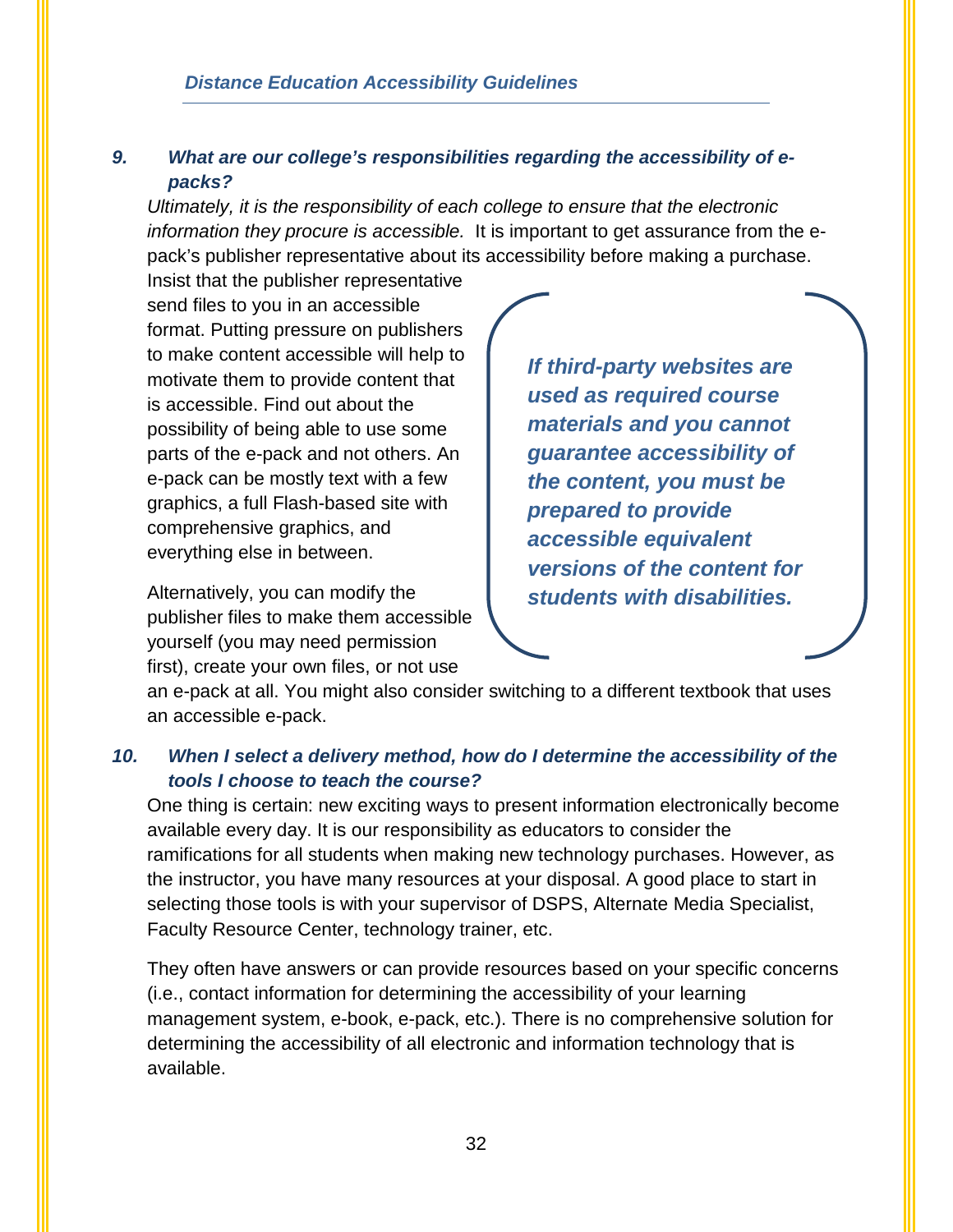## *9. What are our college's responsibilities regarding the accessibility of epacks?*

*Ultimately, it is the responsibility of each college to ensure that the electronic information they procure is accessible.* It is important to get assurance from the epack's publisher representative about its accessibility before making a purchase.

Insist that the publisher representative send files to you in an accessible format. Putting pressure on publishers to make content accessible will help to motivate them to provide content that is accessible. Find out about the possibility of being able to use some parts of the e-pack and not others. An e-pack can be mostly text with a few graphics, a full Flash-based site with comprehensive graphics, and everything else in between.

Alternatively, you can modify the publisher files to make them accessible yourself (you may need permission first), create your own files, or not use

*If third-party websites are used as required course materials and you cannot guarantee accessibility of the content, you must be prepared to provide accessible equivalent versions of the content for students with disabilities.*

an e-pack at all. You might also consider switching to a different textbook that uses an accessible e-pack.

## *10. When I select a delivery method, how do I determine the accessibility of the tools I choose to teach the course?*

One thing is certain: new exciting ways to present information electronically become available every day. It is our responsibility as educators to consider the ramifications for all students when making new technology purchases. However, as the instructor, you have many resources at your disposal. A good place to start in selecting those tools is with your supervisor of DSPS, Alternate Media Specialist, Faculty Resource Center, technology trainer, etc.

They often have answers or can provide resources based on your specific concerns (i.e., contact information for determining the accessibility of your learning management system, e-book, e-pack, etc.). There is no comprehensive solution for determining the accessibility of all electronic and information technology that is available.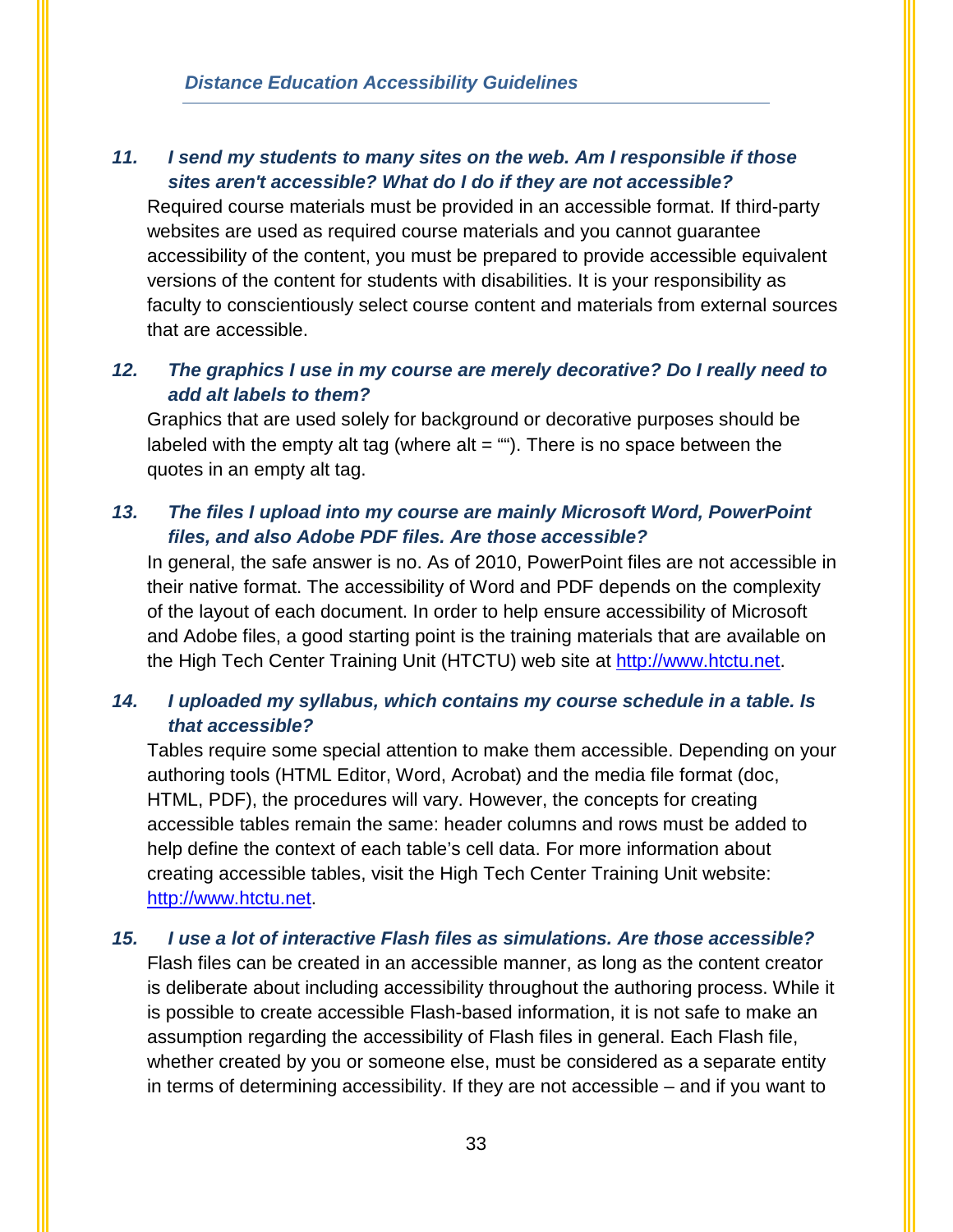## *11. I send my students to many sites on the web. Am I responsible if those sites aren't accessible? What do I do if they are not accessible?*

Required course materials must be provided in an accessible format. If third-party websites are used as required course materials and you cannot guarantee accessibility of the content, you must be prepared to provide accessible equivalent versions of the content for students with disabilities. It is your responsibility as faculty to conscientiously select course content and materials from external sources that are accessible.

## *12. The graphics I use in my course are merely decorative? Do I really need to add alt labels to them?*

Graphics that are used solely for background or decorative purposes should be labeled with the empty alt tag (where alt  $=$  ""). There is no space between the quotes in an empty alt tag.

### *13. The files I upload into my course are mainly Microsoft Word, PowerPoint files, and also Adobe PDF files. Are those accessible?*

In general, the safe answer is no. As of 2010, PowerPoint files are not accessible in their native format. The accessibility of Word and PDF depends on the complexity of the layout of each document. In order to help ensure accessibility of Microsoft and Adobe files, a good starting point is the training materials that are available on the High Tech Center Training Unit (HTCTU) web site at [http://www.htctu.net.](http://www.htctu.net/)

## *14. I uploaded my syllabus, which contains my course schedule in a table. Is that accessible?*

Tables require some special attention to make them accessible. Depending on your authoring tools (HTML Editor, Word, Acrobat) and the media file format (doc, HTML, PDF), the procedures will vary. However, the concepts for creating accessible tables remain the same: header columns and rows must be added to help define the context of each table's cell data. For more information about creating accessible tables, visit the High Tech Center Training Unit website: [http://www.htctu.net.](http://www.htctu.net/)

#### *15. I use a lot of interactive Flash files as simulations. Are those accessible?*

Flash files can be created in an accessible manner, as long as the content creator is deliberate about including accessibility throughout the authoring process. While it is possible to create accessible Flash-based information, it is not safe to make an assumption regarding the accessibility of Flash files in general. Each Flash file, whether created by you or someone else, must be considered as a separate entity in terms of determining accessibility. If they are not accessible – and if you want to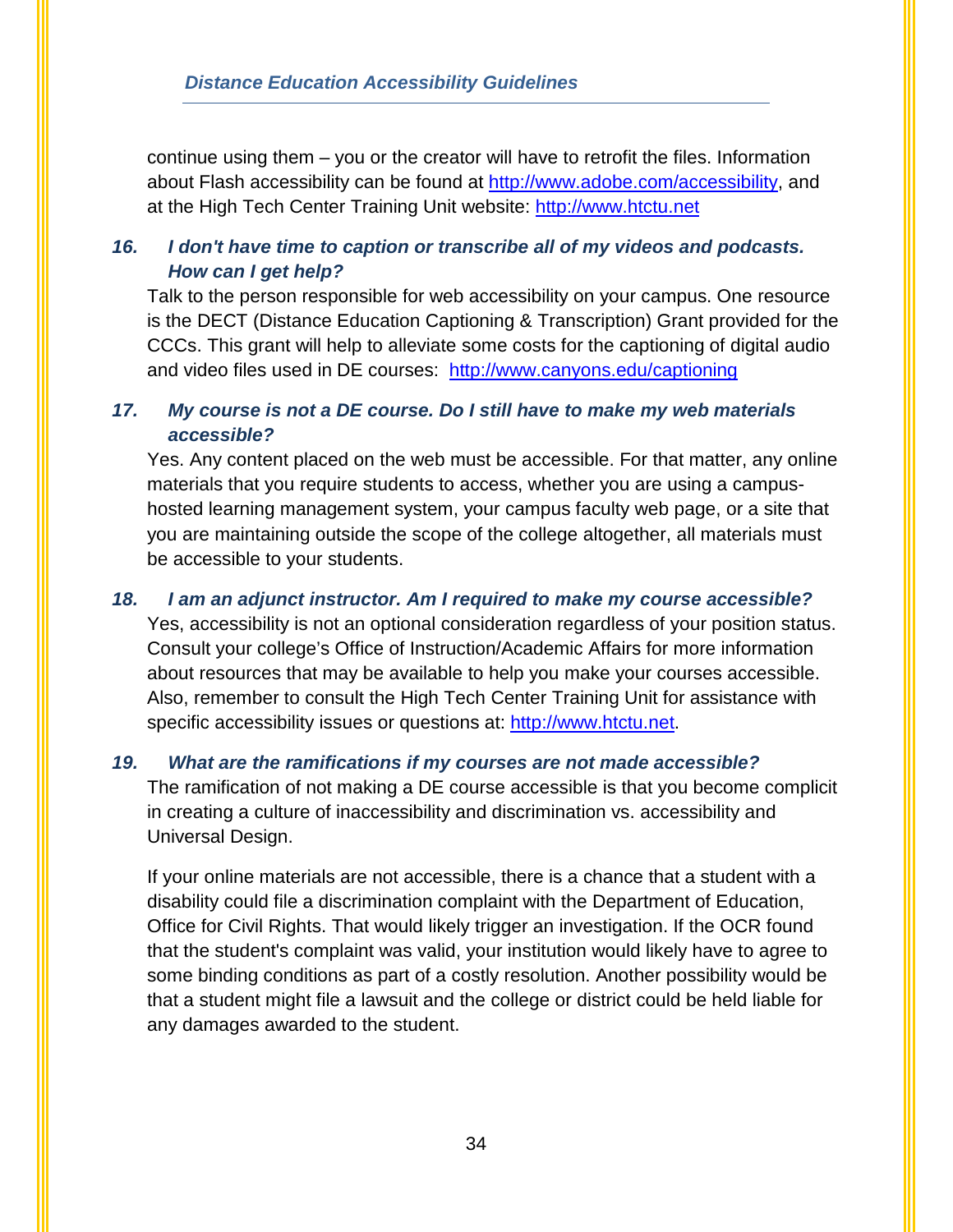continue using them – you or the creator will have to retrofit the files. Information about Flash accessibility can be found at [http://www.adobe.com/accessibility,](http://www.adobe.com/accessibility) and at the High Tech Center Training Unit website: [http://www.htctu.net](http://www.htctu.net/) 

## *16. I don't have time to caption or transcribe all of my videos and podcasts. How can I get help?*

Talk to the person responsible for web accessibility on your campus. One resource is the DECT (Distance Education Captioning & Transcription) Grant provided for the CCCs. This grant will help to alleviate some costs for the captioning of digital audio and video files used in DE courses: <http://www.canyons.edu/captioning>

## *17. My course is not a DE course. Do I still have to make my web materials accessible?*

Yes. Any content placed on the web must be accessible. For that matter, any online materials that you require students to access, whether you are using a campushosted learning management system, your campus faculty web page, or a site that you are maintaining outside the scope of the college altogether, all materials must be accessible to your students.

## *18. I am an adjunct instructor. Am I required to make my course accessible?*

Yes, accessibility is not an optional consideration regardless of your position status. Consult your college's Office of Instruction/Academic Affairs for more information about resources that may be available to help you make your courses accessible. Also, remember to consult the High Tech Center Training Unit for assistance with specific accessibility issues or questions at: [http://www.htctu.net.](http://www.htctu.net/)

## *19. What are the ramifications if my courses are not made accessible?*

The ramification of not making a DE course accessible is that you become complicit in creating a culture of inaccessibility and discrimination vs. accessibility and Universal Design.

If your online materials are not accessible, there is a chance that a student with a disability could file a discrimination complaint with the Department of Education, Office for Civil Rights. That would likely trigger an investigation. If the OCR found that the student's complaint was valid, your institution would likely have to agree to some binding conditions as part of a costly resolution. Another possibility would be that a student might file a lawsuit and the college or district could be held liable for any damages awarded to the student.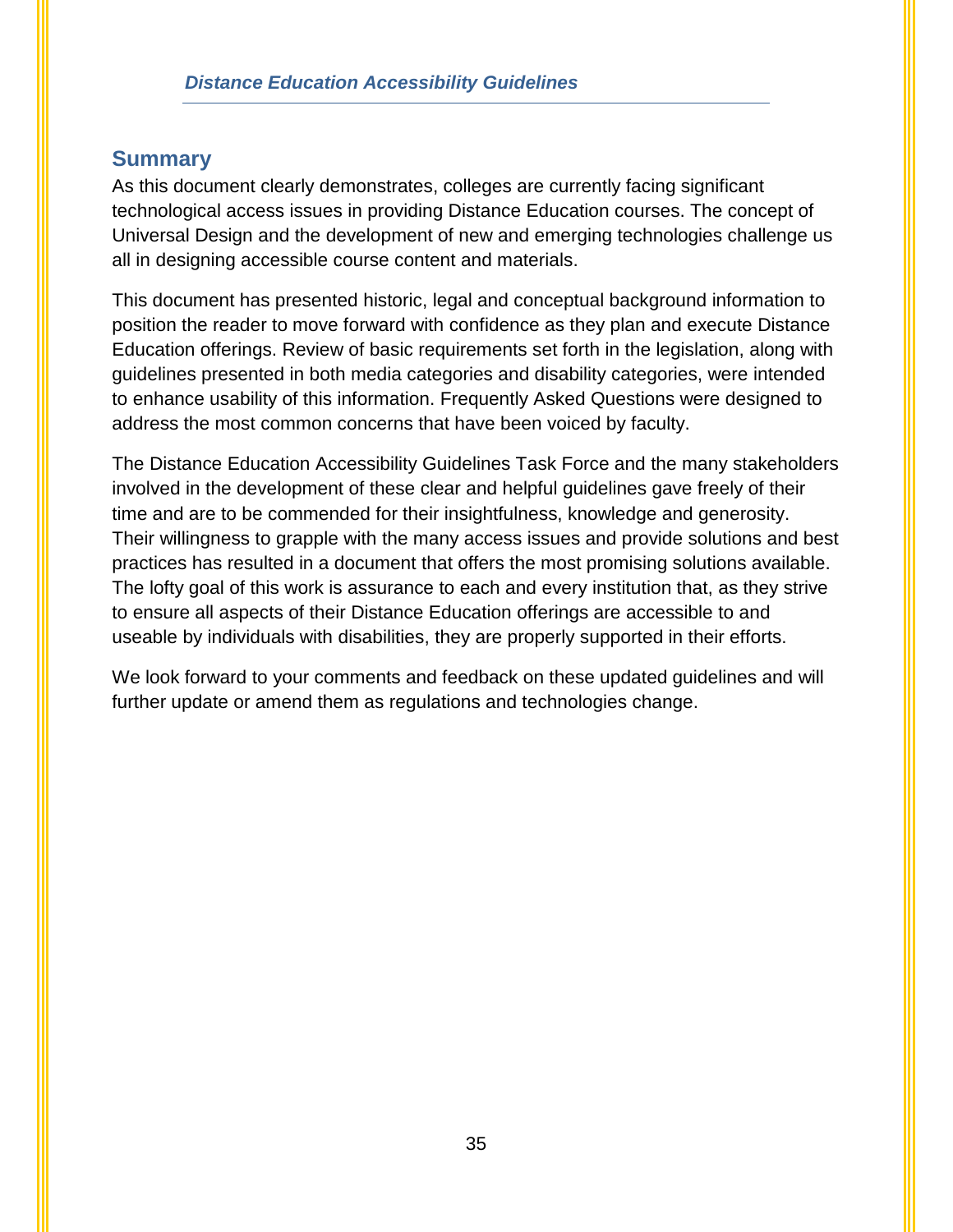## <span id="page-37-0"></span>**Summary**

As this document clearly demonstrates, colleges are currently facing significant technological access issues in providing Distance Education courses. The concept of Universal Design and the development of new and emerging technologies challenge us all in designing accessible course content and materials.

This document has presented historic, legal and conceptual background information to position the reader to move forward with confidence as they plan and execute Distance Education offerings. Review of basic requirements set forth in the legislation, along with guidelines presented in both media categories and disability categories, were intended to enhance usability of this information. Frequently Asked Questions were designed to address the most common concerns that have been voiced by faculty.

The Distance Education Accessibility Guidelines Task Force and the many stakeholders involved in the development of these clear and helpful guidelines gave freely of their time and are to be commended for their insightfulness, knowledge and generosity. Their willingness to grapple with the many access issues and provide solutions and best practices has resulted in a document that offers the most promising solutions available. The lofty goal of this work is assurance to each and every institution that, as they strive to ensure all aspects of their Distance Education offerings are accessible to and useable by individuals with disabilities, they are properly supported in their efforts.

We look forward to your comments and feedback on these updated guidelines and will further update or amend them as regulations and technologies change.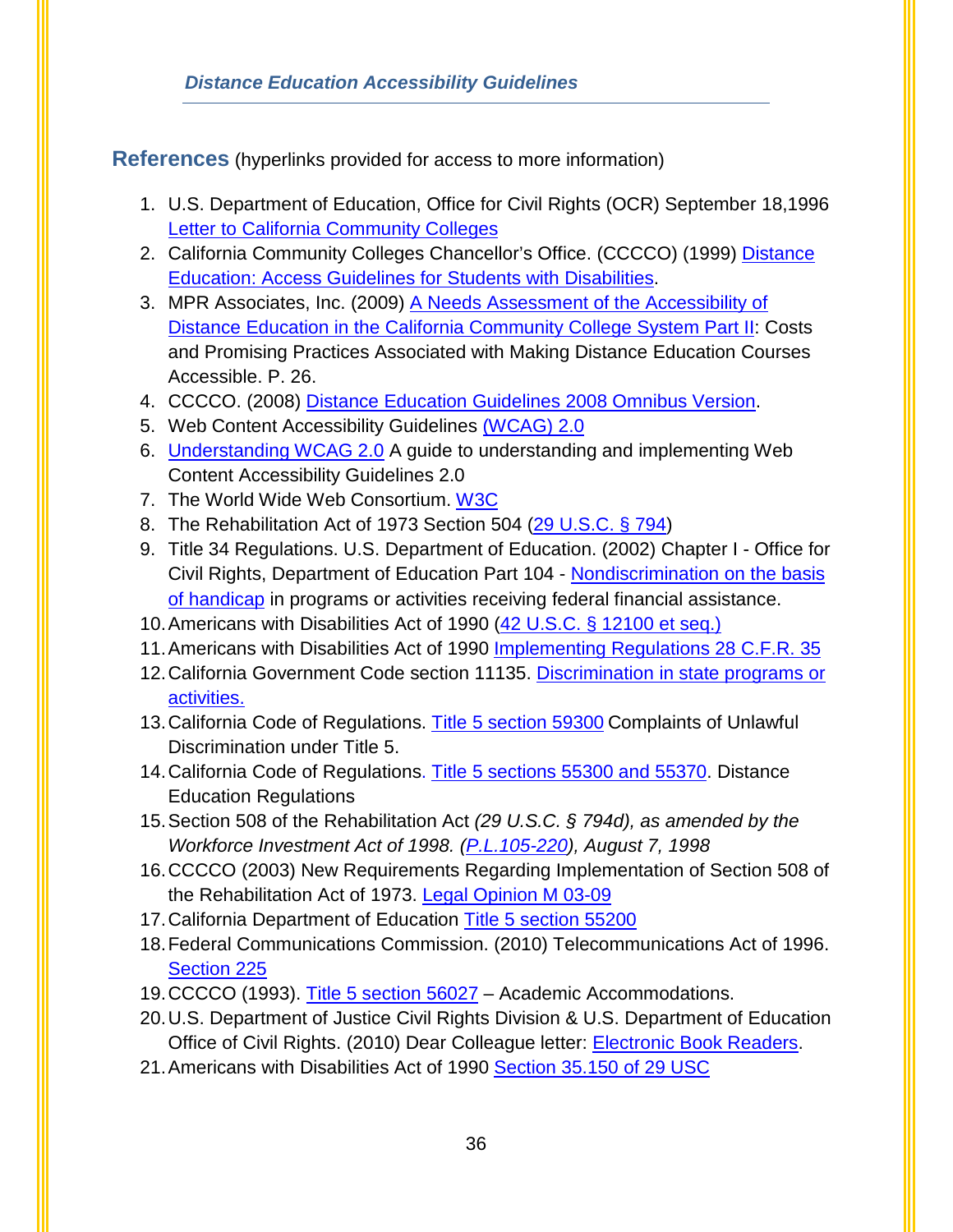<span id="page-38-0"></span>**References** (hyperlinks provided for access to more information)

- 1. U.S. Department of Education, Office for Civil Rights (OCR) September 18[,1996](http://resourcedirectory.galvin-group.com/DocUpload/OCR%20CCCCO.pdf)  [Letter to California Community Colleges](http://resourcedirectory.galvin-group.com/DocUpload/OCR%20CCCCO.pdf)
- 2. California Community Colleges Chancellor's Office. (CCCCO) (1999) [Distance](http://www.cccco.edu/LinkClick.aspx?fileticket=dVlzETRnopc%3d&tabid=666&mid=1838)  [Education: Access Guidelines for Students with Disabilities.](http://www.cccco.edu/LinkClick.aspx?fileticket=dVlzETRnopc%3d&tabid=666&mid=1838)
- 3. MPR Associates, Inc. (2009) [A Needs Assessment of the Accessibility of](http://www.cccco.edu/Portals/4/SS/DSPS/dsps_09-10/CCCSO%20Part%20II%20Final.pdf)  [Distance Education in the California Community College System Part II:](http://www.cccco.edu/Portals/4/SS/DSPS/dsps_09-10/CCCSO%20Part%20II%20Final.pdf) Costs and Promising Practices Associated with Making Distance Education Courses Accessible. P. 26.
- 4. CCCCO. (2008) [Distance Education Guidelines 2008 Omnibus Version.](http://www.cccco.edu/Portals/4/de_guidelines_081408.doc)
- 5. Web Content Accessibility Guidelines [\(WCAG\) 2.0](http://www.w3.org/TR/WCAG20)
- 6. [Understanding WCAG 2.0](http://www.w3.org/TR/UNDERSTANDING-WCAG20) A guide to understanding and implementing Web Content Accessibility Guidelines 2.0
- 7. The World Wide Web Consortium. [W3C](http://www.w3.org/)
- 8. The Rehabilitation Act of 1973 Section 504 [\(29 U.S.C. § 794\)](http://uscode.house.gov/uscode-cgi/fastweb.exe?getdoc+uscview+t29t32+363+0++()%20%20AND%20((29)%20ADJ%20USC)%3ACITE%20AND%20(USC%20w%2F10%20(794))%3ACITE%20%20%20%20%20%20%20%20%20)
- 9. Title 34 Regulations. U.S. Department of Education. (2002) Chapter I Office for Civil Rights, Department of Education Part 104 - [Nondiscrimination on the basis](http://www2.ed.gov/policy/rights/reg/ocr/edlite-34cfr104.html)  [of handicap](http://www2.ed.gov/policy/rights/reg/ocr/edlite-34cfr104.html) in programs or activities receiving federal financial assistance.
- 10. Americans with Disabilities Act of 1990 [\(42 U.S.C. § 12100 et seq.\)](http://www.ada.gov/pubs/adastatute08.htm)
- 11.Americans with Disabilities Act of 1990 [Implementing Regulations 28 C.F.R. 35](http://www.ada.gov/reg2.html)
- 12[.California Government Code section 11135.](http://codes.lp.findlaw.com/cacode/GOV/1/2/d3/1/1/9.5/s11135) [Discrimination in state programs or](http://www.leginfo.ca.gov/cgi-bin/displaycode?section=gov&group=11001-12000&file=11135-11139.7)  [activities.](http://www.leginfo.ca.gov/cgi-bin/displaycode?section=gov&group=11001-12000&file=11135-11139.7)
- 13.California Code of Regulations. [Title 5 section 59300](http://www.cccco.edu/ChancellorsOffice/Divisions/Legal/Discrimination/tabid/294/Default.aspx) Complaints of Unlawful Discrimination under Title 5.
- 14[.California Code of Regulations. Title 5 sections 55300 and 55370.](http://www.ccccurriculum.info/curriculum/RegulationsGuidelines/Regulations_DistanceEd.htm) Distance Education Regulations
- 15.Section 508 [of the Rehabilitation Act](http://www.section508.gov/index.cfm?fuseAction=1998Amend) *(29 U.S.C. § 794d), as amended by the Workforce Investment Act of 1998. [\(P.L.105-220\)](http://www.section508.gov/index.cfm?fuseAction=1998Amend), August 7, 1998*
- 16.CCCCO (2003) New Requirements Regarding Implementation of Section 508 of the Rehabilitation Act of 1973. [Legal Opinion M 03-09](http://www.cccco.edu/Portals/4/Legal/opinions/attachments/03-09.pdf)
- 17.California Department of Education [Title 5 section 55200](http://resourcedirectory.galvin-group.com/DocUpload/California%20Office%20of%20Administrative%20Law%20Title%205%20section%2055200.docx)
- 18.Federal Communications Commission. (2010) Telecommunications Act of 1996. [Section 225](http://www.fcc.gov/cgb/consumerfacts/section255.html)
- 19.CCCCO (1993). [Title 5 section 56027](http://www.cccco.edu/LinkClick.aspx?fileticket=%2bI9chfZrAa8%3d&tabid=666&mid=1838)  Academic Accommodations.
- 20.U.S. Department of Justice Civil Rights Division & U.S. Department of Education Office of Civil Rights. (2010) Dear Colleague letter: **Electronic Book Readers**.
- 21. Americans with Disabilities Act of 1990 [Section 35.150 of 29 USC](http://www.dol.gov/oasam/regs/cfr/28cfr/Part35/35150.htm)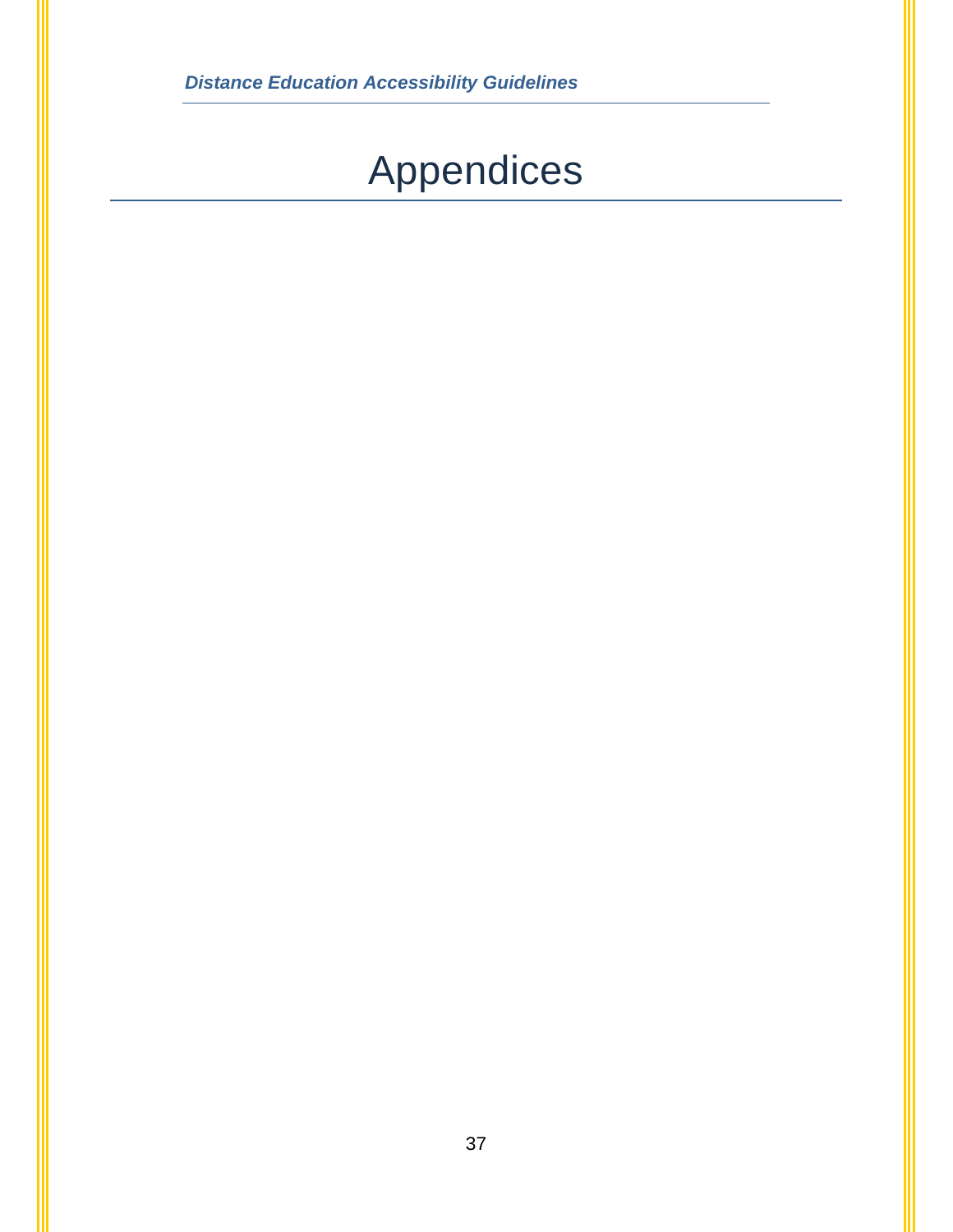# Appendices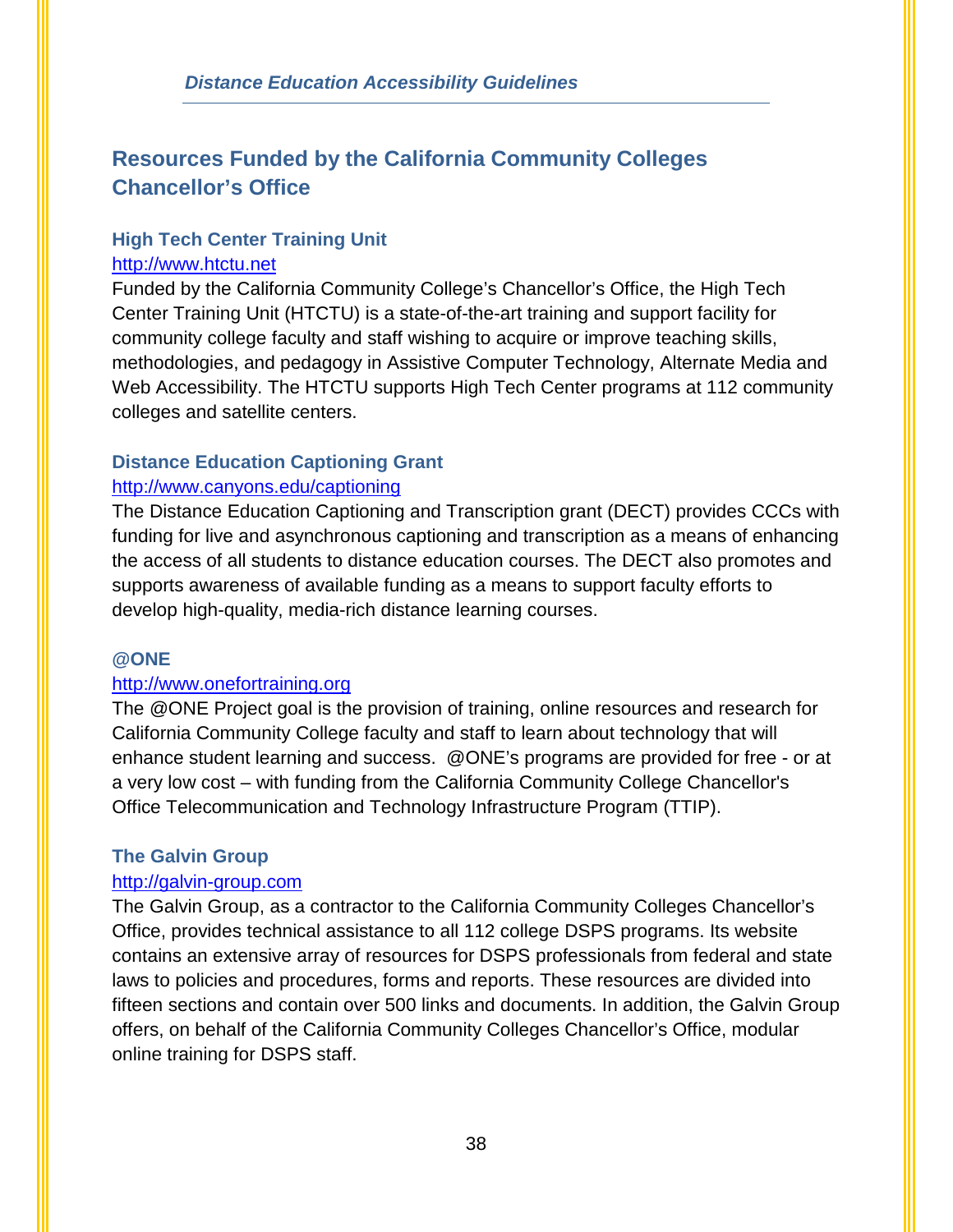## <span id="page-40-0"></span>**Resources Funded by the California Community Colleges Chancellor's Office**

## **High Tech Center Training Unit**  [http://www.htctu.net](http://www.htctu.net/)

Funded by the California Community College's Chancellor's Office, the High Tech Center Training Unit (HTCTU) is a state-of-the-art training and support facility for community college faculty and staff wishing to acquire or improve teaching skills, methodologies, and pedagogy in Assistive Computer Technology, Alternate Media and Web Accessibility. The HTCTU supports High Tech Center programs at 112 community colleges and satellite centers.

### **Distance Education Captioning Grant**

### <http://www.canyons.edu/captioning>

The Distance Education Captioning and Transcription grant (DECT) provides CCCs with funding for live and asynchronous captioning and transcription as a means of enhancing the access of all students to distance education courses. The DECT also promotes and supports awareness of available funding as a means to support faculty efforts to develop high-quality, media-rich distance learning courses.

#### **@ONE**

## [http://www.onefortraining.org](http://www.onefortraining.org/)

The @ONE Project goal is the provision of training, online resources and research for California Community College faculty and staff to learn about technology that will enhance student learning and success. @ONE's programs are provided for free - or at a very low cost – with funding from the California Community College Chancellor's Office Telecommunication and Technology Infrastructure Program (TTIP).

## **The Galvin Group**

#### [http://galvin-group.com](http://galvin-group.com/)

The Galvin Group, as a contractor to the California Community Colleges Chancellor's Office, provides technical assistance to all 112 college DSPS programs. Its website contains an extensive array of resources for DSPS professionals from federal and state laws to policies and procedures, forms and reports. These resources are divided into fifteen sections and contain over 500 links and documents. In addition, the Galvin Group offers, on behalf of the California Community Colleges Chancellor's Office, modular online training for DSPS staff.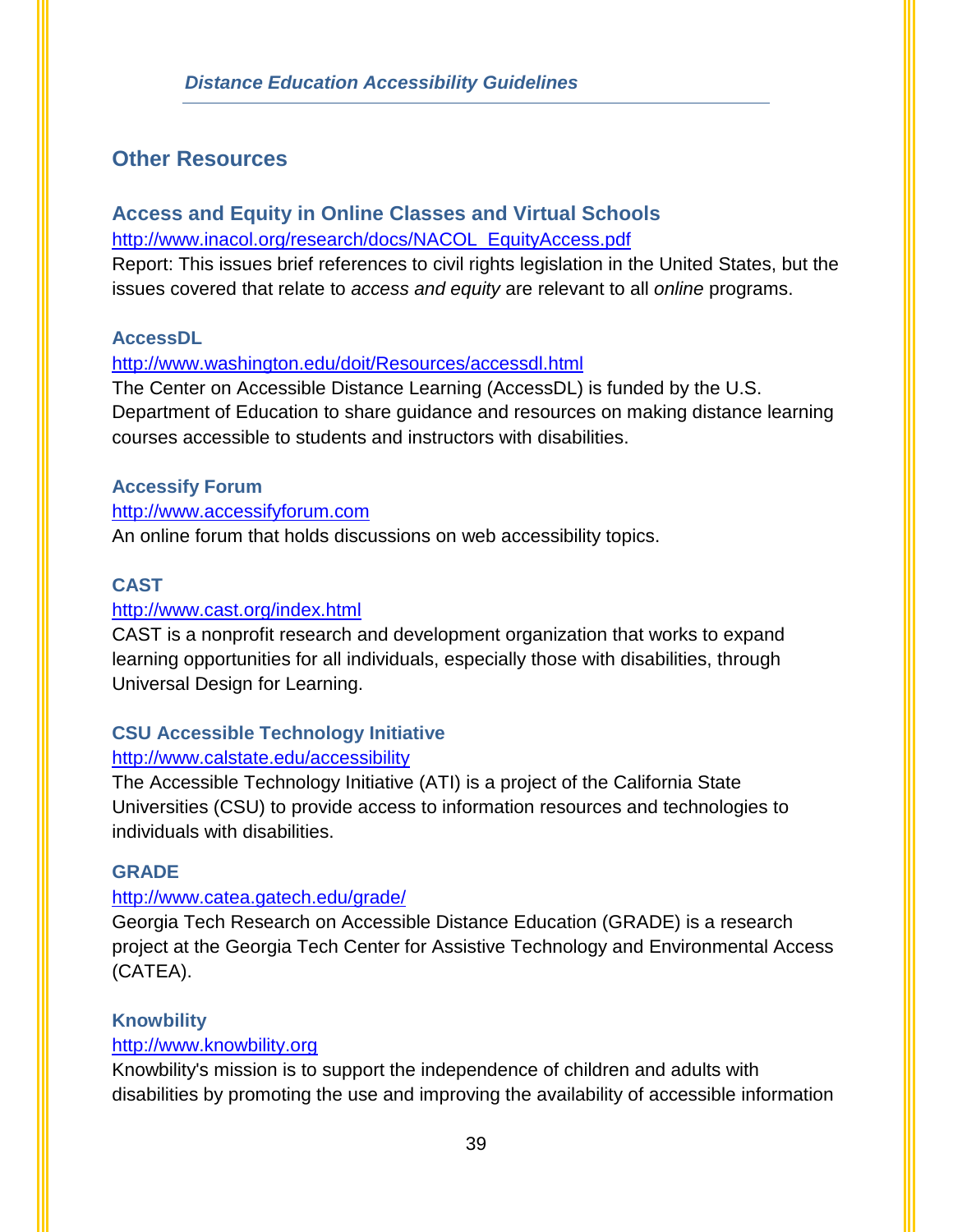## <span id="page-41-0"></span>**Other Resources**

## **Access and Equity in Online Classes and Virtual Schools**  [http://www.inacol.org/research/docs/NACOL\\_EquityAccess.pdf](http://www.inacol.org/research/docs/NACOL_EquityAccess.pdf)

Report: This issues brief references to civil rights legislation in the United States, but the issues covered that relate to *access and equity* are relevant to all *online* programs.

#### **AccessDL**

#### <http://www.washington.edu/doit/Resources/accessdl.html>

The Center on Accessible Distance Learning (AccessDL) is funded by the U.S. Department of Education to share guidance and resources on making distance learning courses accessible to students and instructors with disabilities.

#### **Accessify Forum**

#### [http://www.accessifyforum.com](http://www.accessifyforum.com/)

An online forum that holds discussions on web accessibility topics.

#### **CAST**

#### <http://www.cast.org/index.html>

CAST is a nonprofit research and development organization that works to expand learning opportunities for all individuals, especially those with disabilities, through Universal Design for Learning.

## **CSU Accessible Technology Initiative**

#### <http://www.calstate.edu/accessibility>

The Accessible Technology Initiative (ATI) is a project of the California State Universities (CSU) to provide access to information resources and technologies to individuals with disabilities.

#### **GRADE**

#### <http://www.catea.gatech.edu/grade/>

Georgia Tech Research on Accessible Distance Education (GRADE) is a research project at the Georgia Tech Center for Assistive Technology and Environmental Access (CATEA).

#### **Knowbility**

#### [http://www.knowbility.org](http://www.knowbility.org/)

Knowbility's mission is to support the independence of children and adults with disabilities by promoting the use and improving the availability of accessible information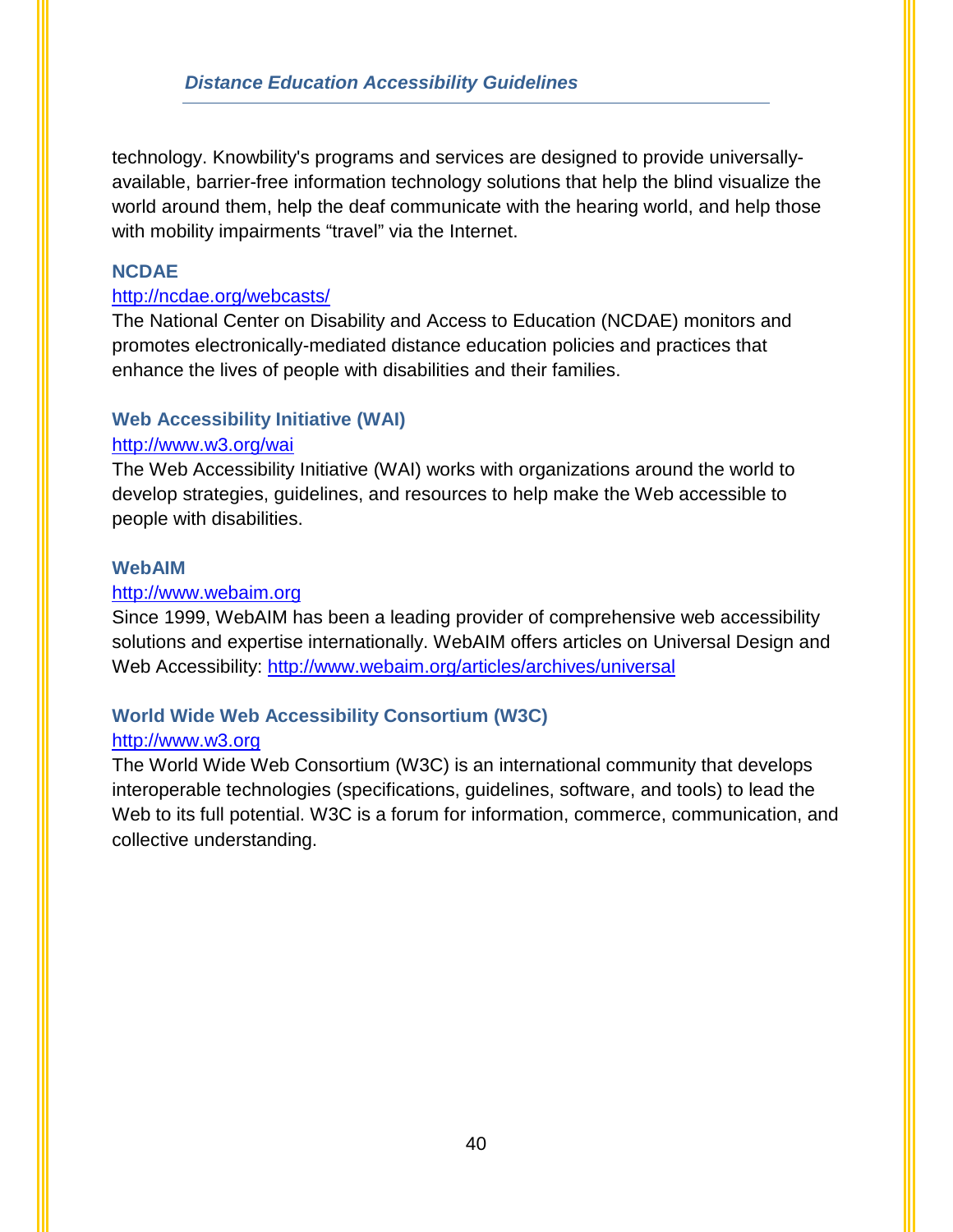technology. Knowbility's programs and services are designed to provide universallyavailable, barrier-free information technology solutions that help the blind visualize the world around them, help the deaf communicate with the hearing world, and help those with mobility impairments "travel" via the Internet.

## **NCDAE**

#### <http://ncdae.org/webcasts/>

The National Center on Disability and Access to Education (NCDAE) monitors and promotes electronically-mediated distance education policies and practices that enhance the lives of people with disabilities and their families.

## **Web Accessibility Initiative (WAI)**

#### <http://www.w3.org/wai>

The Web Accessibility Initiative (WAI) works with organizations around the world to develop strategies, guidelines, and resources to help make the Web accessible to people with disabilities.

#### **WebAIM**

#### [http://www.webaim.org](http://www.webaim.org/)

Since 1999, WebAIM has been a leading provider of comprehensive web accessibility solutions and expertise internationally. WebAIM offers articles on Universal Design and Web Accessibility:<http://www.webaim.org/articles/archives/universal>

## **World Wide Web Accessibility Consortium (W3C)**

#### [http://www.w3.org](http://www.w3.org/)

The World Wide Web Consortium (W3C) is an international community that develops interoperable technologies (specifications, guidelines, software, and tools) to lead the Web to its full potential. W3C is a forum for information, commerce, communication, and collective understanding.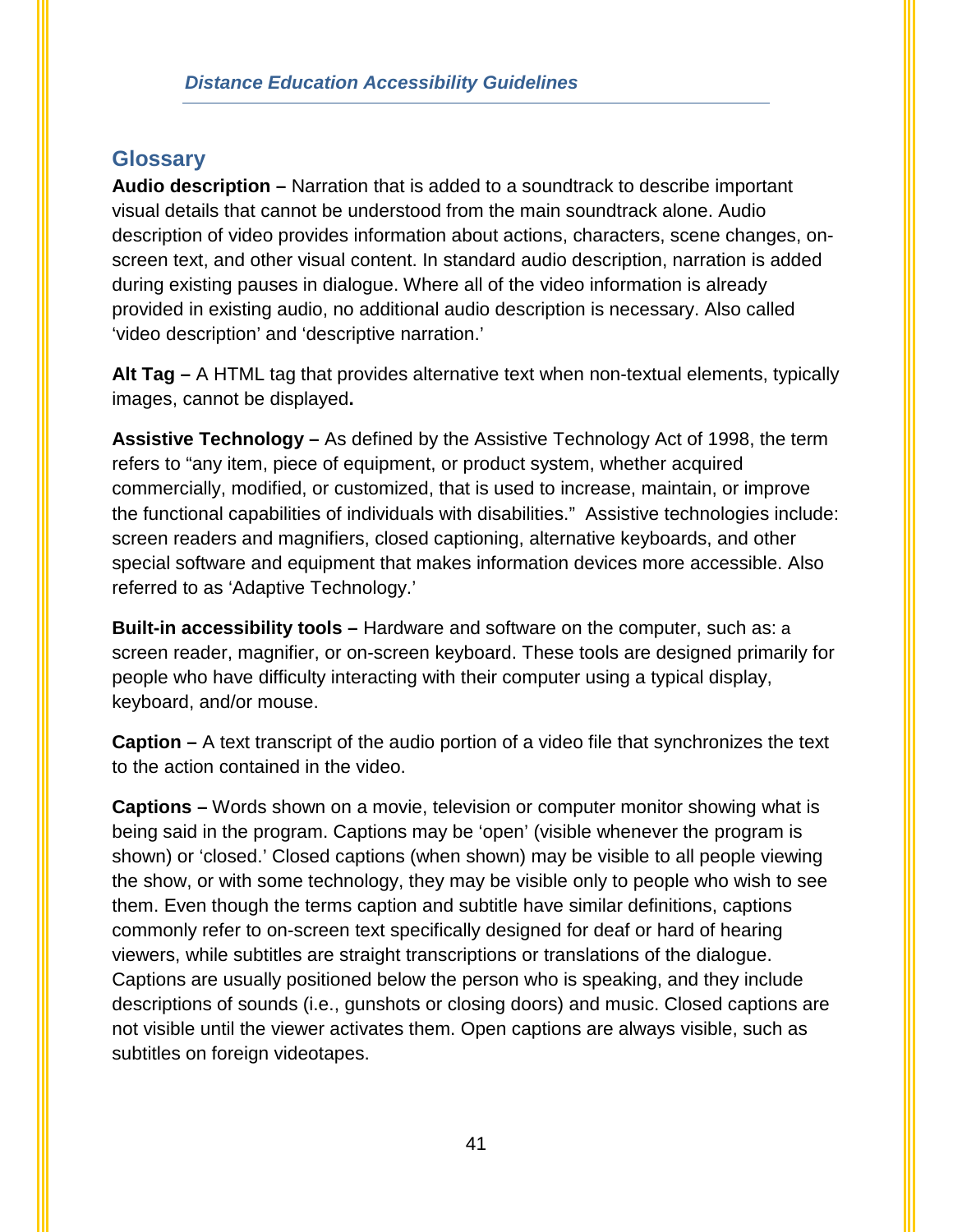## <span id="page-43-0"></span>**Glossary**

**Audio description –** Narration that is added to a soundtrack to describe important visual details that cannot be understood from the main soundtrack alone. Audio description of [video](http://www.w3.org/TR/WCAG20/#videodef) provides information about actions, characters, scene changes, onscreen text, and other visual content. In standard audio description, narration is added during existing pauses in dialogue. Where all of the [video](http://www.w3.org/TR/WCAG20/#videodef) information is already provided in existing [audio,](http://www.w3.org/TR/WCAG20/#audiodef) no additional audio description is necessary. Also called 'video description' and 'descriptive narration.'

**Alt Tag –** A HTML tag that provides alternative text when non-textual elements, typically images, cannot be displayed**.** 

**Assistive Technology –** As defined by the Assistive Technology Act of 1998, the term refers to "any item, piece of equipment, or product system, whether acquired commercially, modified, or customized, that is used to increase, maintain, or improve the functional capabilities of individuals with disabilities." Assistive technologies include: screen readers and magnifiers, closed captioning, alternative keyboards, and other special software and equipment that makes information devices more accessible. Also referred to as 'Adaptive Technology.'

**Built-in accessibility tools –** Hardware and software on the computer, such as: a screen reader, magnifier, or on-screen keyboard. These tools are designed primarily for people who have difficulty interacting with their computer using a typical display, keyboard, and/or mouse.

**Caption –** A text transcript of the audio portion of a video file that synchronizes the text to the action contained in the video.

**Captions –** Words shown on a movie, television or computer monitor showing what is being said in the program. Captions may be 'open' (visible whenever the program is shown) or 'closed.' Closed captions (when shown) may be visible to all people viewing the show, or with some technology, they may be visible only to people who wish to see them. Even though the terms caption and subtitle have similar definitions, captions commonly refer to on-screen text specifically designed for deaf or hard of hearing viewers, while subtitles are straight transcriptions or translations of the dialogue. Captions are usually positioned below the person who is speaking, and they include descriptions of sounds (i.e., gunshots or closing doors) and music. Closed captions are not visible until the viewer activates them. Open captions are always visible, such as subtitles on foreign videotapes.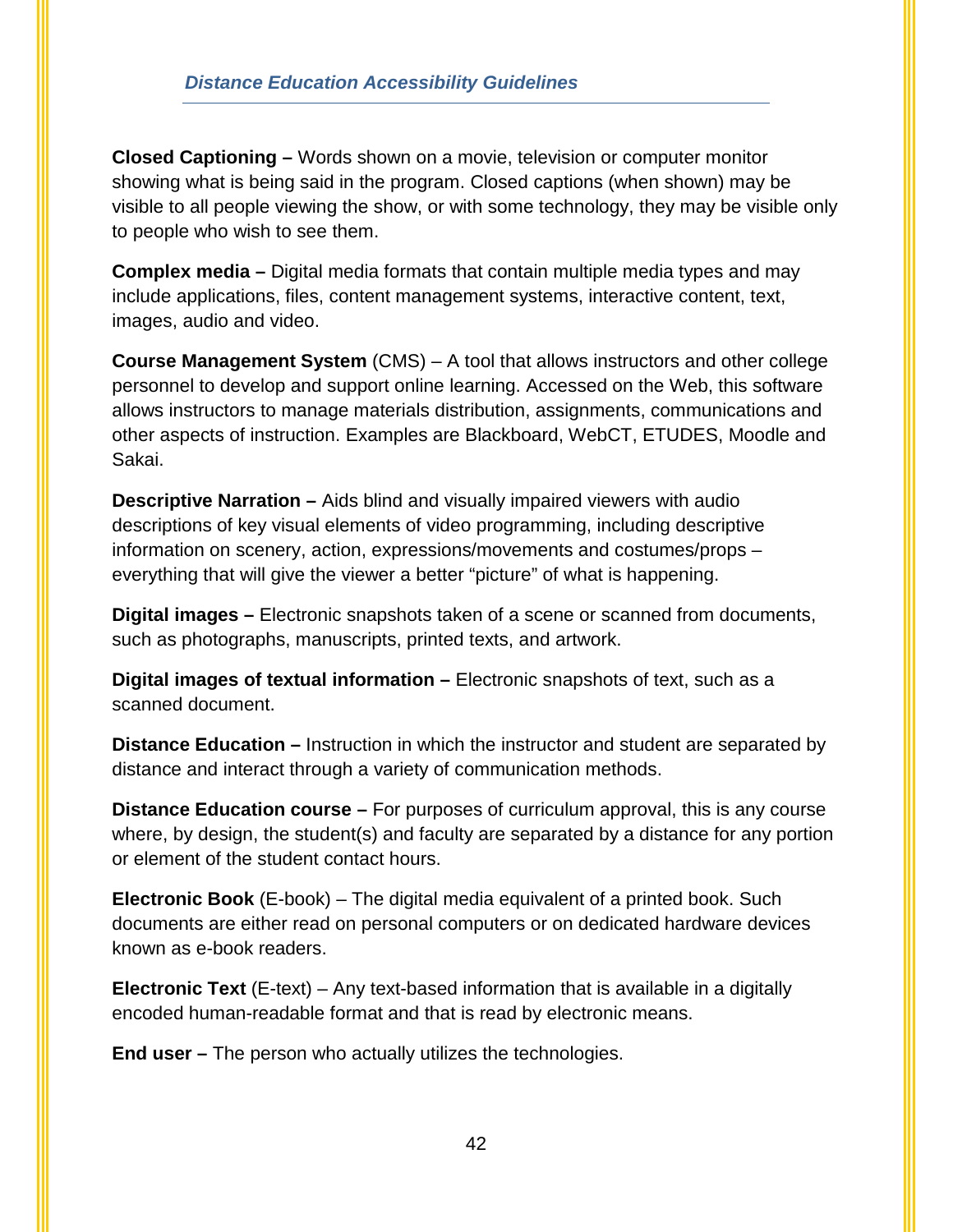#### *Distance Education Accessibility Guidelines*

**Closed Captioning –** Words shown on a movie, television or computer monitor showing what is being said in the program. Closed captions (when shown) may be visible to all people viewing the show, or with some technology, they may be visible only to people who wish to see them.

**Complex media –** Digital media formats that contain multiple media types and may include applications, files, content management systems, interactive content, text, images, audio and video.

**Course Management System** (CMS) – A tool that allows instructors and other college personnel to develop and support online learning. Accessed on the Web, this software allows instructors to manage materials distribution, assignments, communications and other aspects of instruction. Examples are Blackboard, WebCT, ETUDES, Moodle and Sakai.

**Descriptive Narration –** Aids blind and visually impaired viewers with audio descriptions of key visual elements of video programming, including descriptive information on scenery, action, expressions/movements and costumes/props – everything that will give the viewer a better "picture" of what is happening.

**Digital images –** Electronic snapshots taken of a scene or scanned from documents, such as photographs, manuscripts, printed texts, and artwork.

**Digital images of textual information – Electronic snapshots of text, such as a** scanned document.

**Distance Education –** Instruction in which the instructor and student are separated by distance and interact through a variety of communication methods.

**Distance Education course –** For purposes of curriculum approval, this is any course where, by design, the student(s) and faculty are separated by a distance for any portion or element of the student contact hours.

**Electronic Book** (E-book) – The digital media equivalent of a printed book. Such documents are either read on personal computers or on dedicated hardware devices known as e-book readers.

**Electronic Text** (E-text) – Any text-based information that is available in a digitally encoded human-readable format and that is read by electronic means.

**End user –** The person who actually utilizes the technologies.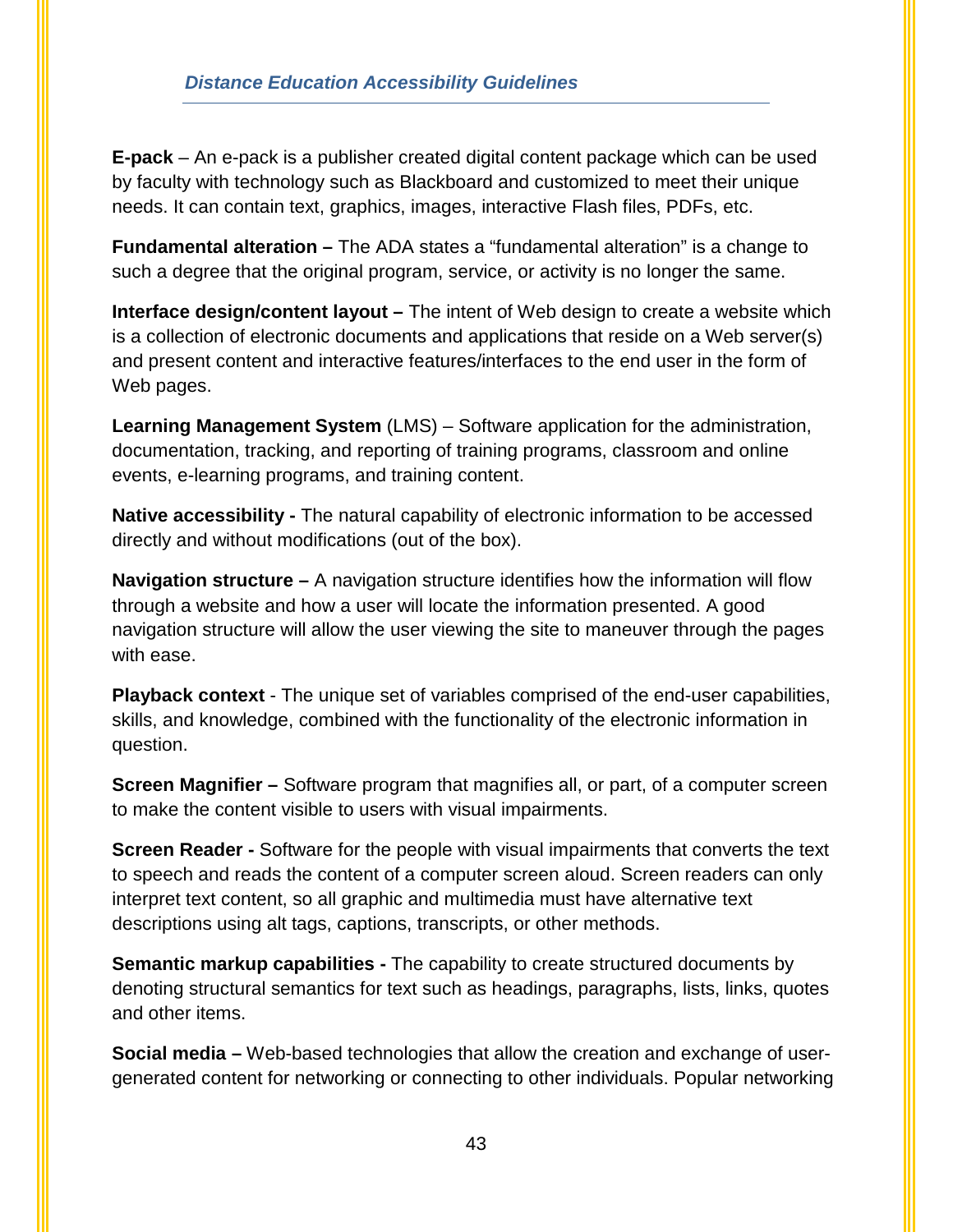#### *Distance Education Accessibility Guidelines*

**E-pack** – An e-pack is a publisher created digital content package which can be used by faculty with technology such as Blackboard and customized to meet their unique needs. It can contain text, graphics, images, interactive Flash files, PDFs, etc.

**Fundamental alteration –** The ADA states a "fundamental alteration" is a change to such a degree that the original program, service, or activity is no longer the same.

**Interface design/content layout –** The intent of Web design to create a [website](http://en.wikipedia.org/wiki/Website) which is a collection of electronic [documents](http://en.wikipedia.org/wiki/Document) and [applications](http://en.wikipedia.org/wiki/Web_application) that reside on a Web [server\(](http://en.wikipedia.org/wiki/Server)s) and present content and interactive features/interfaces to the end user in the form of Web pages.

**Learning Management System** (LMS) – Software application for the administration, documentation, tracking, and reporting of training programs, classroom and online events, e-learning programs, and training content.

**Native accessibility -** The natural capability of electronic information to be accessed directly and without modifications (out of the box).

**Navigation structure –** A navigation structure identifies how the information will flow through a website and how a user will locate the information presented. A good navigation structure will allow the user viewing the site to maneuver through the pages with ease.

**Playback context** - The unique set of variables comprised of the end-user capabilities, skills, and knowledge, combined with the functionality of the electronic information in question.

**Screen Magnifier –** Software program that magnifies all, or part, of a computer screen to make the content visible to users with visual impairments.

**Screen Reader -** Software for the people with visual impairments that converts the text to speech and reads the content of a computer screen aloud. Screen readers can only interpret text content, so all graphic and multimedia must have alternative text descriptions using alt tags, captions, transcripts, or other methods.

**Semantic markup capabilities -** The capability to create [structured documents](http://en.wikipedia.org/wiki/Structured_document) by denoting structural [semantics](http://en.wikipedia.org/wiki/Semantic) for text such as headings, paragraphs, lists, links, quotes and other items.

**Social media –** Web-based technologies that allow the creation and exchange of usergenerated content for networking or connecting to other individuals. Popular networking